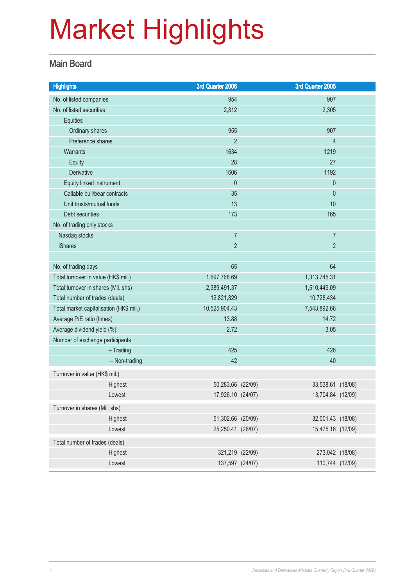### Main Board

| <b>Highlights</b>                       | 3rd Quarter 2006  |              | 3rd Quarter 2005  |  |
|-----------------------------------------|-------------------|--------------|-------------------|--|
| No. of listed companies                 | 954               |              | 907               |  |
| No. of listed securities                | 2,812             |              | 2,305             |  |
| Equities                                |                   |              |                   |  |
| Ordinary shares                         | 955               |              | 907               |  |
| Preference shares                       | $\overline{2}$    |              | $\overline{4}$    |  |
| <b>Warrants</b>                         | 1634              |              | 1219              |  |
| Equity                                  | 28                |              | 27                |  |
| <b>Derivative</b>                       | 1606              |              | 1192              |  |
| Equity linked instrument                | $\theta$          |              | $\pmb{0}$         |  |
| Callable bull/bear contracts            | 35                |              | $\mathbf{0}$      |  |
| Unit trusts/mutual funds                | 13                |              | 10                |  |
| Debt securities                         | 173               |              | 165               |  |
| No. of trading only stocks              |                   |              |                   |  |
| Nasdaq stocks                           | $\overline{7}$    |              | $\overline{7}$    |  |
| <b>iShares</b>                          | $\overline{2}$    |              | $\overline{2}$    |  |
|                                         |                   |              |                   |  |
| No. of trading days                     | 65                |              | 64                |  |
| Total turnover in value (HK\$ mil.)     | 1,697,768.69      | 1,313,745.31 |                   |  |
| Total turnover in shares (Mil. shs)     | 2,389,491.37      | 1,510,449.09 |                   |  |
| Total number of trades (deals)          | 12,821,829        | 10,728,434   |                   |  |
| Total market capitalisation (HK\$ mil.) | 10,525,904.43     |              | 7,543,892.66      |  |
| Average P/E ratio (times)               | 13.88             |              | 14.72             |  |
| Average dividend yield (%)              | 2.72              |              | 3.05              |  |
| Number of exchange participants         |                   |              |                   |  |
| $-$ Trading                             | 425               |              | 426               |  |
| - Non-trading                           | 42                |              | 40                |  |
| Turnover in value (HK\$ mil.)           |                   |              |                   |  |
| Highest                                 | 50,283.66 (22/09) |              | 33,538.61 (18/08) |  |
| Lowest                                  | 17,926.10 (24/07) |              | 13,704.84 (12/09) |  |
| Turnover in shares (Mil. shs)           |                   |              |                   |  |
| Highest                                 | 51,302.66 (20/09) |              | 32,001.43 (18/08) |  |
| Lowest                                  | 25,250.41 (26/07) |              | 15,475.16 (12/09) |  |
| Total number of trades (deals)          |                   |              |                   |  |
| Highest                                 | 321,219 (22/09)   |              | 273,042 (18/08)   |  |
| Lowest                                  | 137,597 (24/07)   |              | 110,744 (12/09)   |  |
|                                         |                   |              |                   |  |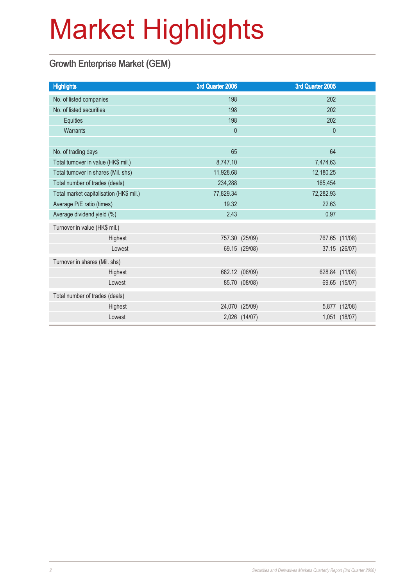### Growth Enterprise Market (GEM)

| 3rd Quarter 2006 | 3rd Quarter 2005                                                                                      |                |
|------------------|-------------------------------------------------------------------------------------------------------|----------------|
| 198              | 202                                                                                                   |                |
| 198              | 202                                                                                                   |                |
| 198              | 202                                                                                                   |                |
| $\mathbf{0}$     | $\mathbf 0$                                                                                           |                |
|                  |                                                                                                       |                |
| 65               | 64                                                                                                    |                |
| 8,747.10         | 7,474.63                                                                                              |                |
| 11,928.68        | 12,180.25                                                                                             |                |
| 234,288          | 165,454                                                                                               |                |
| 77,829.34        | 72,282.93                                                                                             |                |
| 19.32            | 22.63                                                                                                 |                |
| 2.43             | 0.97                                                                                                  |                |
|                  |                                                                                                       |                |
|                  |                                                                                                       | 767.65 (11/08) |
|                  |                                                                                                       | 37.15 (26/07)  |
|                  |                                                                                                       |                |
|                  |                                                                                                       | 628.84 (11/08) |
|                  |                                                                                                       | 69.65 (15/07)  |
|                  |                                                                                                       |                |
|                  | 5,877                                                                                                 | (12/08)        |
|                  |                                                                                                       | 1,051 (18/07)  |
|                  | 757.30 (25/09)<br>69.15 (29/08)<br>682.12 (06/09)<br>85.70 (08/08)<br>24,070 (25/09)<br>2,026 (14/07) |                |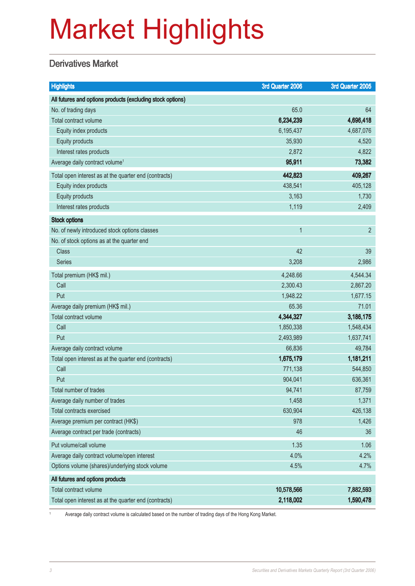### **Derivatives Market**

| <b>Highlights</b>                                          | 3rd Quarter 2006 | 3rd Quarter 2005 |
|------------------------------------------------------------|------------------|------------------|
| All futures and options products (excluding stock options) |                  |                  |
| No. of trading days                                        | 65.0             | 64               |
| Total contract volume                                      | 6,234,239        | 4,696,418        |
| Equity index products                                      | 6,195,437        | 4,687,076        |
| Equity products                                            | 35,930           | 4,520            |
| Interest rates products                                    | 2,872            | 4,822            |
| Average daily contract volume <sup>1</sup>                 | 95,911           | 73,382           |
| Total open interest as at the quarter end (contracts)      | 442,823          | 409,267          |
| Equity index products                                      | 438,541          | 405,128          |
| Equity products                                            | 3,163            | 1,730            |
| Interest rates products                                    | 1,119            | 2,409            |
| <b>Stock options</b>                                       |                  |                  |
| No. of newly introduced stock options classes              | 1                | $\overline{2}$   |
| No. of stock options as at the quarter end                 |                  |                  |
| <b>Class</b>                                               | 42               | 39               |
| <b>Series</b>                                              | 3,208            | 2,986            |
| Total premium (HK\$ mil.)                                  | 4,248.66         | 4,544.34         |
| Call                                                       | 2,300.43         | 2,867.20         |
| Put                                                        | 1,948.22         | 1,677.15         |
| Average daily premium (HK\$ mil.)                          | 65.36            | 71.01            |
| Total contract volume                                      | 4,344,327        | 3,186,175        |
| Call                                                       | 1,850,338        | 1,548,434        |
| Put                                                        | 2,493,989        | 1,637,741        |
| Average daily contract volume                              | 66,836           | 49,784           |
| Total open interest as at the quarter end (contracts)      | 1,675,179        | 1,181,211        |
| Call                                                       | 771,138          | 544,850          |
| Put                                                        | 904,041          | 636,361          |
| Total number of trades                                     | 94,741           | 87,759           |
| Average daily number of trades                             | 1,458            | 1,371            |
| <b>Total contracts exercised</b>                           | 630,904          | 426,138          |
| Average premium per contract (HK\$)                        | 978              | 1,426            |
| Average contract per trade (contracts)                     | 46               | 36               |
| Put volume/call volume                                     | 1.35             | 1.06             |
| Average daily contract volume/open interest                | 4.0%             | 4.2%             |
| Options volume (shares)/underlying stock volume            | 4.5%             | 4.7%             |
| All futures and options products                           |                  |                  |
| Total contract volume                                      | 10,578,566       | 7,882,593        |
| Total open interest as at the quarter end (contracts)      | 2,118,002        | 1,590,478        |

<sup>1</sup> Average daily contract volume is calculated based on the number of trading days of the Hong Kong Market.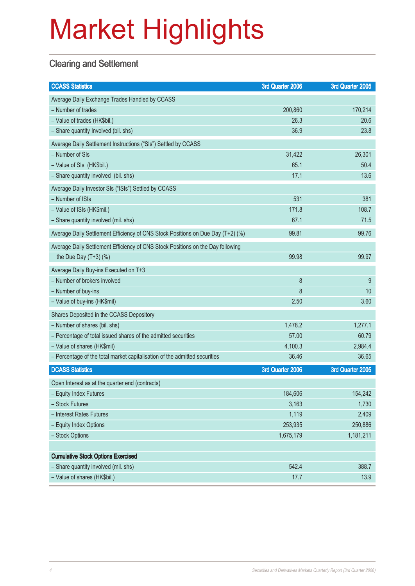### **Clearing and Settlement**

| <b>CCASS Statistics</b>                                                         | 3rd Quarter 2006 | 3rd Quarter 2005 |
|---------------------------------------------------------------------------------|------------------|------------------|
| Average Daily Exchange Trades Handled by CCASS                                  |                  |                  |
| - Number of trades                                                              | 200,860          | 170,214          |
| - Value of trades (HK\$bil.)                                                    | 26.3             | 20.6             |
| - Share quantity Involved (bil. shs)                                            | 36.9             | 23.8             |
| Average Daily Settlement Instructions ("SIs") Settled by CCASS                  |                  |                  |
| - Number of SIs                                                                 | 31,422           | 26,301           |
| - Value of SIs (HK\$bil.)                                                       | 65.1             | 50.4             |
| - Share quantity involved (bil. shs)                                            | 17.1             | 13.6             |
| Average Daily Investor SIs ("ISIs") Settled by CCASS                            |                  |                  |
| - Number of ISIs                                                                | 531              | 381              |
| - Value of ISIs (HK\$mil.)                                                      | 171.8            | 108.7            |
| - Share quantity involved (mil. shs)                                            | 67.1             | 71.5             |
| Average Daily Settlement Efficiency of CNS Stock Positions on Due Day (T+2) (%) | 99.81            | 99.76            |
| Average Daily Settlement Efficiency of CNS Stock Positions on the Day following |                  |                  |
| the Due Day $(T+3)$ (%)                                                         | 99.98            | 99.97            |
| Average Daily Buy-ins Executed on T+3                                           |                  |                  |
| - Number of brokers involved                                                    | 8                | 9                |
| - Number of buy-ins                                                             | 8                | 10               |
| - Value of buy-ins (HK\$mil)                                                    | 2.50             | 3.60             |
| Shares Deposited in the CCASS Depository                                        |                  |                  |
| - Number of shares (bil. shs)                                                   | 1,478.2          | 1,277.1          |
| - Percentage of total issued shares of the admitted securities                  | 57.00            | 60.79            |
| - Value of shares (HK\$mil)                                                     | 4,100.3          | 2,984.4          |
| - Percentage of the total market capitalisation of the admitted securities      | 36.46            | 36.65            |
| <b>DCASS Statistics</b>                                                         | 3rd Quarter 2006 | 3rd Quarter 2005 |
| Open Interest as at the quarter end (contracts)                                 |                  |                  |
| - Equity Index Futures                                                          | 184,606          | 154,242          |
| - Stock Futures                                                                 | 3,163            | 1,730            |
| - Interest Rates Futures                                                        | 1,119            | 2,409            |
| - Equity Index Options                                                          | 253,935          | 250,886          |
| - Stock Options                                                                 | 1,675,179        | 1,181,211        |
|                                                                                 |                  |                  |
| <b>Cumulative Stock Options Exercised</b>                                       |                  |                  |
| - Share quantity involved (mil. shs)                                            | 542.4            | 388.7            |
| - Value of shares (HK\$bil.)                                                    | 17.7             | 13.9             |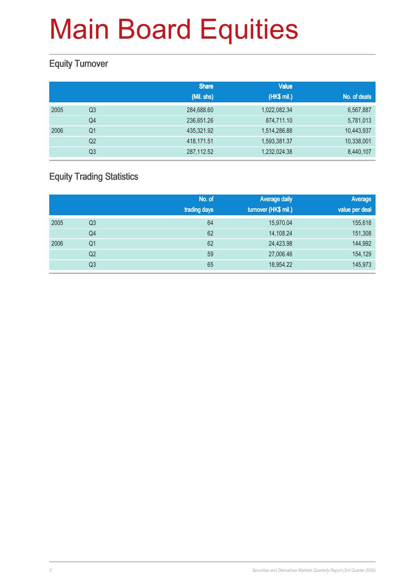### Equity Turnover

|      |                | <b>Share</b> | <b>Value</b> |              |
|------|----------------|--------------|--------------|--------------|
|      |                | (Mil. shs)   | (HK\$ mil.)  | No. of deals |
| 2005 | Q3             | 284,688.60   | 1,022,082.34 | 6,567,887    |
|      | Q4             | 236,651.26   | 874,711.10   | 5,781,013    |
| 2006 | Q <sub>1</sub> | 435,321.92   | 1,514,286.88 | 10,443,937   |
|      | Q <sub>2</sub> | 418,171.51   | 1,593,381.37 | 10,338,001   |
|      | Q <sub>3</sub> | 287,112.52   | 1,232,024.38 | 8,440,107    |

### Equity Trading Statistics

|      |                | No. of<br>trading days | <b>Average daily</b><br>turnover (HK\$ mil.) | Average<br>value per deal |
|------|----------------|------------------------|----------------------------------------------|---------------------------|
| 2005 | Q3             | 64                     | 15,970.04                                    | 155,618                   |
|      | Q4             | 62                     | 14,108.24                                    | 151,308                   |
| 2006 | Q <sub>1</sub> | 62                     | 24,423.98                                    | 144,992                   |
|      | Q <sub>2</sub> | 59                     | 27,006.46                                    | 154,129                   |
|      | Q <sub>3</sub> | 65                     | 18,954.22                                    | 145,973                   |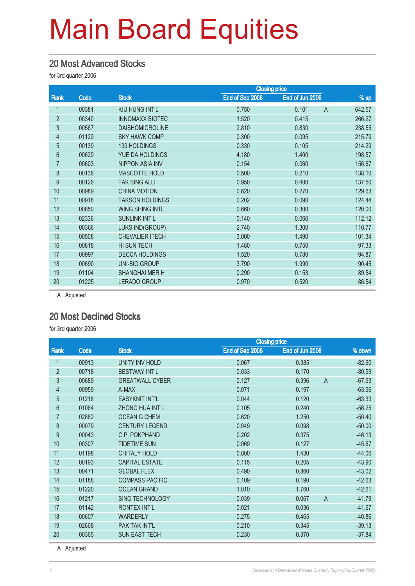#### 20 Most Advanced Stocks

for 3rd quarter 2006

|                |       |                        | <b>Closing price</b> |                         |        |
|----------------|-------|------------------------|----------------------|-------------------------|--------|
| Rank           | Code  | <b>Stock</b>           | End of Sep 2006      | End of Jun 2006         | % up   |
|                | 00381 | KIU HUNG INT'L         | 0.750                | 0.101<br>$\overline{A}$ | 642.57 |
| $\overline{2}$ | 00340 | <b>INNOMAXX BIOTEC</b> | 1.520                | 0.415                   | 266.27 |
| 3              | 00567 | <b>DAISHOMICROLINE</b> | 2.810                | 0.830                   | 238.55 |
| 4              | 01129 | <b>SKY HAWK COMP</b>   | 0.300                | 0.095                   | 215.79 |
| 5              | 00139 | 139 HOLDINGS           | 0.330                | 0.105                   | 214.29 |
| 6              | 00629 | <b>YUE DA HOLDINGS</b> | 4.180                | 1.400                   | 198.57 |
| $\overline{7}$ | 00603 | <b>NIPPON ASIA INV</b> | 0.154                | 0.060                   | 156.67 |
| 8              | 00136 | <b>MASCOTTE HOLD</b>   | 0.500                | 0.210                   | 138.10 |
| 9              | 00126 | <b>TAK SING ALLI</b>   | 0.950                | 0.400                   | 137.50 |
| 10             | 00989 | <b>CHINA MOTION</b>    | 0.620                | 0.270                   | 129.63 |
| 11             | 00918 | <b>TAKSON HOLDINGS</b> | 0.202                | 0.090                   | 124.44 |
| 12             | 00850 | <b>WING SHING INTL</b> | 0.660                | 0.300                   | 120.00 |
| 13             | 02336 | <b>SUNLINK INT'L</b>   | 0.140                | 0.066                   | 112.12 |
| 14             | 00366 | LUKS IND(GROUP)        | 2.740                | 1.300                   | 110.77 |
| 15             | 00508 | <b>CHEVALIER ITECH</b> | 3.000                | 1.490                   | 101.34 |
| 16             | 00818 | HI SUN TECH            | 1.480                | 0.750                   | 97.33  |
| 17             | 00997 | <b>DECCA HOLDINGS</b>  | 1.520                | 0.780                   | 94.87  |
| 18             | 00690 | <b>UNI-BIO GROUP</b>   | 3.790                | 1.990                   | 90.45  |
| 19             | 01104 | <b>SHANGHAI MER H</b>  | 0.290                | 0.153                   | 89.54  |
| 20             | 01225 | <b>LERADO GROUP</b>    | 0.970                | 0.520                   | 86.54  |
|                |       |                        |                      |                         |        |

A Adjusted

#### 20 Most Declined Stocks

for 3rd quarter 2006

|                |       |                        | <b>Closing price</b> |                 |          |
|----------------|-------|------------------------|----------------------|-----------------|----------|
| Rank           | Code  | <b>Stock</b>           | End of Sep 2006      | End of Jun 2006 | % down   |
| 1              | 00913 | UNITY INV HOLD         | 0.067                | 0.385           | $-82.60$ |
| $\overline{2}$ | 00718 | <b>BESTWAY INT'L</b>   | 0.033                | 0.170           | $-80.59$ |
| 3              | 00689 | <b>GREATWALL CYBER</b> | 0.127                | 0.396<br>A      | $-67.93$ |
| $\overline{4}$ | 00959 | A-MAX                  | 0.071                | 0.197           | $-63.96$ |
| 5              | 01218 | <b>EASYKNIT INT'L</b>  | 0.044                | 0.120           | $-63.33$ |
| 6              | 01064 | <b>ZHONG HUA INT'L</b> | 0.105                | 0.240           | $-56.25$ |
| 7              | 02882 | <b>OCEAN G CHEM</b>    | 0.620                | 1.250           | $-50.40$ |
| 8              | 00079 | <b>CENTURY LEGEND</b>  | 0.049                | 0.098           | $-50.00$ |
| 9              | 00043 | C.P. POKPHAND          | 0.202                | 0.375           | $-46.13$ |
| 10             | 00307 | <b>TIDETIME SUN</b>    | 0.069                | 0.127           | $-45.67$ |
| 11             | 01198 | <b>CHITALY HOLD</b>    | 0.800                | 1.430           | $-44.06$ |
| 12             | 00193 | <b>CAPITAL ESTATE</b>  | 0.115                | 0.205           | $-43.90$ |
| 13             | 00471 | <b>GLOBAL FLEX</b>     | 0.490                | 0.860           | $-43.02$ |
| 14             | 01188 | <b>COMPASS PACIFIC</b> | 0.109                | 0.190           | $-42.63$ |
| 15             | 01220 | <b>OCEAN GRAND</b>     | 1.010                | 1.760           | $-42.61$ |
| 16             | 01217 | <b>SINO TECHNOLOGY</b> | 0.039                | 0.067<br>A      | $-41.79$ |
| 17             | 01142 | <b>RONTEX INT'L</b>    | 0.021                | 0.036           | $-41.67$ |
| 18             | 00607 | <b>WARDERLY</b>        | 0.275                | 0.465           | $-40.86$ |
| 19             | 02668 | PAK TAK INT'L          | 0.210                | 0.345           | $-39.13$ |
| 20             | 00365 | <b>SUN EAST TECH</b>   | 0.230                | 0.370           | $-37.84$ |

A Adjusted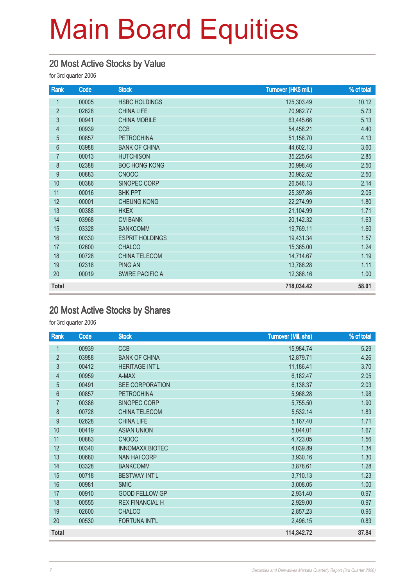#### 20 Most Active Stocks by Value

for 3rd quarter 2006

| Rank           | Code  | <b>Stock</b>           | Turnover (HK\$ mil.) | % of total |
|----------------|-------|------------------------|----------------------|------------|
| 1              | 00005 | <b>HSBC HOLDINGS</b>   | 125,303.49           | 10.12      |
| $\overline{2}$ | 02628 | <b>CHINA LIFE</b>      | 70,962.77            | 5.73       |
| 3              | 00941 | <b>CHINA MOBILE</b>    | 63,445.66            | 5.13       |
| $\overline{4}$ | 00939 | <b>CCB</b>             | 54,458.21            | 4.40       |
| 5              | 00857 | <b>PETROCHINA</b>      | 51,156.70            | 4.13       |
| $6\phantom{a}$ | 03988 | <b>BANK OF CHINA</b>   | 44,602.13            | 3.60       |
| $\overline{7}$ | 00013 | <b>HUTCHISON</b>       | 35,225.64            | 2.85       |
| 8              | 02388 | <b>BOC HONG KONG</b>   | 30,998.46            | 2.50       |
| 9              | 00883 | <b>CNOOC</b>           | 30,962.52            | 2.50       |
| 10             | 00386 | SINOPEC CORP           | 26,546.13            | 2.14       |
| 11             | 00016 | <b>SHK PPT</b>         | 25,397.86            | 2.05       |
| 12             | 00001 | <b>CHEUNG KONG</b>     | 22,274.99            | 1.80       |
| 13             | 00388 | <b>HKEX</b>            | 21,104.99            | 1.71       |
| 14             | 03968 | <b>CM BANK</b>         | 20,142.32            | 1.63       |
| 15             | 03328 | <b>BANKCOMM</b>        | 19,769.11            | 1.60       |
| 16             | 00330 | <b>ESPRIT HOLDINGS</b> | 19,431.34            | 1.57       |
| 17             | 02600 | <b>CHALCO</b>          | 15,365.00            | 1.24       |
| 18             | 00728 | CHINA TELECOM          | 14,714.67            | 1.19       |
| 19             | 02318 | <b>PING AN</b>         | 13,786.28            | 1.11       |
| 20             | 00019 | <b>SWIRE PACIFIC A</b> | 12,386.16            | 1.00       |
| <b>Total</b>   |       |                        | 718,034.42           | 58.01      |

### 20 Most Active Stocks by Shares

for 3rd quarter 2006

| Rank           | Code  | <b>Stock</b>           | <b>Turnover (Mil. shs)</b> | % of total |
|----------------|-------|------------------------|----------------------------|------------|
| $\mathbf{1}$   | 00939 | <b>CCB</b>             | 15,984.74                  | 5.29       |
| $\overline{2}$ | 03988 | <b>BANK OF CHINA</b>   | 12,879.71                  | 4.26       |
| 3              | 00412 | <b>HERITAGE INT'L</b>  | 11,186.41                  | 3.70       |
| 4              | 00959 | A-MAX                  | 6,182.47                   | 2.05       |
| $\overline{5}$ | 00491 | SEE CORPORATION        | 6,138.37                   | 2.03       |
| $6\phantom{a}$ | 00857 | <b>PETROCHINA</b>      | 5,968.28                   | 1.98       |
| 7              | 00386 | SINOPEC CORP           | 5,755.50                   | 1.90       |
| 8              | 00728 | <b>CHINA TELECOM</b>   | 5,532.14                   | 1.83       |
| 9              | 02628 | <b>CHINA LIFE</b>      | 5,167.40                   | 1.71       |
| 10             | 00419 | <b>ASIAN UNION</b>     | 5,044.01                   | 1.67       |
| 11             | 00883 | <b>CNOOC</b>           | 4,723.05                   | 1.56       |
| 12             | 00340 | <b>INNOMAXX BIOTEC</b> | 4,039.89                   | 1.34       |
| 13             | 00680 | <b>NAN HAI CORP</b>    | 3,930.16                   | 1.30       |
| 14             | 03328 | <b>BANKCOMM</b>        | 3,878.61                   | 1.28       |
| 15             | 00718 | <b>BESTWAY INT'L</b>   | 3,710.13                   | 1.23       |
| 16             | 00981 | <b>SMIC</b>            | 3,008.05                   | 1.00       |
| 17             | 00910 | <b>GOOD FELLOW GP</b>  | 2,931.40                   | 0.97       |
| 18             | 00555 | <b>REX FINANCIAL H</b> | 2,929.00                   | 0.97       |
| 19             | 02600 | <b>CHALCO</b>          | 2,857.23                   | 0.95       |
| 20             | 00530 | <b>FORTUNA INT'L</b>   | 2,496.15                   | 0.83       |
| Total          |       |                        | 114,342.72                 | 37.84      |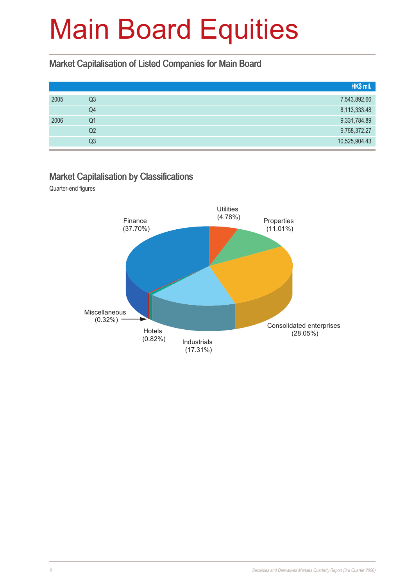#### Market Capitalisation of Listed Companies for Main Board

|                | HK\$ mil.     |
|----------------|---------------|
| Q3             | 7,543,892.66  |
| Q4             | 8,113,333.48  |
| Q1             | 9,331,784.89  |
| Q <sub>2</sub> | 9,758,372.27  |
| Q3             | 10,525,904.43 |
|                |               |

#### Market Capitalisation by Classifications

Quarter-end figures

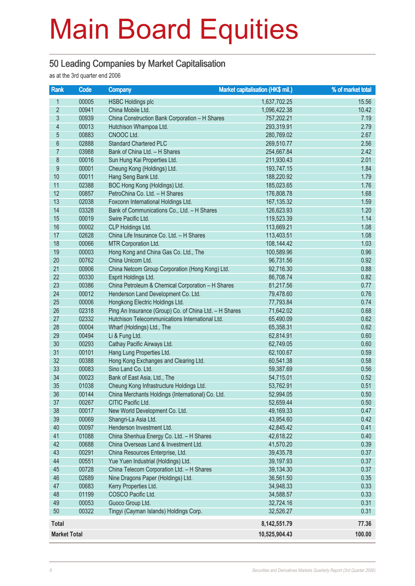#### 50 Leading Companies by Market Capitalisation

as at the 3rd quarter end 2006

| <b>Rank</b>              | Code  | <b>Company</b>                                         | Market capitalisation (HK\$ mil.) | % of market total |
|--------------------------|-------|--------------------------------------------------------|-----------------------------------|-------------------|
| 1                        | 00005 | <b>HSBC Holdings plc</b>                               | 1,637,702.25                      | 15.56             |
| $\overline{2}$           | 00941 | China Mobile Ltd.                                      | 1,096,422.38                      | 10.42             |
| $\overline{3}$           | 00939 | China Construction Bank Corporation - H Shares         | 757,202.21                        | 7.19              |
| $\overline{\mathcal{A}}$ | 00013 | Hutchison Whampoa Ltd.                                 | 293,319.91                        | 2.79              |
| $\overline{5}$           | 00883 | CNOOC Ltd.                                             | 280,769.02                        | 2.67              |
| $\boldsymbol{6}$         | 02888 | <b>Standard Chartered PLC</b>                          | 269,510.77                        | 2.56              |
| 7                        | 03988 | Bank of China Ltd. - H Shares                          | 254,667.84                        | 2.42              |
| $\bf 8$                  | 00016 | Sun Hung Kai Properties Ltd.                           | 211,930.43                        | 2.01              |
| $\overline{9}$           | 00001 | Cheung Kong (Holdings) Ltd.                            | 193,747.15                        | 1.84              |
| 10                       | 00011 | Hang Seng Bank Ltd.                                    | 188,220.92                        | 1.79              |
| 11                       | 02388 | BOC Hong Kong (Holdings) Ltd.                          | 185,023.65                        | 1.76              |
| 12                       | 00857 | PetroChina Co. Ltd. - H Shares                         | 176,808.78                        | 1.68              |
| 13                       | 02038 | Foxconn International Holdings Ltd.                    | 167, 135.32                       | 1.59              |
| 14                       | 03328 | Bank of Communications Co., Ltd. - H Shares            | 126,623.93                        | 1.20              |
| 15                       | 00019 | Swire Pacific Ltd.                                     | 119,523.39                        | 1.14              |
| 16                       | 00002 | CLP Holdings Ltd.                                      | 113,669.21                        | 1.08              |
| 17                       | 02628 | China Life Insurance Co. Ltd. - H Shares               | 113,403.51                        | 1.08              |
| 18                       | 00066 | MTR Corporation Ltd.                                   | 108,144.42                        | 1.03              |
| 19                       | 00003 | Hong Kong and China Gas Co. Ltd., The                  | 100,589.96                        | 0.96              |
| 20                       | 00762 | China Unicom Ltd.                                      | 96,731.56                         | 0.92              |
| 21                       | 00906 | China Netcom Group Corporation (Hong Kong) Ltd.        | 92,716.30                         | 0.88              |
| 22                       | 00330 | Esprit Holdings Ltd.                                   | 86,708.74                         | 0.82              |
| 23                       | 00386 | China Petroleum & Chemical Corporation - H Shares      | 81,217.56                         | 0.77              |
| 24                       | 00012 | Henderson Land Development Co. Ltd.                    | 79,478.60                         | 0.76              |
| 25                       | 00006 | Hongkong Electric Holdings Ltd.                        | 77,793.84                         | 0.74              |
| 26                       | 02318 | Ping An Insurance (Group) Co. of China Ltd. - H Shares | 71,642.02                         | 0.68              |
| 27                       | 02332 | Hutchison Telecommunications International Ltd.        | 65,490.09                         | 0.62              |
| 28                       | 00004 | Wharf (Holdings) Ltd., The                             | 65,358.31                         | 0.62              |
| 29                       | 00494 | Li & Fung Ltd.                                         | 62,814.91                         | 0.60              |
| 30                       | 00293 | Cathay Pacific Airways Ltd.                            | 62,749.05                         | 0.60              |
| 31                       | 00101 | Hang Lung Properties Ltd.                              | 62,100.67                         | 0.59              |
| 32                       | 00388 | Hong Kong Exchanges and Clearing Ltd.                  | 60,541.38                         | 0.58              |
| 33                       | 00083 | Sino Land Co. Ltd.                                     | 59,387.69                         | 0.56              |
| 34                       | 00023 | Bank of East Asia, Ltd., The                           | 54,715.01                         | 0.52              |
| 35                       | 01038 | Cheung Kong Infrastructure Holdings Ltd.               | 53,762.91                         | 0.51              |
| 36                       | 00144 | China Merchants Holdings (International) Co. Ltd.      | 52,994.05                         | 0.50              |
| 37                       | 00267 | CITIC Pacific Ltd.                                     | 52,659.44                         | 0.50              |
| 38                       | 00017 | New World Development Co. Ltd.                         | 49,169.33                         | 0.47              |
| 39                       | 00069 | Shangri-La Asia Ltd.                                   | 43,954.60                         | 0.42              |
| 40                       | 00097 | Henderson Investment Ltd.                              | 42,845.42                         | 0.41              |
| 41                       | 01088 | China Shenhua Energy Co. Ltd. - H Shares               | 42,618.22                         | 0.40              |
| 42                       | 00688 | China Overseas Land & Investment Ltd.                  | 41,570.20                         | 0.39              |
| 43                       | 00291 | China Resources Enterprise, Ltd.                       | 39,435.78                         | 0.37              |
| 44                       | 00551 | Yue Yuen Industrial (Holdings) Ltd.                    | 39,197.93                         | 0.37              |
| 45                       | 00728 | China Telecom Corporation Ltd. - H Shares              | 39,134.30                         | 0.37              |
| 46                       | 02689 | Nine Dragons Paper (Holdings) Ltd.                     | 36,561.50                         | 0.35              |
| 47                       | 00683 | Kerry Properties Ltd.                                  | 34,948.33                         | 0.33              |
| 48                       | 01199 | COSCO Pacific Ltd.                                     | 34,588.57                         | 0.33              |
| 49                       | 00053 | Guoco Group Ltd.                                       | 32,724.16                         | 0.31              |
| 50                       | 00322 | Tingyi (Cayman Islands) Holdings Corp.                 | 32,526.27                         | 0.31              |
| Total                    |       |                                                        | 8,142,551.79                      | 77.36             |
| <b>Market Total</b>      |       |                                                        | 10,525,904.43                     | 100.00            |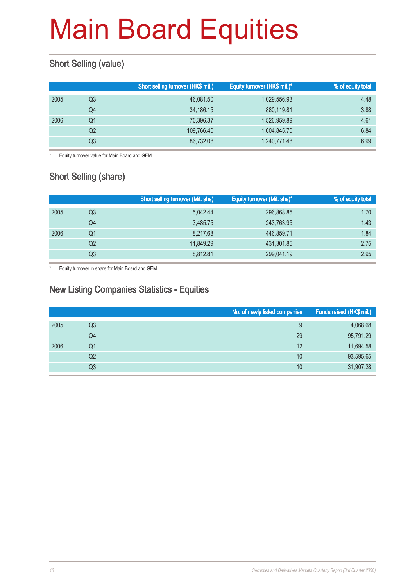### Short Selling (value)

|    | Short selling turnover (HK\$ mil.) | Equity turnover (HK\$ mil.)* | <b>%</b> of equity total |
|----|------------------------------------|------------------------------|--------------------------|
| Q3 | 46,081.50                          | 1,029,556.93                 | 4.48                     |
| Q4 | 34,186.15                          | 880,119.81                   | 3.88                     |
| Q1 | 70.396.37                          | 1,526,959.89                 | 4.61                     |
| Q2 | 109.766.40                         | 1,604,845.70                 | 6.84                     |
| Q3 | 86,732.08                          | 1,240,771.48                 | 6.99                     |
|    |                                    |                              |                          |

\* Equity turnover value for Main Board and GEM

### **Short Selling (share)**

|      |    | <b>Short selling turnover (Mil. shs)</b> | Equity turnover (Mil. shs)* | % of equity total |
|------|----|------------------------------------------|-----------------------------|-------------------|
| 2005 | Q3 | 5.042.44                                 | 296,868.85                  | 1.70              |
|      | Q4 | 3,485.75                                 | 243,763.95                  | 1.43              |
| 2006 | Q1 | 8,217.68                                 | 446,859.71                  | 1.84              |
|      | Q2 | 11.849.29                                | 431,301.85                  | 2.75              |
|      | Q3 | 8,812.81                                 | 299,041.19                  | 2.95              |

\* Equity turnover in share for Main Board and GEM

#### New Listing Companies Statistics - Equities

|      |                | No. of newly listed companies | Funds raised (HK\$ mil.) |
|------|----------------|-------------------------------|--------------------------|
| 2005 | Q3             | 9                             | 4,068.68                 |
|      | Q4             | 29                            | 95,791.29                |
| 2006 | Q1             | 12                            | 11,694.58                |
|      | Q2             | 10                            | 93,595.65                |
|      | Q <sub>3</sub> | 10                            | 31,907.28                |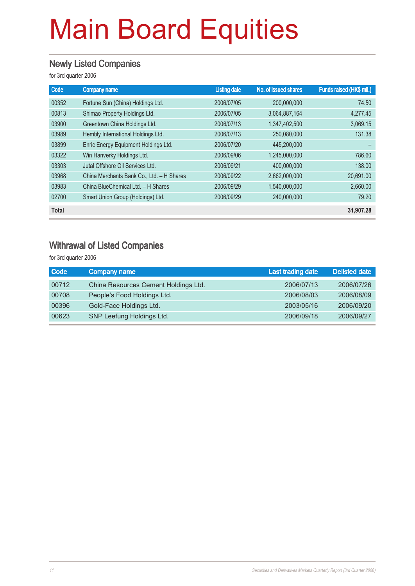#### Newly Listed Companies

for 3rd quarter 2006

| Code         | <b>Company name</b>                       | <b>Listing date</b> | No. of issued shares | Funds raised (HK\$ mil.) |
|--------------|-------------------------------------------|---------------------|----------------------|--------------------------|
| 00352        | Fortune Sun (China) Holdings Ltd.         | 2006/07/05          | 200,000,000          | 74.50                    |
| 00813        | Shimao Property Holdings Ltd.             | 2006/07/05          | 3,064,887,164        | 4,277.45                 |
| 03900        | Greentown China Holdings Ltd.             | 2006/07/13          | 1,347,402,500        | 3,069.15                 |
| 03989        | Hembly International Holdings Ltd.        | 2006/07/13          | 250.080.000          | 131.38                   |
| 03899        | Enric Energy Equipment Holdings Ltd.      | 2006/07/20          | 445,200,000          |                          |
| 03322        | Win Hanverky Holdings Ltd.                | 2006/09/06          | 1,245,000,000        | 786.60                   |
| 03303        | Jutal Offshore Oil Services Ltd.          | 2006/09/21          | 400,000,000          | 138,00                   |
| 03968        | China Merchants Bank Co., Ltd. - H Shares | 2006/09/22          | 2,662,000,000        | 20,691.00                |
| 03983        | China BlueChemical Ltd. - H Shares        | 2006/09/29          | 1,540,000,000        | 2,660.00                 |
| 02700        | Smart Union Group (Holdings) Ltd.         | 2006/09/29          | 240,000,000          | 79.20                    |
| <b>Total</b> |                                           |                     |                      | 31,907.28                |

#### Withrawal of Listed Companies

for 3rd quarter 2006

| <b>Code</b> | <b>Company name</b>                  | <b>Last trading date</b> | <b>Delisted date</b> |
|-------------|--------------------------------------|--------------------------|----------------------|
| 00712       | China Resources Cement Holdings Ltd. | 2006/07/13               | 2006/07/26           |
| 00708       | People's Food Holdings Ltd.          | 2006/08/03               | 2006/08/09           |
| 00396       | Gold-Face Holdings Ltd.              | 2003/05/16               | 2006/09/20           |
| 00623       | SNP Leefung Holdings Ltd.            | 2006/09/18               | 2006/09/27           |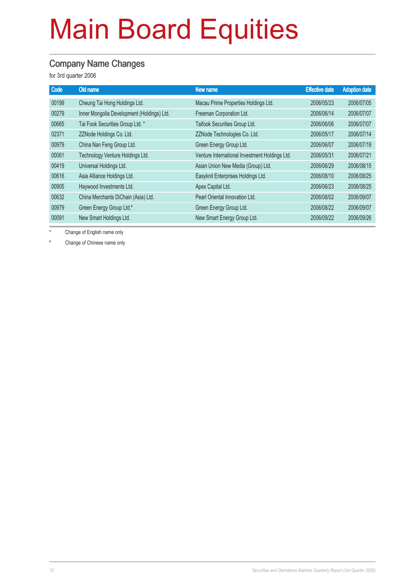#### Company Name Changes

for 3rd quarter 2006

| Code  | Old name                                   | New name                                       | <b>Effective date</b> | <b>Adoption date</b> |
|-------|--------------------------------------------|------------------------------------------------|-----------------------|----------------------|
| 00199 | Cheung Tai Hong Holdings Ltd.              | Macau Prime Properties Holdings Ltd.           | 2006/05/23            | 2006/07/05           |
| 00279 | Inner Mongolia Development (Holdings) Ltd. | Freeman Corporation Ltd.                       | 2006/06/14            | 2006/07/07           |
| 00665 | Tai Fook Securities Group Ltd. *           | Taifook Securities Group Ltd.                  | 2006/06/06            | 2006/07/07           |
| 02371 | ZZNode Holdings Co. Ltd.                   | ZZNode Technologies Co. Ltd.                   | 2006/05/17            | 2006/07/14           |
| 00979 | China Nan Feng Group Ltd.                  | Green Energy Group Ltd.                        | 2006/06/07            | 2006/07/19           |
| 00061 | Technology Venture Holdings Ltd.           | Venture International Investment Holdings Ltd. | 2006/05/31            | 2006/07/21           |
| 00419 | Universal Holdings Ltd.                    | Asian Union New Media (Group) Ltd.             | 2006/06/29            | 2006/08/15           |
| 00616 | Asia Alliance Holdings Ltd.                | Easyknit Enterprises Holdings Ltd.             | 2006/08/10            | 2006/08/25           |
| 00905 | Haywood Investments Ltd.                   | Apex Capital Ltd.                              | 2006/06/23            | 2006/08/25           |
| 00632 | China Merchants DiChain (Asia) Ltd.        | Pearl Oriental Innovation Ltd.                 | 2006/08/02            | 2006/09/07           |
| 00979 | Green Energy Group Ltd.#                   | Green Energy Group Ltd.                        | 2006/08/22            | 2006/09/07           |
| 00091 | New Smart Holdings Ltd.                    | New Smart Energy Group Ltd.                    | 2006/09/22            | 2006/09/26           |

Change of English name only

# Change of Chinese name only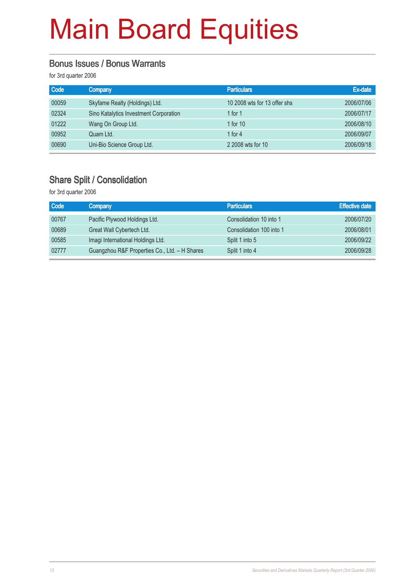#### Bonus Issues / Bonus Warrants

for 3rd quarter 2006

| Code  | Company                                | <b>Particulars</b>           | Ex-date    |
|-------|----------------------------------------|------------------------------|------------|
| 00059 | Skyfame Realty (Holdings) Ltd.         | 10 2008 wts for 13 offer shs | 2006/07/06 |
| 02324 | Sino Katalytics Investment Corporation | 1 for $1$                    | 2006/07/17 |
| 01222 | Wang On Group Ltd.                     | 1 for $10$                   | 2006/08/10 |
| 00952 | Quam Ltd.                              | 1 for $4$                    | 2006/09/07 |
| 00690 | Uni-Bio Science Group Ltd.             | 2 2008 wts for 10            | 2006/09/18 |

#### Share Split / Consolidation

for 3rd quarter 2006

| Code  | Company                                       | <b>Particulars</b>       | <b>Effective date</b> |
|-------|-----------------------------------------------|--------------------------|-----------------------|
| 00767 | Pacific Plywood Holdings Ltd.                 | Consolidation 10 into 1  | 2006/07/20            |
| 00689 | Great Wall Cybertech Ltd.                     | Consolidation 100 into 1 | 2006/08/01            |
| 00585 | Imagi International Holdings Ltd.             | Split 1 into 5           | 2006/09/22            |
| 02777 | Guangzhou R&F Properties Co., Ltd. - H Shares | Split 1 into 4           | 2006/09/28            |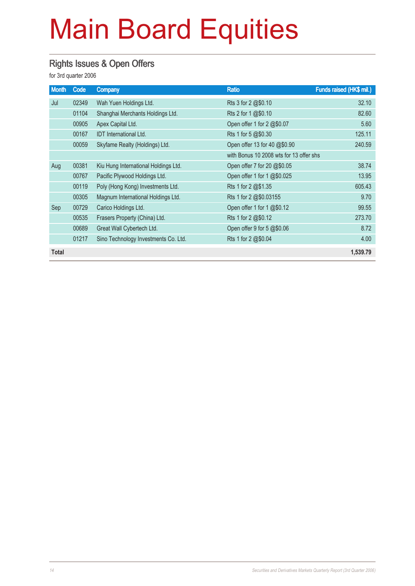### Rights Issues & Open Offers

for 3rd quarter 2006

| <b>Month</b> | Code  | <b>Company</b>                       | <b>Ratio</b>                            | Funds raised (HK\$ mil.) |
|--------------|-------|--------------------------------------|-----------------------------------------|--------------------------|
| Jul          | 02349 | Wah Yuen Holdings Ltd.               | Rts 3 for 2 @\$0.10                     | 32.10                    |
|              | 01104 | Shanghai Merchants Holdings Ltd.     | Rts 2 for 1 @\$0.10                     | 82.60                    |
|              | 00905 | Apex Capital Ltd.                    | Open offer 1 for 2 @\$0.07              | 5.60                     |
|              | 00167 | <b>IDT</b> International Ltd.        | Rts 1 for 5 @\$0.30                     | 125.11                   |
|              | 00059 | Skyfame Realty (Holdings) Ltd.       | Open offer 13 for 40 @\$0.90            | 240.59                   |
|              |       |                                      | with Bonus 10 2008 wts for 13 offer shs |                          |
| Aug          | 00381 | Kiu Hung International Holdings Ltd. | Open offer 7 for 20 @\$0.05             | 38.74                    |
|              | 00767 | Pacific Plywood Holdings Ltd.        | Open offer 1 for 1 @\$0.025             | 13.95                    |
|              | 00119 | Poly (Hong Kong) Investments Ltd.    | Rts 1 for 2 @\$1.35                     | 605.43                   |
|              | 00305 | Magnum International Holdings Ltd.   | Rts 1 for 2 @\$0.03155                  | 9.70                     |
| Sep          | 00729 | Carico Holdings Ltd.                 | Open offer 1 for 1 @\$0.12              | 99.55                    |
|              | 00535 | Frasers Property (China) Ltd.        | Rts 1 for 2 @\$0.12                     | 273.70                   |
|              | 00689 | Great Wall Cybertech Ltd.            | Open offer 9 for 5 @\$0.06              | 8.72                     |
|              | 01217 | Sino Technology Investments Co. Ltd. | Rts 1 for 2 @\$0.04                     | 4.00                     |
| <b>Total</b> |       |                                      |                                         | 1,539.79                 |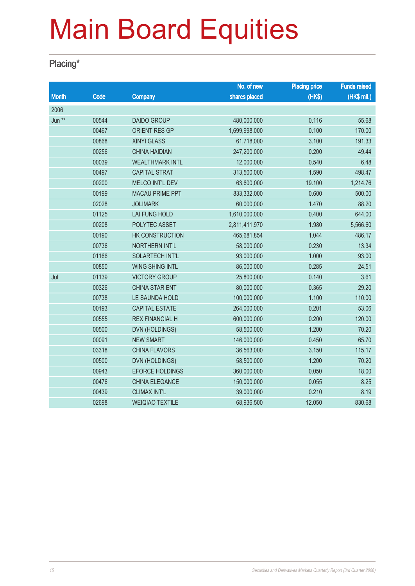### Placing\*

|              |       |                        | No. of new    | <b>Placing price</b> | <b>Funds raised</b> |
|--------------|-------|------------------------|---------------|----------------------|---------------------|
| <b>Month</b> | Code  | <b>Company</b>         | shares placed | (HK\$)               | $(HK$$ mil.)        |
| 2006         |       |                        |               |                      |                     |
| Jun **       | 00544 | <b>DAIDO GROUP</b>     | 480,000,000   | 0.116                | 55.68               |
|              | 00467 | <b>ORIENT RES GP</b>   | 1,699,998,000 | 0.100                | 170.00              |
|              | 00868 | <b>XINYI GLASS</b>     | 61,718,000    | 3.100                | 191.33              |
|              | 00256 | <b>CHINA HAIDIAN</b>   | 247,200,000   | 0.200                | 49.44               |
|              | 00039 | <b>WEALTHMARK INTL</b> | 12,000,000    | 0.540                | 6.48                |
|              | 00497 | <b>CAPITAL STRAT</b>   | 313,500,000   | 1.590                | 498.47              |
|              | 00200 | <b>MELCO INT'L DEV</b> | 63,600,000    | 19.100               | 1,214.76            |
|              | 00199 | <b>MACAU PRIME PPT</b> | 833,332,000   | 0.600                | 500.00              |
|              | 02028 | <b>JOLIMARK</b>        | 60,000,000    | 1.470                | 88.20               |
|              | 01125 | <b>LAI FUNG HOLD</b>   | 1,610,000,000 | 0.400                | 644.00              |
|              | 00208 | POLYTEC ASSET          | 2,811,411,970 | 1.980                | 5,566.60            |
|              | 00190 | HK CONSTRUCTION        | 465,681,854   | 1.044                | 486.17              |
|              | 00736 | <b>NORTHERN INT'L</b>  | 58,000,000    | 0.230                | 13.34               |
|              | 01166 | SOLARTECH INT'L        | 93,000,000    | 1.000                | 93.00               |
|              | 00850 | <b>WING SHING INTL</b> | 86,000,000    | 0.285                | 24.51               |
| Jul          | 01139 | <b>VICTORY GROUP</b>   | 25,800,000    | 0.140                | 3.61                |
|              | 00326 | <b>CHINA STAR ENT</b>  | 80,000,000    | 0.365                | 29.20               |
|              | 00738 | LE SAUNDA HOLD         | 100,000,000   | 1.100                | 110.00              |
|              | 00193 | <b>CAPITAL ESTATE</b>  | 264,000,000   | 0.201                | 53.06               |
|              | 00555 | <b>REX FINANCIAL H</b> | 600,000,000   | 0.200                | 120.00              |
|              | 00500 | <b>DVN (HOLDINGS)</b>  | 58,500,000    | 1.200                | 70.20               |
|              | 00091 | <b>NEW SMART</b>       | 146,000,000   | 0.450                | 65.70               |
|              | 03318 | <b>CHINA FLAVORS</b>   | 36,563,000    | 3.150                | 115.17              |
|              | 00500 | <b>DVN (HOLDINGS)</b>  | 58,500,000    | 1.200                | 70.20               |
|              | 00943 | <b>EFORCE HOLDINGS</b> | 360,000,000   | 0.050                | 18.00               |
|              | 00476 | CHINA ELEGANCE         | 150,000,000   | 0.055                | 8.25                |
|              | 00439 | <b>CLIMAX INT'L</b>    | 39,000,000    | 0.210                | 8.19                |
|              | 02698 | <b>WEIQIAO TEXTILE</b> | 68,936,500    | 12.050               | 830.68              |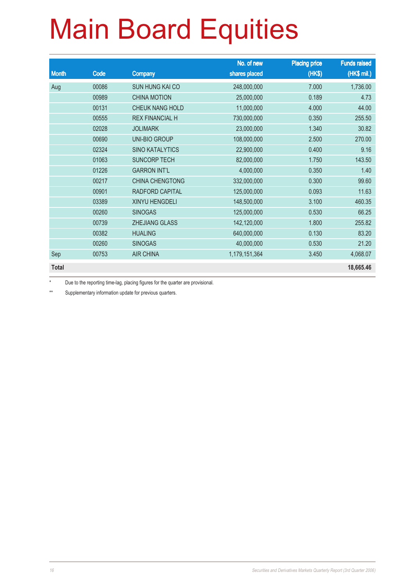|              |       |                        | No. of new    | <b>Placing price</b> | <b>Funds raised</b> |
|--------------|-------|------------------------|---------------|----------------------|---------------------|
| <b>Month</b> | Code  | <b>Company</b>         | shares placed | (HKS)                | (HK\$ mil.)         |
| Aug          | 00086 | <b>SUN HUNG KAI CO</b> | 248,000,000   | 7.000                | 1,736.00            |
|              | 00989 | <b>CHINA MOTION</b>    | 25,000,000    | 0.189                | 4.73                |
|              | 00131 | <b>CHEUK NANG HOLD</b> | 11,000,000    | 4.000                | 44.00               |
|              | 00555 | <b>REX FINANCIAL H</b> | 730,000,000   | 0.350                | 255.50              |
|              | 02028 | <b>JOLIMARK</b>        | 23,000,000    | 1.340                | 30.82               |
|              | 00690 | UNI-BIO GROUP          | 108,000,000   | 2.500                | 270.00              |
|              | 02324 | <b>SINO KATALYTICS</b> | 22,900,000    | 0.400                | 9.16                |
|              | 01063 | <b>SUNCORP TECH</b>    | 82,000,000    | 1.750                | 143.50              |
|              | 01226 | <b>GARRON INT'L</b>    | 4,000,000     | 0.350                | 1.40                |
|              | 00217 | <b>CHINA CHENGTONG</b> | 332,000,000   | 0.300                | 99.60               |
|              | 00901 | RADFORD CAPITAL        | 125,000,000   | 0.093                | 11.63               |
|              | 03389 | XINYU HENGDELI         | 148,500,000   | 3.100                | 460.35              |
|              | 00260 | <b>SINOGAS</b>         | 125,000,000   | 0.530                | 66.25               |
|              | 00739 | <b>ZHEJIANG GLASS</b>  | 142,120,000   | 1.800                | 255.82              |
|              | 00382 | <b>HUALING</b>         | 640,000,000   | 0.130                | 83.20               |
|              | 00260 | <b>SINOGAS</b>         | 40,000,000    | 0.530                | 21.20               |
| Sep          | 00753 | <b>AIR CHINA</b>       | 1,179,151,364 | 3.450                | 4,068.07            |
| <b>Total</b> |       |                        |               |                      | 18,665.46           |

\* Due to the reporting time-lag, placing figures for the quarter are provisional.

\*\* Supplementary information update for previous quarters.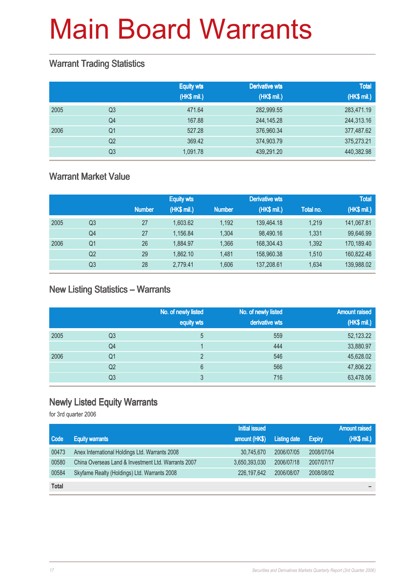#### Warrant Trading Statistics

|      |                | <b>Equity wts</b><br>(HK\$ mil.) | <b>Derivative wts</b><br>(HK\$ mil.) | <b>Total</b><br>(HK\$ mil.) |
|------|----------------|----------------------------------|--------------------------------------|-----------------------------|
| 2005 | Q <sub>3</sub> | 471.64                           | 282,999.55                           | 283,471.19                  |
|      | Q <sub>4</sub> | 167.88                           | 244,145.28                           | 244,313.16                  |
| 2006 | Q1             | 527.28                           | 376,960.34                           | 377,487.62                  |
|      | Q2             | 369.42                           | 374,903.79                           | 375,273.21                  |
|      | Q <sub>3</sub> | 1,091.78                         | 439,291.20                           | 440,382.98                  |

### Warrant Market Value

|      |                |               | <b>Equity wts</b> |               | <b>Derivative wts</b> |           | <b>Total</b> |
|------|----------------|---------------|-------------------|---------------|-----------------------|-----------|--------------|
|      |                | <b>Number</b> | (HK\$ mil.)       | <b>Number</b> | (HK\$ mil.)           | Total no. | (HK\$ mil.)  |
| 2005 | Q3             | 27            | 1,603.62          | 1.192         | 139,464.18            | 1.219     | 141,067.81   |
|      | Q4             | 27            | 1.156.84          | 1.304         | 98.490.16             | 1.331     | 99,646.99    |
| 2006 | Q1             | 26            | 1.884.97          | 1.366         | 168,304.43            | 1,392     | 170,189.40   |
|      | Q <sub>2</sub> | 29            | 1.862.10          | 1.481         | 158,960,38            | 1.510     | 160.822.48   |
|      | Q3             | 28            | 2,779.41          | 1.606         | 137,208.61            | 1.634     | 139,988.02   |

### New Listing Statistics – Warrants

|      |    | No. of newly listed<br>equity wts | No. of newly listed<br>derivative wts | <b>Amount raised</b><br>(HK\$ mil.) |
|------|----|-----------------------------------|---------------------------------------|-------------------------------------|
| 2005 | Q3 | 5                                 | 559                                   | 52,123.22                           |
|      | Q4 |                                   | 444                                   | 33,880.97                           |
| 2006 | Q1 | C                                 | 546                                   | 45,628.02                           |
|      | Q2 | 6                                 | 566                                   | 47,806.22                           |
|      | Q3 | 3                                 | 716                                   | 63,478.06                           |

## Newly Listed Equity Warrants

for 3rd quarter 2006

|              |                                                     | <b>Initial issued</b> |                     |               | <b>Amount raised</b> |
|--------------|-----------------------------------------------------|-----------------------|---------------------|---------------|----------------------|
| Code         | <b>Equity warrants</b>                              | amount (HK\$)         | <b>Listing date</b> | <b>Expiry</b> | (HK\$ mil.)          |
| 00473        | Anex International Holdings Ltd. Warrants 2008      | 30,745,670            | 2006/07/05          | 2008/07/04    |                      |
| 00580        | China Overseas Land & Investment Ltd. Warrants 2007 | 3,650,393,030         | 2006/07/18          | 2007/07/17    |                      |
| 00584        | Skyfame Realty (Holdings) Ltd. Warrants 2008        | 226, 197, 642         | 2006/08/07          | 2008/08/02    |                      |
| <b>Total</b> |                                                     |                       |                     |               |                      |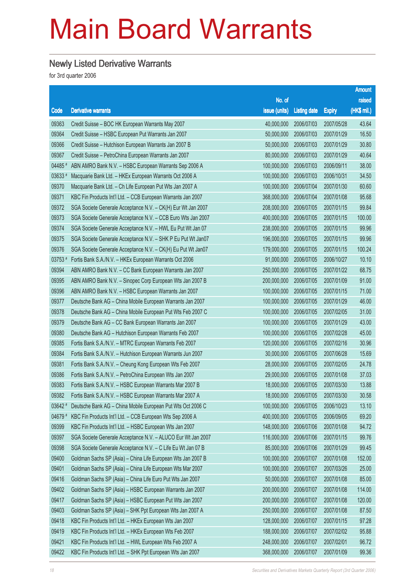### Newly Listed Derivative Warrants

for 3rd quarter 2006

|          |                                                              |               |                     |               | <b>Amount</b> |
|----------|--------------------------------------------------------------|---------------|---------------------|---------------|---------------|
|          |                                                              | No. of        |                     |               | raised        |
| Code     | <b>Derivative warrants</b>                                   | issue (units) | <b>Listing date</b> | <b>Expiry</b> | (HK\$ mil.)   |
| 09363    | Credit Suisse - BOC HK European Warrants May 2007            | 40,000,000    | 2006/07/03          | 2007/05/28    | 43.64         |
| 09364    | Credit Suisse - HSBC European Put Warrants Jan 2007          | 50,000,000    | 2006/07/03          | 2007/01/29    | 16.50         |
| 09366    | Credit Suisse - Hutchison European Warrants Jan 2007 B       | 50,000,000    | 2006/07/03          | 2007/01/29    | 30.80         |
| 09367    | Credit Suisse - PetroChina European Warrants Jan 2007        | 80,000,000    | 2006/07/03          | 2007/01/29    | 40.64         |
| 04485 #  | ABN AMRO Bank N.V. - HSBC European Warrants Sep 2006 A       | 100,000,000   | 2006/07/03          | 2006/09/11    | 38.00         |
| 03633    | Macquarie Bank Ltd. - HKEx European Warrants Oct 2006 A      | 100,000,000   | 2006/07/03          | 2006/10/31    | 34.50         |
| 09370    | Macquarie Bank Ltd. - Ch Life European Put Wts Jan 2007 A    | 100,000,000   | 2006/07/04          | 2007/01/30    | 60.60         |
| 09371    | KBC Fin Products Int'l Ltd. - CCB European Warrants Jan 2007 | 368,000,000   | 2006/07/04          | 2007/01/08    | 95.68         |
| 09372    | SGA Societe Generale Acceptance N.V. - CK(H) Eur Wt Jan 2007 | 208,000,000   | 2006/07/05          | 2007/01/15    | 99.84         |
| 09373    | SGA Societe Generale Acceptance N.V. - CCB Euro Wts Jan 2007 | 400,000,000   | 2006/07/05          | 2007/01/15    | 100.00        |
| 09374    | SGA Societe Generale Acceptance N.V. - HWL Eu Put Wt Jan 07  | 238,000,000   | 2006/07/05          | 2007/01/15    | 99.96         |
| 09375    | SGA Societe Generale Acceptance N.V. - SHK P Eu Put Wt Jan07 | 196,000,000   | 2006/07/05          | 2007/01/15    | 99.96         |
| 09376    | SGA Societe Generale Acceptance N.V. - CK(H) Eu Put Wt Jan07 | 179,000,000   | 2006/07/05          | 2007/01/15    | 100.24        |
| 03753 #  | Fortis Bank S.A./N.V. - HKEx European Warrants Oct 2006      | 91,000,000    | 2006/07/05          | 2006/10/27    | 10.10         |
| 09394    | ABN AMRO Bank N.V. - CC Bank European Warrants Jan 2007      | 250,000,000   | 2006/07/05          | 2007/01/22    | 68.75         |
| 09395    | ABN AMRO Bank N.V. - Sinopec Corp European Wts Jan 2007 B    | 200,000,000   | 2006/07/05          | 2007/01/09    | 91.00         |
| 09396    | ABN AMRO Bank N.V. - HSBC European Warrants Jan 2007         | 100,000,000   | 2006/07/05          | 2007/01/15    | 71.00         |
| 09377    | Deutsche Bank AG - China Mobile European Warrants Jan 2007   | 100,000,000   | 2006/07/05          | 2007/01/29    | 46.00         |
| 09378    | Deutsche Bank AG - China Mobile European Put Wts Feb 2007 C  | 100,000,000   | 2006/07/05          | 2007/02/05    | 31.00         |
| 09379    | Deutsche Bank AG - CC Bank European Warrants Jan 2007        | 100,000,000   | 2006/07/05          | 2007/01/29    | 43.00         |
| 09380    | Deutsche Bank AG - Hutchison European Warrants Feb 2007      | 100,000,000   | 2006/07/05          | 2007/02/28    | 45.00         |
| 09385    | Fortis Bank S.A./N.V. - MTRC European Warrants Feb 2007      | 120,000,000   | 2006/07/05          | 2007/02/16    | 30.96         |
| 09384    | Fortis Bank S.A./N.V. - Hutchison European Warrants Jun 2007 | 30,000,000    | 2006/07/05          | 2007/06/28    | 15.69         |
| 09381    | Fortis Bank S.A./N.V. - Cheung Kong European Wts Feb 2007    | 28,000,000    | 2006/07/05          | 2007/02/05    | 24.78         |
| 09386    | Fortis Bank S.A./N.V. - PetroChina European Wts Jan 2007     | 29,000,000    | 2006/07/05          | 2007/01/08    | 37.03         |
| 09383    | Fortis Bank S.A./N.V. - HSBC European Warrants Mar 2007 B    | 18,000,000    | 2006/07/05          | 2007/03/30    | 13.88         |
| 09382    | Fortis Bank S.A./N.V. - HSBC European Warrants Mar 2007 A    | 18,000,000    | 2006/07/05          | 2007/03/30    | 30.58         |
| $03642*$ | Deutsche Bank AG - China Mobile European Put Wts Oct 2006 C  | 100,000,000   | 2006/07/05          | 2006/10/23    | 13.10         |
| 04679 #  | KBC Fin Products Int'l Ltd. - CCB European Wts Sep 2006 A    | 400,000,000   | 2006/07/05          | 2006/09/05    | 69.20         |
| 09399    | KBC Fin Products Int'l Ltd. - HSBC European Wts Jan 2007     | 148,000,000   | 2006/07/06          | 2007/01/08    | 94.72         |
| 09397    | SGA Societe Generale Acceptance N.V. - ALUCO Eur Wt Jan 2007 | 116,000,000   | 2006/07/06          | 2007/01/15    | 99.76         |
| 09398    | SGA Societe Generale Acceptance N.V. - C Life Eu Wt Jan 07 B | 85,000,000    | 2006/07/06          | 2007/01/29    | 99.45         |
| 09400    | Goldman Sachs SP (Asia) - China Life European Wts Jan 2007 B | 100,000,000   | 2006/07/07          | 2007/01/08    | 152.00        |
| 09401    | Goldman Sachs SP (Asia) - China Life European Wts Mar 2007   | 100,000,000   | 2006/07/07          | 2007/03/26    | 25.00         |
| 09416    | Goldman Sachs SP (Asia) - China Life Euro Put Wts Jan 2007   | 50,000,000    | 2006/07/07          | 2007/01/08    | 85.00         |
| 09402    | Goldman Sachs SP (Asia) - HSBC European Warrants Jan 2007    | 200,000,000   | 2006/07/07          | 2007/01/08    | 114.00        |
| 09417    | Goldman Sachs SP (Asia) - HSBC European Put Wts Jan 2007     | 200,000,000   | 2006/07/07          | 2007/01/08    | 120.00        |
| 09403    | Goldman Sachs SP (Asia) - SHK Ppt European Wts Jan 2007 A    | 250,000,000   | 2006/07/07          | 2007/01/08    | 87.50         |
| 09418    | KBC Fin Products Int'l Ltd. - HKEx European Wts Jan 2007     | 128,000,000   | 2006/07/07          | 2007/01/15    | 97.28         |
| 09419    | KBC Fin Products Int'l Ltd. - HKEx European Wts Feb 2007     | 188,000,000   | 2006/07/07          | 2007/02/02    | 95.88         |
| 09421    | KBC Fin Products Int'l Ltd. - HWL European Wts Feb 2007 A    | 248,000,000   | 2006/07/07          | 2007/02/01    | 96.72         |
| 09422    | KBC Fin Products Int'l Ltd. - SHK Ppt European Wts Jan 2007  | 368,000,000   | 2006/07/07          | 2007/01/09    | 99.36         |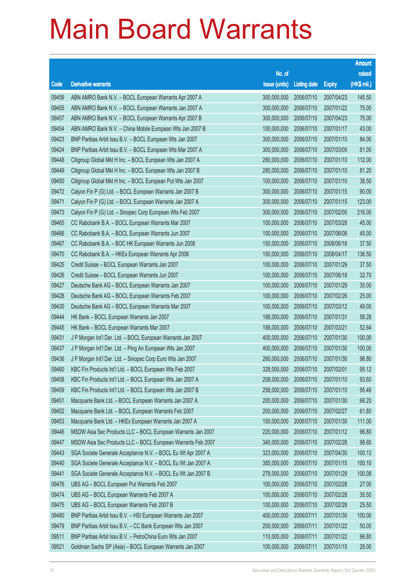|                |                                                                                        |                            |                          |                          | <b>Amount</b>  |
|----------------|----------------------------------------------------------------------------------------|----------------------------|--------------------------|--------------------------|----------------|
|                |                                                                                        | No. of                     |                          |                          | raised         |
| Code           | <b>Derivative warrants</b>                                                             | issue (units)              | <b>Listing date</b>      | <b>Expiry</b>            | (HK\$ mil.)    |
| 09456          | ABN AMRO Bank N.V. - BOCL European Warrants Apr 2007 A                                 | 300,000,000                | 2006/07/10               | 2007/04/23               | 145.50         |
| 09455          | ABN AMRO Bank N.V. - BOCL European Warrants Jan 2007 A                                 | 300,000,000                | 2006/07/10               | 2007/01/22               | 75.00          |
| 09457          | ABN AMRO Bank N.V. - BOCL European Warrants Apr 2007 B                                 | 300,000,000                | 2006/07/10               | 2007/04/23               | 75.00          |
| 09454          | ABN AMRO Bank N.V. - China Mobile European Wts Jan 2007 B                              | 100,000,000                | 2006/07/10               | 2007/01/17               | 43.00          |
| 09423          | BNP Paribas Arbit Issu B.V. - BOCL European Wts Jan 2007                               | 300,000,000                | 2006/07/10               | 2007/01/10               | 84.00          |
| 09424          | BNP Paribas Arbit Issu B.V. - BOCL European Wts Mar 2007 A                             | 300,000,000                | 2006/07/10               | 2007/03/05               | 81.00          |
| 09448          | Citigroup Global Mkt H Inc. - BOCL European Wts Jan 2007 A                             | 280,000,000                | 2006/07/10               | 2007/01/10               | 112.00         |
| 09449          | Citigroup Global Mkt H Inc. - BOCL European Wts Jan 2007 B                             | 280,000,000                | 2006/07/10               | 2007/01/10               | 81.20          |
| 09450          | Citigroup Global Mkt H Inc. - BOCL European Put Wts Jan 2007                           | 100,000,000                | 2006/07/10               | 2007/01/10               | 38.50          |
| 09472          | Calyon Fin P (G) Ltd. - BOCL European Warrants Jan 2007 B                              | 300,000,000                | 2006/07/10               | 2007/01/15               | 90.00          |
| 09471          | Calyon Fin P (G) Ltd. - BOCL European Warrants Jan 2007 A                              | 300,000,000                | 2006/07/10               | 2007/01/15               | 123.00         |
| 09473          | Calyon Fin P (G) Ltd. - Sinopec Corp European Wts Feb 2007                             | 300,000,000                | 2006/07/10               | 2007/02/05               | 216.00         |
| 09465          | CC Rabobank B.A. - BOCL European Warrants Mar 2007                                     | 100,000,000                | 2006/07/10               | 2007/03/28               | 45.00          |
| 09466          | CC Rabobank B.A. - BOCL European Warrants Jun 2007                                     | 100,000,000                | 2006/07/10               | 2007/06/08               | 45.00          |
| 09467          | CC Rabobank B.A. - BOC HK European Warrants Jun 2008                                   | 150,000,000                | 2006/07/10               | 2008/06/18               | 37.50          |
| 09470          | CC Rabobank B.A. - HKEx European Warrants Apr 2008                                     | 150,000,000                | 2006/07/10               | 2008/04/17               | 136.50         |
| 09425          | Credit Suisse - BOCL European Warrants Jan 2007                                        | 100,000,000                | 2006/07/10               | 2007/01/29               | 37.50          |
| 09426          | Credit Suisse - BOCL European Warrants Jun 2007                                        | 100,000,000                | 2006/07/10               | 2007/06/18               | 32.70          |
| 09427          | Deutsche Bank AG - BOCL European Warrants Jan 2007                                     | 100,000,000                | 2006/07/10               | 2007/01/29               | 35.00          |
| 09428          | Deutsche Bank AG - BOCL European Warrants Feb 2007                                     | 100,000,000                | 2006/07/10               | 2007/02/26               | 25.00          |
| 09430<br>09444 | Deutsche Bank AG - BOCL European Warrants Mar 2007                                     | 100,000,000                | 2006/07/10               | 2007/03/12               | 49.00<br>58.28 |
| 09445          | HK Bank - BOCL European Warrants Jan 2007<br>HK Bank - BOCL European Warrants Mar 2007 | 188,000,000<br>188,000,000 | 2006/07/10<br>2006/07/10 | 2007/01/31<br>2007/03/21 | 52.64          |
| 09431          | J P Morgan Int'l Der. Ltd. - BOCL European Warrants Jan 2007                           | 400,000,000                | 2006/07/10               | 2007/01/30               | 100.00         |
| 09437          | J P Morgan Int'l Der. Ltd. - Ping An European Wts Jan 2007                             | 400,000,000                | 2006/07/10               | 2007/01/30               | 100.00         |
| 09436          | J P Morgan Int'l Der. Ltd. - Sinopec Corp Euro Wts Jan 2007                            | 260,000,000                | 2006/07/10               | 2007/01/30               | 98.80          |
| 09460          | KBC Fin Products Int'l Ltd. - BOCL European Wts Feb 2007                               | 328,000,000                | 2006/07/10               | 2007/02/01               | 95.12          |
| 09458          | KBC Fin Products Int'l Ltd. - BOCL European Wts Jan 2007 A                             | 208,000,000                | 2006/07/10               | 2007/01/10               | 93.60          |
| 09459          | KBC Fin Products Int'l Ltd. - BOCL European Wts Jan 2007 B                             | 258,000,000                | 2006/07/10               | 2007/01/10               | 95.46          |
| 09451          | Macquarie Bank Ltd. - BOCL European Warrants Jan 2007 A                                | 200,000,000                | 2006/07/10               | 2007/01/30               | 66.20          |
| 09452          | Macquarie Bank Ltd. - BOCL European Warrants Feb 2007                                  | 200,000,000                | 2006/07/10               | 2007/02/27               | 61.80          |
| 09453          | Macquarie Bank Ltd. - HKEx European Warrants Jan 2007 A                                | 150,000,000                | 2006/07/10               | 2007/01/30               | 111.00         |
| 09446          | MSDW Asia Sec Products LLC - BOCL European Warrants Jan 2007                           | 220,000,000                | 2006/07/10               | 2007/01/12               | 96.80          |
| 09447          | MSDW Asia Sec Products LLC - BOCL European Warrants Feb 2007                           | 340,000,000                | 2006/07/10               | 2007/02/28               | 98.60          |
| 09443          | SGA Societe Generale Acceptance N.V. - BOCL Eu Wt Apr 2007 A                           | 323,000,000                | 2006/07/10               | 2007/04/30               | 100.13         |
| 09440          | SGA Societe Generale Acceptance N.V. - BOCL Eu Wt Jan 2007 A                           | 385,000,000                | 2006/07/10               | 2007/01/15               | 100.10         |
| 09441          | SGA Societe Generale Acceptance N.V. - BOCL Eu Wt Jan 2007 B                           | 278,000,000                | 2006/07/10               | 2007/01/29               | 100.08         |
| 09476          | UBS AG - BOCL European Put Warrants Feb 2007                                           | 100,000,000                | 2006/07/10               | 2007/02/28               | 27.00          |
| 09474          | UBS AG - BOCL European Warrants Feb 2007 A                                             | 100,000,000                | 2006/07/10               | 2007/02/28               | 35.50          |
| 09475          | UBS AG - BOCL European Warrants Feb 2007 B                                             | 100,000,000                | 2006/07/10               | 2007/02/28               | 25.50          |
| 09480          | BNP Paribas Arbit Issu B.V. - HSI European Warrants Jan 2007                           | 400,000,000                | 2006/07/11               | 2007/01/30               | 100.00         |
| 09479          | BNP Paribas Arbit Issu B.V. - CC Bank European Wts Jan 2007                            | 200,000,000                | 2006/07/11               | 2007/01/22               | 50.00          |
| 09511          | BNP Paribas Arbit Issu B.V. - PetroChina Euro Wts Jan 2007                             | 110,000,000                | 2006/07/11               | 2007/01/22               | 96.80          |
| 09521          | Goldman Sachs SP (Asia) - BOCL European Warrants Jan 2007                              | 100,000,000                | 2006/07/11               | 2007/01/15               | 28.00          |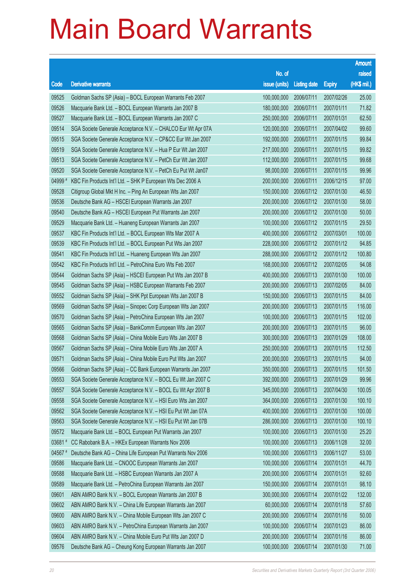|         |                                                              |                        |                     |               | <b>Amount</b> |
|---------|--------------------------------------------------------------|------------------------|---------------------|---------------|---------------|
|         |                                                              | No. of                 |                     |               | raised        |
| Code    | <b>Derivative warrants</b>                                   | issue (units)          | <b>Listing date</b> | <b>Expiry</b> | (HK\$ mil.)   |
| 09525   | Goldman Sachs SP (Asia) - BOCL European Warrants Feb 2007    | 100,000,000            | 2006/07/11          | 2007/02/26    | 25.00         |
| 09526   | Macquarie Bank Ltd. - BOCL European Warrants Jan 2007 B      | 180,000,000            | 2006/07/11          | 2007/01/11    | 71.82         |
| 09527   | Macquarie Bank Ltd. - BOCL European Warrants Jan 2007 C      | 250,000,000            | 2006/07/11          | 2007/01/31    | 62.50         |
| 09514   | SGA Societe Generale Acceptance N.V. - CHALCO Eur Wt Apr 07A | 120,000,000            | 2006/07/11          | 2007/04/02    | 99.60         |
| 09515   | SGA Societe Generale Acceptance N.V. - CP&CC Eur Wt Jan 2007 | 192,000,000            | 2006/07/11          | 2007/01/15    | 99.84         |
| 09519   | SGA Societe Generale Acceptance N.V. - Hua P Eur Wt Jan 2007 | 217,000,000            | 2006/07/11          | 2007/01/15    | 99.82         |
| 09513   | SGA Societe Generale Acceptance N.V. - PetCh Eur Wt Jan 2007 | 112,000,000            | 2006/07/11          | 2007/01/15    | 99.68         |
| 09520   | SGA Societe Generale Acceptance N.V. - PetCh Eu Put Wt Jan07 | 98,000,000             | 2006/07/11          | 2007/01/15    | 99.96         |
| 04999 # | KBC Fin Products Int'l Ltd. - SHK P European Wts Dec 2006 A  | 200,000,000            | 2006/07/11          | 2006/12/15    | 97.00         |
| 09528   | Citigroup Global Mkt H Inc. - Ping An European Wts Jan 2007  | 150,000,000            | 2006/07/12          | 2007/01/30    | 46.50         |
| 09536   | Deutsche Bank AG - HSCEI European Warrants Jan 2007          | 200,000,000            | 2006/07/12          | 2007/01/30    | 58.00         |
| 09540   | Deutsche Bank AG - HSCEI European Put Warrants Jan 2007      | 200,000,000            | 2006/07/12          | 2007/01/30    | 50.00         |
| 09529   | Macquarie Bank Ltd. - Huaneng European Warrants Jan 2007     | 100,000,000            | 2006/07/12          | 2007/01/15    | 29.50         |
| 09537   | KBC Fin Products Int'l Ltd. - BOCL European Wts Mar 2007 A   | 400,000,000            | 2006/07/12          | 2007/03/01    | 100.00        |
| 09539   | KBC Fin Products Int'l Ltd. - BOCL European Put Wts Jan 2007 | 228,000,000            | 2006/07/12          | 2007/01/12    | 94.85         |
| 09541   | KBC Fin Products Int'l Ltd. - Huaneng European Wts Jan 2007  | 288,000,000            | 2006/07/12          | 2007/01/12    | 100.80        |
| 09542   | KBC Fin Products Int'l Ltd. - PetroChina Euro Wts Feb 2007   | 168,000,000            | 2006/07/12          | 2007/02/05    | 94.08         |
| 09544   | Goldman Sachs SP (Asia) - HSCEI European Put Wts Jan 2007 B  | 400,000,000            | 2006/07/13          | 2007/01/30    | 100.00        |
| 09545   | Goldman Sachs SP (Asia) - HSBC European Warrants Feb 2007    | 200,000,000            | 2006/07/13          | 2007/02/05    | 84.00         |
| 09552   | Goldman Sachs SP (Asia) - SHK Ppt European Wts Jan 2007 B    | 150,000,000            | 2006/07/13          | 2007/01/15    | 84.00         |
| 09569   | Goldman Sachs SP (Asia) - Sinopec Corp European Wts Jan 2007 | 200,000,000            | 2006/07/13          | 2007/01/15    | 116.00        |
| 09570   | Goldman Sachs SP (Asia) - PetroChina European Wts Jan 2007   | 100,000,000            | 2006/07/13          | 2007/01/15    | 102.00        |
| 09565   | Goldman Sachs SP (Asia) - BankComm European Wts Jan 2007     | 200,000,000            | 2006/07/13          | 2007/01/15    | 96.00         |
| 09568   | Goldman Sachs SP (Asia) - China Mobile Euro Wts Jan 2007 B   | 300,000,000            | 2006/07/13          | 2007/01/29    | 108.00        |
| 09567   | Goldman Sachs SP (Asia) - China Mobile Euro Wts Jan 2007 A   | 250,000,000            | 2006/07/13          | 2007/01/15    | 112.50        |
| 09571   | Goldman Sachs SP (Asia) - China Mobile Euro Put Wts Jan 2007 | 200,000,000            | 2006/07/13          | 2007/01/15    | 94.00         |
| 09566   | Goldman Sachs SP (Asia) - CC Bank European Warrants Jan 2007 | 350,000,000 2006/07/13 |                     | 2007/01/15    | 101.50        |
| 09553   | SGA Societe Generale Acceptance N.V. - BOCL Eu Wt Jan 2007 C | 392,000,000            | 2006/07/13          | 2007/01/29    | 99.96         |
| 09557   | SGA Societe Generale Acceptance N.V. - BOCL Eu Wt Apr 2007 B | 345,000,000            | 2006/07/13          | 2007/04/30    | 100.05        |
| 09558   | SGA Societe Generale Acceptance N.V. - HSI Euro Wts Jan 2007 | 364,000,000            | 2006/07/13          | 2007/01/30    | 100.10        |
| 09562   | SGA Societe Generale Acceptance N.V. - HSI Eu Put Wt Jan 07A | 400,000,000            | 2006/07/13          | 2007/01/30    | 100.00        |
| 09563   | SGA Societe Generale Acceptance N.V. - HSI Eu Put Wt Jan 07B | 286,000,000            | 2006/07/13          | 2007/01/30    | 100.10        |
| 09572   | Macquarie Bank Ltd. - BOCL European Put Warrants Jan 2007    | 100,000,000            | 2006/07/13          | 2007/01/30    | 25.20         |
| 03681#  | CC Rabobank B.A. - HKEx European Warrants Nov 2006           | 100,000,000            | 2006/07/13          | 2006/11/28    | 32.00         |
| 04567 # | Deutsche Bank AG - China Life European Put Warrants Nov 2006 | 100,000,000            | 2006/07/13          | 2006/11/27    | 53.00         |
| 09586   | Macquarie Bank Ltd. - CNOOC European Warrants Jan 2007       | 100,000,000            | 2006/07/14          | 2007/01/31    | 44.70         |
| 09588   | Macquarie Bank Ltd. - HSBC European Warrants Jan 2007 A      | 200,000,000            | 2006/07/14          | 2007/01/31    | 92.60         |
| 09589   | Macquarie Bank Ltd. - PetroChina European Warrants Jan 2007  | 150,000,000            | 2006/07/14          | 2007/01/31    | 98.10         |
| 09601   | ABN AMRO Bank N.V. - BOCL European Warrants Jan 2007 B       | 300,000,000            | 2006/07/14          | 2007/01/22    | 132.00        |
| 09602   | ABN AMRO Bank N.V. - China Life European Warrants Jan 2007   | 60,000,000             | 2006/07/14          | 2007/01/18    | 57.60         |
| 09600   | ABN AMRO Bank N.V. - China Mobile European Wts Jan 2007 C    | 200,000,000            | 2006/07/14          | 2007/01/16    | 50.00         |
| 09603   | ABN AMRO Bank N.V. - PetroChina European Warrants Jan 2007   | 100,000,000            | 2006/07/14          | 2007/01/23    | 86.00         |
| 09604   | ABN AMRO Bank N.V. - China Mobile Euro Put Wts Jan 2007 D    | 200,000,000            | 2006/07/14          | 2007/01/16    | 86.00         |
| 09576   | Deutsche Bank AG - Cheung Kong European Warrants Jan 2007    | 100,000,000            | 2006/07/14          | 2007/01/30    | 71.00         |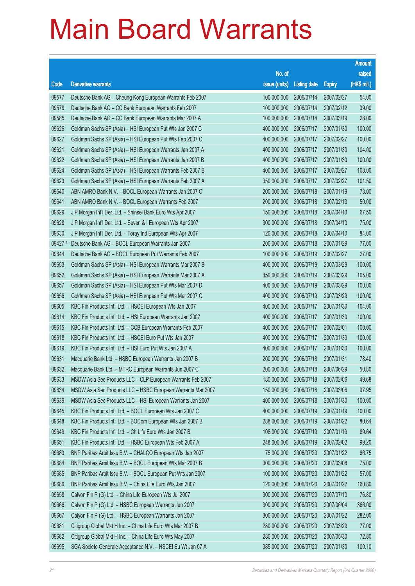|         |                                                              |                        |                     |               | <b>Amount</b> |
|---------|--------------------------------------------------------------|------------------------|---------------------|---------------|---------------|
|         |                                                              | No. of                 |                     |               | raised        |
| Code    | <b>Derivative warrants</b>                                   | issue (units)          | <b>Listing date</b> | <b>Expiry</b> | (HK\$ mil.)   |
| 09577   | Deutsche Bank AG - Cheung Kong European Warrants Feb 2007    | 100,000,000            | 2006/07/14          | 2007/02/27    | 54.00         |
| 09578   | Deutsche Bank AG - CC Bank European Warrants Feb 2007        | 100,000,000            | 2006/07/14          | 2007/02/12    | 39.00         |
| 09585   | Deutsche Bank AG - CC Bank European Warrants Mar 2007 A      | 100,000,000            | 2006/07/14          | 2007/03/19    | 28.00         |
| 09626   | Goldman Sachs SP (Asia) - HSI European Put Wts Jan 2007 C    | 400,000,000            | 2006/07/17          | 2007/01/30    | 100.00        |
| 09627   | Goldman Sachs SP (Asia) - HSI European Put Wts Feb 2007 C    | 400,000,000            | 2006/07/17          | 2007/02/27    | 100.00        |
| 09621   | Goldman Sachs SP (Asia) - HSI European Warrants Jan 2007 A   | 400,000,000            | 2006/07/17          | 2007/01/30    | 104.00        |
| 09622   | Goldman Sachs SP (Asia) - HSI European Warrants Jan 2007 B   | 400,000,000            | 2006/07/17          | 2007/01/30    | 100.00        |
| 09624   | Goldman Sachs SP (Asia) - HSI European Warrants Feb 2007 B   | 400,000,000            | 2006/07/17          | 2007/02/27    | 108.00        |
| 09623   | Goldman Sachs SP (Asia) - HSI European Warrants Feb 2007 A   | 350,000,000            | 2006/07/17          | 2007/02/27    | 101.50        |
| 09640   | ABN AMRO Bank N.V. - BOCL European Warrants Jan 2007 C       | 200,000,000            | 2006/07/18          | 2007/01/19    | 73.00         |
| 09641   | ABN AMRO Bank N.V. - BOCL European Warrants Feb 2007         | 200,000,000            | 2006/07/18          | 2007/02/13    | 50.00         |
| 09629   | J P Morgan Int'l Der. Ltd. - Shinsei Bank Euro Wts Apr 2007  | 150,000,000            | 2006/07/18          | 2007/04/10    | 67.50         |
| 09628   | J P Morgan Int'l Der. Ltd. - Seven & I European Wts Apr 2007 | 300,000,000            | 2006/07/18          | 2007/04/10    | 75.00         |
| 09630   | J P Morgan Int'l Der. Ltd. - Toray Ind European Wts Apr 2007 | 120,000,000            | 2006/07/18          | 2007/04/10    | 84.00         |
| 09427 # | Deutsche Bank AG - BOCL European Warrants Jan 2007           | 200,000,000            | 2006/07/18          | 2007/01/29    | 77.00         |
| 09644   | Deutsche Bank AG - BOCL European Put Warrants Feb 2007       | 100,000,000            | 2006/07/19          | 2007/02/27    | 27.00         |
| 09653   | Goldman Sachs SP (Asia) - HSI European Warrants Mar 2007 B   | 400,000,000            | 2006/07/19          | 2007/03/29    | 100.00        |
| 09652   | Goldman Sachs SP (Asia) - HSI European Warrants Mar 2007 A   | 350,000,000            | 2006/07/19          | 2007/03/29    | 105.00        |
| 09657   | Goldman Sachs SP (Asia) - HSI European Put Wts Mar 2007 D    | 400,000,000            | 2006/07/19          | 2007/03/29    | 100.00        |
| 09656   | Goldman Sachs SP (Asia) - HSI European Put Wts Mar 2007 C    | 400,000,000            | 2006/07/19          | 2007/03/29    | 100.00        |
| 09605   | KBC Fin Products Int'l Ltd. - HSCEI European Wts Jan 2007    | 400,000,000            | 2006/07/17          | 2007/01/30    | 104.00        |
| 09614   | KBC Fin Products Int'l Ltd. - HSI European Warrants Jan 2007 | 400,000,000            | 2006/07/17          | 2007/01/30    | 100.00        |
| 09615   | KBC Fin Products Int'l Ltd. - CCB European Warrants Feb 2007 | 400,000,000            | 2006/07/17          | 2007/02/01    | 100.00        |
| 09618   | KBC Fin Products Int'l Ltd. - HSCEI Euro Put Wts Jan 2007    | 400,000,000            | 2006/07/17          | 2007/01/30    | 100.00        |
| 09619   | KBC Fin Products Int'l Ltd. - HSI Euro Put Wts Jan 2007 A    | 400,000,000            | 2006/07/17          | 2007/01/30    | 100.00        |
| 09631   | Macquarie Bank Ltd. - HSBC European Warrants Jan 2007 B      | 200,000,000            | 2006/07/18          | 2007/01/31    | 78.40         |
| 09632   | Macquarie Bank Ltd. - MTRC European Warrants Jun 2007 C      | 200,000,000 2006/07/18 |                     | 2007/06/29    | 50.80         |
| 09633   | MSDW Asia Sec Products LLC - CLP European Warrants Feb 2007  | 180,000,000            | 2006/07/18          | 2007/02/06    | 49.68         |
| 09634   | MSDW Asia Sec Products LLC - HSBC European Warrants Mar 2007 | 150,000,000            | 2006/07/18          | 2007/03/06    | 97.95         |
| 09639   | MSDW Asia Sec Products LLC - HSI European Warrants Jan 2007  | 400,000,000            | 2006/07/18          | 2007/01/30    | 100.00        |
| 09645   | KBC Fin Products Int'l Ltd. - BOCL European Wts Jan 2007 C   | 400,000,000            | 2006/07/19          | 2007/01/19    | 100.00        |
| 09648   | KBC Fin Products Int'l Ltd. - BOCom European Wts Jan 2007 B  | 288,000,000            | 2006/07/19          | 2007/01/22    | 80.64         |
| 09649   | KBC Fin Products Int'l Ltd. - Ch Life Euro Wts Jan 2007 B    | 108,000,000            | 2006/07/19          | 2007/01/19    | 89.64         |
| 09651   | KBC Fin Products Int'l Ltd. - HSBC European Wts Feb 2007 A   | 248,000,000            | 2006/07/19          | 2007/02/02    | 99.20         |
| 09683   | BNP Paribas Arbit Issu B.V. - CHALCO European Wts Jan 2007   | 75,000,000             | 2006/07/20          | 2007/01/22    | 66.75         |
| 09684   | BNP Paribas Arbit Issu B.V. - BOCL European Wts Mar 2007 B   | 300,000,000            | 2006/07/20          | 2007/03/08    | 75.00         |
| 09685   | BNP Paribas Arbit Issu B.V. - BOCL European Put Wts Jan 2007 | 100,000,000            | 2006/07/20          | 2007/01/22    | 57.00         |
| 09686   | BNP Paribas Arbit Issu B.V. - China Life Euro Wts Jan 2007   | 120,000,000            | 2006/07/20          | 2007/01/22    | 160.80        |
| 09658   | Calyon Fin P (G) Ltd. - China Life European Wts Jul 2007     | 300,000,000            | 2006/07/20          | 2007/07/10    | 76.80         |
| 09666   | Calyon Fin P (G) Ltd. - HSBC European Warrants Jun 2007      | 300,000,000            | 2006/07/20          | 2007/06/04    | 366.00        |
| 09667   | Calyon Fin P (G) Ltd. - HSBC European Warrants Jan 2007      | 300,000,000            | 2006/07/20          | 2007/01/22    | 282.00        |
| 09681   | Citigroup Global Mkt H Inc. - China Life Euro Wts Mar 2007 B | 280,000,000            | 2006/07/20          | 2007/03/29    | 77.00         |
| 09682   | Citigroup Global Mkt H Inc. - China Life Euro Wts May 2007   | 280,000,000            | 2006/07/20          | 2007/05/30    | 72.80         |
| 09695   | SGA Societe Generale Acceptance N.V. - HSCEI Eu Wt Jan 07 A  | 385,000,000            | 2006/07/20          | 2007/01/30    | 100.10        |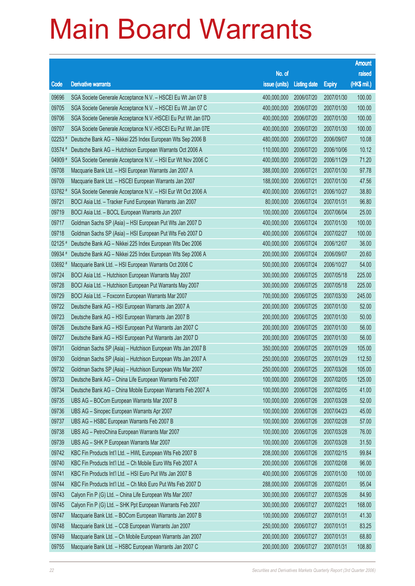|           |                                                              |               |                     |               | <b>Amount</b> |
|-----------|--------------------------------------------------------------|---------------|---------------------|---------------|---------------|
|           |                                                              | No. of        |                     |               | raised        |
| Code      | <b>Derivative warrants</b>                                   | issue (units) | <b>Listing date</b> | <b>Expiry</b> | (HK\$ mil.)   |
| 09696     | SGA Societe Generale Acceptance N.V. - HSCEI Eu Wt Jan 07 B  | 400,000,000   | 2006/07/20          | 2007/01/30    | 100.00        |
| 09705     | SGA Societe Generale Acceptance N.V. - HSCEI Eu Wt Jan 07 C  | 400,000,000   | 2006/07/20          | 2007/01/30    | 100.00        |
| 09706     | SGA Societe Generale Acceptance N.V.-HSCEI Eu Put Wt Jan 07D | 400,000,000   | 2006/07/20          | 2007/01/30    | 100.00        |
| 09707     | SGA Societe Generale Acceptance N.V.-HSCEI Eu Put Wt Jan 07E | 400,000,000   | 2006/07/20          | 2007/01/30    | 100.00        |
| 02253 #   | Deutsche Bank AG - Nikkei 225 Index European Wts Sep 2006 B  | 480,000,000   | 2006/07/20          | 2006/09/07    | 10.08         |
| $03574$ # | Deutsche Bank AG - Hutchison European Warrants Oct 2006 A    | 110,000,000   | 2006/07/20          | 2006/10/06    | 10.12         |
| 04909 #   | SGA Societe Generale Acceptance N.V. - HSI Eur Wt Nov 2006 C | 400,000,000   | 2006/07/20          | 2006/11/29    | 71.20         |
| 09708     | Macquarie Bank Ltd. - HSI European Warrants Jan 2007 A       | 388,000,000   | 2006/07/21          | 2007/01/30    | 97.78         |
| 09709     | Macquarie Bank Ltd. - HSCEI European Warrants Jan 2007       | 188,000,000   | 2006/07/21          | 2007/01/30    | 47.56         |
| 03762 #   | SGA Societe Generale Acceptance N.V. - HSI Eur Wt Oct 2006 A | 400,000,000   | 2006/07/21          | 2006/10/27    | 38.80         |
| 09721     | BOCI Asia Ltd. - Tracker Fund European Warrants Jan 2007     | 80,000,000    | 2006/07/24          | 2007/01/31    | 96.80         |
| 09719     | BOCI Asia Ltd. - BOCL European Warrants Jun 2007             | 100,000,000   | 2006/07/24          | 2007/06/04    | 25.00         |
| 09717     | Goldman Sachs SP (Asia) - HSI European Put Wts Jan 2007 D    | 400,000,000   | 2006/07/24          | 2007/01/30    | 100.00        |
| 09718     | Goldman Sachs SP (Asia) - HSI European Put Wts Feb 2007 D    | 400,000,000   | 2006/07/24          | 2007/02/27    | 100.00        |
| $02125$ # | Deutsche Bank AG - Nikkei 225 Index European Wts Dec 2006    | 400,000,000   | 2006/07/24          | 2006/12/07    | 36.00         |
| 09934 #   | Deutsche Bank AG - Nikkei 225 Index European Wts Sep 2006 A  | 200,000,000   | 2006/07/24          | 2006/09/07    | 20.60         |
| 03692 #   | Macquarie Bank Ltd. - HSI European Warrants Oct 2006 C       | 500,000,000   | 2006/07/24          | 2006/10/27    | 54.00         |
| 09724     | BOCI Asia Ltd. - Hutchison European Warrants May 2007        | 300,000,000   | 2006/07/25          | 2007/05/18    | 225.00        |
| 09728     | BOCI Asia Ltd. - Hutchison European Put Warrants May 2007    | 300,000,000   | 2006/07/25          | 2007/05/18    | 225.00        |
| 09729     | BOCI Asia Ltd. - Foxconn European Warrants Mar 2007          | 700,000,000   | 2006/07/25          | 2007/03/30    | 245.00        |
| 09722     | Deutsche Bank AG - HSI European Warrants Jan 2007 A          | 200,000,000   | 2006/07/25          | 2007/01/30    | 52.00         |
| 09723     | Deutsche Bank AG - HSI European Warrants Jan 2007 B          | 200,000,000   | 2006/07/25          | 2007/01/30    | 50.00         |
| 09726     | Deutsche Bank AG - HSI European Put Warrants Jan 2007 C      | 200,000,000   | 2006/07/25          | 2007/01/30    | 56.00         |
| 09727     | Deutsche Bank AG - HSI European Put Warrants Jan 2007 D      | 200,000,000   | 2006/07/25          | 2007/01/30    | 56.00         |
| 09731     | Goldman Sachs SP (Asia) - Hutchison European Wts Jan 2007 B  | 350,000,000   | 2006/07/25          | 2007/01/29    | 105.00        |
| 09730     | Goldman Sachs SP (Asia) - Hutchison European Wts Jan 2007 A  | 250,000,000   | 2006/07/25          | 2007/01/29    | 112.50        |
| 09732     | Goldman Sachs SP (Asia) - Hutchison European Wts Mar 2007    | 250,000,000   | 2006/07/25          | 2007/03/26    | 105.00        |
| 09733     | Deutsche Bank AG - China Life European Warrants Feb 2007     | 100,000,000   | 2006/07/26          | 2007/02/05    | 125.00        |
| 09734     | Deutsche Bank AG - China Mobile European Warrants Feb 2007 A | 100,000,000   | 2006/07/26          | 2007/02/05    | 41.00         |
| 09735     | UBS AG - BOCom European Warrants Mar 2007 B                  | 100,000,000   | 2006/07/26          | 2007/03/28    | 52.00         |
| 09736     | UBS AG - Sinopec European Warrants Apr 2007                  | 100,000,000   | 2006/07/26          | 2007/04/23    | 45.00         |
| 09737     | UBS AG - HSBC European Warrants Feb 2007 B                   | 100,000,000   | 2006/07/26          | 2007/02/28    | 57.00         |
| 09738     | UBS AG - PetroChina European Warrants Mar 2007               | 100,000,000   | 2006/07/26          | 2007/03/28    | 76.00         |
| 09739     | UBS AG - SHK P European Warrants Mar 2007                    | 100,000,000   | 2006/07/26          | 2007/03/28    | 31.50         |
| 09742     | KBC Fin Products Int'l Ltd. - HWL European Wts Feb 2007 B    | 208,000,000   | 2006/07/26          | 2007/02/15    | 99.84         |
| 09740     | KBC Fin Products Int'l Ltd. - Ch Mobile Euro Wts Feb 2007 A  | 200,000,000   | 2006/07/26          | 2007/02/08    | 96.00         |
| 09741     | KBC Fin Products Int'l Ltd. - HSI Euro Put Wts Jan 2007 B    | 400,000,000   | 2006/07/26          | 2007/01/30    | 100.00        |
| 09744     | KBC Fin Products Int'l Ltd. - Ch Mob Euro Put Wts Feb 2007 D | 288,000,000   | 2006/07/26          | 2007/02/01    | 95.04         |
| 09743     | Calyon Fin P (G) Ltd. - China Life European Wts Mar 2007     | 300,000,000   | 2006/07/27          | 2007/03/26    | 84.90         |
| 09745     | Calyon Fin P (G) Ltd. - SHK Ppt European Warrants Feb 2007   | 300,000,000   | 2006/07/27          | 2007/02/21    | 168.00        |
| 09747     | Macquarie Bank Ltd. - BOCom European Warrants Jan 2007 B     | 100,000,000   | 2006/07/27          | 2007/01/31    | 41.30         |
| 09748     | Macquarie Bank Ltd. - CCB European Warrants Jan 2007         | 250,000,000   | 2006/07/27          | 2007/01/31    | 83.25         |
| 09749     | Macquarie Bank Ltd. - Ch Mobile European Warrants Jan 2007   | 200,000,000   | 2006/07/27          | 2007/01/31    | 68.80         |
| 09755     | Macquarie Bank Ltd. - HSBC European Warrants Jan 2007 C      | 200,000,000   | 2006/07/27          | 2007/01/31    | 108.80        |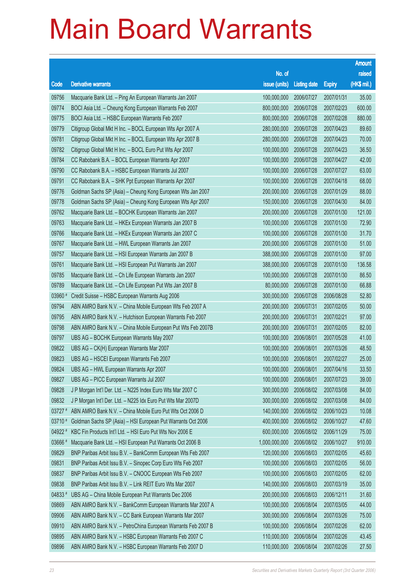|         |                                                              |                        |                     |               | <b>Amount</b> |
|---------|--------------------------------------------------------------|------------------------|---------------------|---------------|---------------|
|         |                                                              | No. of                 |                     |               | raised        |
| Code    | <b>Derivative warrants</b>                                   | issue (units)          | <b>Listing date</b> | <b>Expiry</b> | (HK\$ mil.)   |
| 09756   | Macquarie Bank Ltd. - Ping An European Warrants Jan 2007     | 100,000,000            | 2006/07/27          | 2007/01/31    | 35.00         |
| 09774   | BOCI Asia Ltd. - Cheung Kong European Warrants Feb 2007      | 800,000,000            | 2006/07/28          | 2007/02/23    | 600.00        |
| 09775   | BOCI Asia Ltd. - HSBC European Warrants Feb 2007             | 800,000,000            | 2006/07/28          | 2007/02/28    | 880.00        |
| 09779   | Citigroup Global Mkt H Inc. - BOCL European Wts Apr 2007 A   | 280,000,000            | 2006/07/28          | 2007/04/23    | 89.60         |
| 09781   | Citigroup Global Mkt H Inc. - BOCL European Wts Apr 2007 B   | 280,000,000            | 2006/07/28          | 2007/04/23    | 70.00         |
| 09782   | Citigroup Global Mkt H Inc. - BOCL Euro Put Wts Apr 2007     | 100,000,000            | 2006/07/28          | 2007/04/23    | 36.50         |
| 09784   | CC Rabobank B.A. - BOCL European Warrants Apr 2007           | 100,000,000            | 2006/07/28          | 2007/04/27    | 42.00         |
| 09790   | CC Rabobank B.A. - HSBC European Warrants Jul 2007           | 100,000,000            | 2006/07/28          | 2007/07/27    | 63.00         |
| 09791   | CC Rabobank B.A. - SHK Ppt European Warrants Apr 2007        | 100,000,000            | 2006/07/28          | 2007/04/18    | 68.00         |
| 09776   | Goldman Sachs SP (Asia) - Cheung Kong European Wts Jan 2007  | 200,000,000            | 2006/07/28          | 2007/01/29    | 88.00         |
| 09778   | Goldman Sachs SP (Asia) - Cheung Kong European Wts Apr 2007  | 150,000,000            | 2006/07/28          | 2007/04/30    | 84.00         |
| 09762   | Macquarie Bank Ltd. - BOCHK European Warrants Jan 2007       | 200,000,000            | 2006/07/28          | 2007/01/30    | 121.00        |
| 09763   | Macquarie Bank Ltd. - HKEx European Warrants Jan 2007 B      | 100,000,000            | 2006/07/28          | 2007/01/30    | 72.90         |
| 09766   | Macquarie Bank Ltd. - HKEx European Warrants Jan 2007 C      | 100,000,000            | 2006/07/28          | 2007/01/30    | 31.70         |
| 09767   | Macquarie Bank Ltd. - HWL European Warrants Jan 2007         | 200,000,000            | 2006/07/28          | 2007/01/30    | 51.00         |
| 09757   | Macquarie Bank Ltd. - HSI European Warrants Jan 2007 B       | 388,000,000            | 2006/07/28          | 2007/01/30    | 97.00         |
| 09761   | Macquarie Bank Ltd. - HSI European Put Warrants Jan 2007     | 388,000,000            | 2006/07/28          | 2007/01/30    | 136.58        |
| 09785   | Macquarie Bank Ltd. - Ch Life European Warrants Jan 2007     | 100,000,000            | 2006/07/28          | 2007/01/30    | 86.50         |
| 09789   | Macquarie Bank Ltd. - Ch Life European Put Wts Jan 2007 B    | 80,000,000             | 2006/07/28          | 2007/01/30    | 66.88         |
| 03960 # | Credit Suisse - HSBC European Warrants Aug 2006              | 300,000,000            | 2006/07/28          | 2006/08/28    | 52.80         |
| 09794   | ABN AMRO Bank N.V. - China Mobile European Wts Feb 2007 A    | 200,000,000            | 2006/07/31          | 2007/02/05    | 50.00         |
| 09795   | ABN AMRO Bank N.V. - Hutchison European Warrants Feb 2007    | 200,000,000            | 2006/07/31          | 2007/02/21    | 97.00         |
| 09798   | ABN AMRO Bank N.V. - China Mobile European Put Wts Feb 2007B | 200,000,000            | 2006/07/31          | 2007/02/05    | 82.00         |
| 09797   | UBS AG - BOCHK European Warrants May 2007                    | 100,000,000            | 2006/08/01          | 2007/05/28    | 41.00         |
| 09822   | UBS AG - CK(H) European Warrants Mar 2007                    | 100,000,000            | 2006/08/01          | 2007/03/26    | 48.50         |
| 09823   | UBS AG - HSCEI European Warrants Feb 2007                    | 100,000,000            | 2006/08/01          | 2007/02/27    | 25.00         |
| 09824   | UBS AG - HWL European Warrants Apr 2007                      | 100,000,000 2006/08/01 |                     | 2007/04/16    | 33.50         |
| 09827   | UBS AG - PICC European Warrants Jul 2007                     | 100,000,000            | 2006/08/01          | 2007/07/23    | 39.00         |
| 09828   | J P Morgan Int'l Der. Ltd. - N225 Index Euro Wts Mar 2007 C  | 300,000,000            | 2006/08/02          | 2007/03/08    | 84.00         |
| 09832   | J P Morgan Int'l Der. Ltd. - N225 Idx Euro Put Wts Mar 2007D | 300,000,000            | 2006/08/02          | 2007/03/08    | 84.00         |
| 03727 # | ABN AMRO Bank N.V. - China Mobile Euro Put Wts Oct 2006 D    | 140,000,000            | 2006/08/02          | 2006/10/23    | 10.08         |
| 03710 # | Goldman Sachs SP (Asia) - HSI European Put Warrants Oct 2006 | 400,000,000            | 2006/08/02          | 2006/10/27    | 47.60         |
| 04922#  | KBC Fin Products Int'l Ltd. - HSI Euro Put Wts Nov 2006 E    | 600,000,000            | 2006/08/02          | 2006/11/29    | 75.00         |
| 03666 # | Macquarie Bank Ltd. - HSI European Put Warrants Oct 2006 B   | 1,000,000,000          | 2006/08/02          | 2006/10/27    | 910.00        |
| 09829   | BNP Paribas Arbit Issu B.V. - BankComm European Wts Feb 2007 | 120,000,000            | 2006/08/03          | 2007/02/05    | 45.60         |
| 09831   | BNP Paribas Arbit Issu B.V. - Sinopec Corp Euro Wts Feb 2007 | 100,000,000            | 2006/08/03          | 2007/02/05    | 56.00         |
| 09837   | BNP Paribas Arbit Issu B.V. - CNOOC European Wts Feb 2007    | 100,000,000            | 2006/08/03          | 2007/02/05    | 62.00         |
| 09838   | BNP Paribas Arbit Issu B.V. - Link REIT Euro Wts Mar 2007    | 140,000,000            | 2006/08/03          | 2007/03/19    | 35.00         |
| 04833#  | UBS AG - China Mobile European Put Warrants Dec 2006         | 200,000,000            | 2006/08/03          | 2006/12/11    | 31.60         |
| 09869   | ABN AMRO Bank N.V. - BankComm European Warrants Mar 2007 A   | 100,000,000            | 2006/08/04          | 2007/03/05    | 44.00         |
| 09906   | ABN AMRO Bank N.V. - CC Bank European Warrants Mar 2007      | 300,000,000            | 2006/08/04          | 2007/03/26    | 75.00         |
| 09910   | ABN AMRO Bank N.V. - PetroChina European Warrants Feb 2007 B | 100,000,000            | 2006/08/04          | 2007/02/26    | 62.00         |
| 09895   | ABN AMRO Bank N.V. - HSBC European Warrants Feb 2007 C       | 110,000,000            | 2006/08/04          | 2007/02/26    | 43.45         |
| 09896   | ABN AMRO Bank N.V. - HSBC European Warrants Feb 2007 D       | 110,000,000            | 2006/08/04          | 2007/02/26    | 27.50         |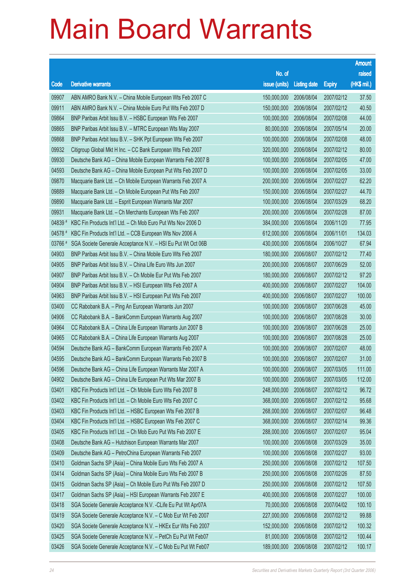|         |                                                               |               |                     |               | <b>Amount</b> |
|---------|---------------------------------------------------------------|---------------|---------------------|---------------|---------------|
|         |                                                               | No. of        |                     |               | raised        |
| Code    | <b>Derivative warrants</b>                                    | issue (units) | <b>Listing date</b> | <b>Expiry</b> | (HK\$ mil.)   |
| 09907   | ABN AMRO Bank N.V. - China Mobile European Wts Feb 2007 C     | 150,000,000   | 2006/08/04          | 2007/02/12    | 37.50         |
| 09911   | ABN AMRO Bank N.V. - China Mobile Euro Put Wts Feb 2007 D     | 150,000,000   | 2006/08/04          | 2007/02/12    | 40.50         |
| 09864   | BNP Paribas Arbit Issu B.V. - HSBC European Wts Feb 2007      | 100,000,000   | 2006/08/04          | 2007/02/08    | 44.00         |
| 09865   | BNP Paribas Arbit Issu B.V. - MTRC European Wts May 2007      | 80,000,000    | 2006/08/04          | 2007/05/14    | 20.00         |
| 09868   | BNP Paribas Arbit Issu B.V. - SHK Ppt European Wts Feb 2007   | 100,000,000   | 2006/08/04          | 2007/02/08    | 48.00         |
| 09932   | Citigroup Global Mkt H Inc. - CC Bank European Wts Feb 2007   | 320,000,000   | 2006/08/04          | 2007/02/12    | 80.00         |
| 09930   | Deutsche Bank AG - China Mobile European Warrants Feb 2007 B  | 100,000,000   | 2006/08/04          | 2007/02/05    | 47.00         |
| 04593   | Deutsche Bank AG - China Mobile European Put Wts Feb 2007 D   | 100,000,000   | 2006/08/04          | 2007/02/05    | 33.00         |
| 09870   | Macquarie Bank Ltd. - Ch Mobile European Warrants Feb 2007 A  | 200,000,000   | 2006/08/04          | 2007/02/27    | 62.20         |
| 09889   | Macquarie Bank Ltd. - Ch Mobile European Put Wts Feb 2007     | 150,000,000   | 2006/08/04          | 2007/02/27    | 44.70         |
| 09890   | Macquarie Bank Ltd. - Esprit European Warrants Mar 2007       | 100,000,000   | 2006/08/04          | 2007/03/29    | 68.20         |
| 09931   | Macquarie Bank Ltd. - Ch Merchants European Wts Feb 2007      | 200,000,000   | 2006/08/04          | 2007/02/28    | 87.00         |
| 04839 # | KBC Fin Products Int'l Ltd. - Ch Mob Euro Put Wts Nov 2006 D  | 384,000,000   | 2006/08/04          | 2006/11/20    | 77.95         |
| 04578 # | KBC Fin Products Int'l Ltd. - CCB European Wts Nov 2006 A     | 612,000,000   | 2006/08/04          | 2006/11/01    | 134.03        |
| 03766 # | SGA Societe Generale Acceptance N.V. - HSI Eu Put Wt Oct 06B  | 430,000,000   | 2006/08/04          | 2006/10/27    | 67.94         |
| 04903   | BNP Paribas Arbit Issu B.V. - China Mobile Euro Wts Feb 2007  | 180,000,000   | 2006/08/07          | 2007/02/12    | 77.40         |
| 04905   | BNP Paribas Arbit Issu B.V. - China Life Euro Wts Jun 2007    | 200,000,000   | 2006/08/07          | 2007/06/29    | 52.00         |
| 04907   | BNP Paribas Arbit Issu B.V. - Ch Mobile Eur Put Wts Feb 2007  | 180,000,000   | 2006/08/07          | 2007/02/12    | 97.20         |
| 04904   | BNP Paribas Arbit Issu B.V. - HSI European Wts Feb 2007 A     | 400,000,000   | 2006/08/07          | 2007/02/27    | 104.00        |
| 04963   | BNP Paribas Arbit Issu B.V. - HSI European Put Wts Feb 2007   | 400,000,000   | 2006/08/07          | 2007/02/27    | 100.00        |
| 03400   | CC Rabobank B.A. - Ping An European Warrants Jun 2007         | 100,000,000   | 2006/08/07          | 2007/06/28    | 45.00         |
| 04906   | CC Rabobank B.A. - BankComm European Warrants Aug 2007        | 100,000,000   | 2006/08/07          | 2007/08/28    | 30.00         |
| 04964   | CC Rabobank B.A. - China Life European Warrants Jun 2007 B    | 100,000,000   | 2006/08/07          | 2007/06/28    | 25.00         |
| 04965   | CC Rabobank B.A. - China Life European Warrants Aug 2007      | 100,000,000   | 2006/08/07          | 2007/08/28    | 25.00         |
| 04594   | Deutsche Bank AG - BankComm European Warrants Feb 2007 A      | 100,000,000   | 2006/08/07          | 2007/02/07    | 48.00         |
| 04595   | Deutsche Bank AG - BankComm European Warrants Feb 2007 B      | 100,000,000   | 2006/08/07          | 2007/02/07    | 31.00         |
| 04596   | Deutsche Bank AG - China Life European Warrants Mar 2007 A    | 100,000,000   | 2006/08/07          | 2007/03/05    | 111.00        |
| 04902   | Deutsche Bank AG - China Life European Put Wts Mar 2007 B     | 100,000,000   | 2006/08/07          | 2007/03/05    | 112.00        |
| 03401   | KBC Fin Products Int'l Ltd. - Ch Mobile Euro Wts Feb 2007 B   | 248,000,000   | 2006/08/07          | 2007/02/12    | 96.72         |
| 03402   | KBC Fin Products Int'l Ltd. - Ch Mobile Euro Wts Feb 2007 C   | 368,000,000   | 2006/08/07          | 2007/02/12    | 95.68         |
| 03403   | KBC Fin Products Int'l Ltd. - HSBC European Wts Feb 2007 B    | 268,000,000   | 2006/08/07          | 2007/02/07    | 96.48         |
| 03404   | KBC Fin Products Int'l Ltd. - HSBC European Wts Feb 2007 C    | 368,000,000   | 2006/08/07          | 2007/02/14    | 99.36         |
| 03405   | KBC Fin Products Int'l Ltd. - Ch Mob Euro Put Wts Feb 2007 E  | 288,000,000   | 2006/08/07          | 2007/02/07    | 95.04         |
| 03408   | Deutsche Bank AG - Hutchison European Warrants Mar 2007       | 100,000,000   | 2006/08/08          | 2007/03/29    | 35.00         |
| 03409   | Deutsche Bank AG - PetroChina European Warrants Feb 2007      | 100,000,000   | 2006/08/08          | 2007/02/27    | 93.00         |
| 03410   | Goldman Sachs SP (Asia) - China Mobile Euro Wts Feb 2007 A    | 250,000,000   | 2006/08/08          | 2007/02/12    | 107.50        |
| 03414   | Goldman Sachs SP (Asia) - China Mobile Euro Wts Feb 2007 B    | 250,000,000   | 2006/08/08          | 2007/02/26    | 87.50         |
| 03415   | Goldman Sachs SP (Asia) - Ch Mobile Euro Put Wts Feb 2007 D   | 250,000,000   | 2006/08/08          | 2007/02/12    | 107.50        |
| 03417   | Goldman Sachs SP (Asia) - HSI European Warrants Feb 2007 E    | 400,000,000   | 2006/08/08          | 2007/02/27    | 100.00        |
| 03418   | SGA Societe Generale Acceptance N.V. - CLife Eu Put Wt Apr07A | 70,000,000    | 2006/08/08          | 2007/04/02    | 100.10        |
| 03419   | SGA Societe Generale Acceptance N.V. - C Mob Eur Wt Feb 2007  | 227,000,000   | 2006/08/08          | 2007/02/12    | 99.88         |
| 03420   | SGA Societe Generale Acceptance N.V. - HKEx Eur Wts Feb 2007  | 152,000,000   | 2006/08/08          | 2007/02/12    | 100.32        |
| 03425   | SGA Societe Generale Acceptance N.V. - PetCh Eu Put Wt Feb07  | 81,000,000    | 2006/08/08          | 2007/02/12    | 100.44        |
| 03426   | SGA Societe Generale Acceptance N.V. - C Mob Eu Put Wt Feb07  | 189,000,000   | 2006/08/08          | 2007/02/12    | 100.17        |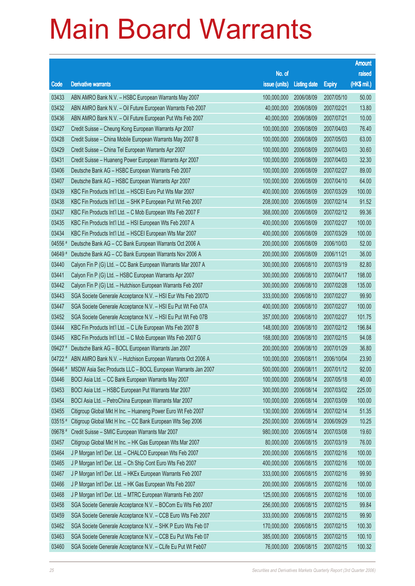|         |                                                                      |                        |                     |               | <b>Amount</b> |
|---------|----------------------------------------------------------------------|------------------------|---------------------|---------------|---------------|
|         |                                                                      | No. of                 |                     |               | raised        |
| Code    | <b>Derivative warrants</b>                                           | issue (units)          | <b>Listing date</b> | <b>Expiry</b> | (HK\$ mil.)   |
| 03433   | ABN AMRO Bank N.V. - HSBC European Warrants May 2007                 | 100,000,000            | 2006/08/09          | 2007/05/10    | 50.00         |
| 03432   | ABN AMRO Bank N.V. - Oil Future European Warrants Feb 2007           | 40,000,000             | 2006/08/09          | 2007/02/21    | 13.80         |
| 03436   | ABN AMRO Bank N.V. - Oil Future European Put Wts Feb 2007            | 40,000,000             | 2006/08/09          | 2007/07/21    | 10.00         |
| 03427   | Credit Suisse - Cheung Kong European Warrants Apr 2007               | 100,000,000            | 2006/08/09          | 2007/04/03    | 76.40         |
| 03428   | Credit Suisse - China Mobile European Warrants May 2007 B            | 100,000,000            | 2006/08/09          | 2007/05/03    | 63.00         |
| 03429   | Credit Suisse - China Tel European Warrants Apr 2007                 | 100,000,000            | 2006/08/09          | 2007/04/03    | 30.60         |
| 03431   | Credit Suisse - Huaneng Power European Warrants Apr 2007             | 100,000,000            | 2006/08/09          | 2007/04/03    | 32.30         |
| 03406   | Deutsche Bank AG - HSBC European Warrants Feb 2007                   | 100,000,000            | 2006/08/09          | 2007/02/27    | 89.00         |
| 03407   | Deutsche Bank AG - HSBC European Warrants Apr 2007                   | 100,000,000            | 2006/08/09          | 2007/04/10    | 64.00         |
| 03439   | KBC Fin Products Int'l Ltd. - HSCEI Euro Put Wts Mar 2007            | 400,000,000            | 2006/08/09          | 2007/03/29    | 100.00        |
| 03438   | KBC Fin Products Int'l Ltd. - SHK P European Put Wt Feb 2007         | 208,000,000            | 2006/08/09          | 2007/02/14    | 91.52         |
| 03437   | KBC Fin Products Int'l Ltd. - C Mob European Wts Feb 2007 F          | 368,000,000            | 2006/08/09          | 2007/02/12    | 99.36         |
| 03435   | KBC Fin Products Int'l Ltd. - HSI European Wts Feb 2007 A            | 400,000,000            | 2006/08/09          | 2007/02/27    | 100.00        |
| 03434   | KBC Fin Products Int'l Ltd. - HSCEI European Wts Mar 2007            | 400,000,000            | 2006/08/09          | 2007/03/29    | 100.00        |
| 04556 # | Deutsche Bank AG - CC Bank European Warrants Oct 2006 A              | 200,000,000            | 2006/08/09          | 2006/10/03    | 52.00         |
| 04649 # | Deutsche Bank AG - CC Bank European Warrants Nov 2006 A              | 200,000,000            | 2006/08/09          | 2006/11/21    | 36.00         |
| 03440   | Calyon Fin P (G) Ltd. - CC Bank European Warrants Mar 2007 A         | 300,000,000            | 2006/08/10          | 2007/03/19    | 82.80         |
| 03441   | Calyon Fin P (G) Ltd. - HSBC European Warrants Apr 2007              | 300,000,000            | 2006/08/10          | 2007/04/17    | 198.00        |
| 03442   | Calyon Fin P (G) Ltd. - Hutchison European Warrants Feb 2007         | 300,000,000            | 2006/08/10          | 2007/02/28    | 135.00        |
| 03443   | SGA Societe Generale Acceptance N.V. - HSI Eur Wts Feb 2007D         | 333,000,000            | 2006/08/10          | 2007/02/27    | 99.90         |
| 03447   | SGA Societe Generale Acceptance N.V. - HSI Eu Put Wt Feb 07A         | 400,000,000            | 2006/08/10          | 2007/02/27    | 100.00        |
| 03452   | SGA Societe Generale Acceptance N.V. - HSI Eu Put Wt Feb 07B         | 357,000,000            | 2006/08/10          | 2007/02/27    | 101.75        |
| 03444   | KBC Fin Products Int'l Ltd. - C Life European Wts Feb 2007 B         | 148,000,000            | 2006/08/10          | 2007/02/12    | 196.84        |
| 03445   | KBC Fin Products Int'l Ltd. - C Mob European Wts Feb 2007 G          | 168,000,000            | 2006/08/10          | 2007/02/15    | 94.08         |
| 09427 # | Deutsche Bank AG - BOCL European Warrants Jan 2007                   | 200,000,000            | 2006/08/10          | 2007/01/29    | 36.80         |
| 04722 # | ABN AMRO Bank N.V. - Hutchison European Warrants Oct 2006 A          | 100,000,000            | 2006/08/11          | 2006/10/04    | 23.90         |
|         | 09446 # MSDW Asia Sec Products LLC - BOCL European Warrants Jan 2007 | 500,000,000 2006/08/11 |                     | 2007/01/12    | 92.00         |
| 03446   | BOCI Asia Ltd. - CC Bank European Warrants May 2007                  | 100,000,000            | 2006/08/14          | 2007/05/18    | 40.00         |
| 03453   | BOCI Asia Ltd. - HSBC European Put Warrants Mar 2007                 | 300,000,000            | 2006/08/14          | 2007/03/02    | 225.00        |
| 03454   | BOCI Asia Ltd. - PetroChina European Warrants Mar 2007               | 100,000,000            | 2006/08/14          | 2007/03/09    | 100.00        |
| 03455   | Citigroup Global Mkt H Inc. - Huaneng Power Euro Wt Feb 2007         | 130,000,000            | 2006/08/14          | 2007/02/14    | 51.35         |
| 03515 # | Citigroup Global Mkt H Inc. - CC Bank European Wts Sep 2006          | 250,000,000            | 2006/08/14          | 2006/09/29    | 10.25         |
| 09678 # | Credit Suisse - SMIC European Warrants Mar 2007                      | 980,000,000            | 2006/08/14          | 2007/03/08    | 19.60         |
| 03457   | Citigroup Global Mkt H Inc. - HK Gas European Wts Mar 2007           | 80,000,000             | 2006/08/15          | 2007/03/19    | 76.00         |
| 03464   | J P Morgan Int'l Der. Ltd. - CHALCO European Wts Feb 2007            | 200,000,000            | 2006/08/15          | 2007/02/16    | 100.00        |
| 03465   | J P Morgan Int'l Der. Ltd. - Ch Ship Cont Euro Wts Feb 2007          | 400,000,000            | 2006/08/15          | 2007/02/16    | 100.00        |
| 03467   | J P Morgan Int'l Der. Ltd. - HKEx European Warrants Feb 2007         | 333,000,000            | 2006/08/15          | 2007/02/16    | 99.90         |
| 03466   | J P Morgan Int'l Der. Ltd. - HK Gas European Wts Feb 2007            | 200,000,000            | 2006/08/15          | 2007/02/16    | 100.00        |
| 03468   | J P Morgan Int'l Der. Ltd. - MTRC European Warrants Feb 2007         | 125,000,000            | 2006/08/15          | 2007/02/16    | 100.00        |
| 03458   | SGA Societe Generale Acceptance N.V. - BOCom Eu Wts Feb 2007         | 256,000,000            | 2006/08/15          | 2007/02/15    | 99.84         |
| 03459   | SGA Societe Generale Acceptance N.V. - CCB Euro Wts Feb 2007         | 333,000,000            | 2006/08/15          | 2007/02/15    | 99.90         |
| 03462   | SGA Societe Generale Acceptance N.V. - SHK P Euro Wts Feb 07         | 170,000,000            | 2006/08/15          | 2007/02/15    | 100.30        |
| 03463   | SGA Societe Generale Acceptance N.V. - CCB Eu Put Wts Feb 07         | 385,000,000            | 2006/08/15          | 2007/02/15    | 100.10        |
| 03460   | SGA Societe Generale Acceptance N.V. - CLife Eu Put Wt Feb07         | 76,000,000             | 2006/08/15          | 2007/02/15    | 100.32        |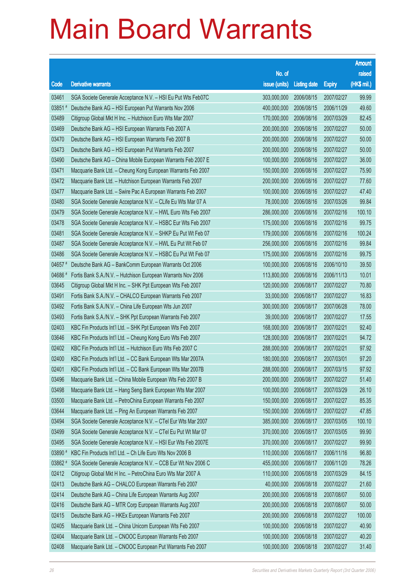|         |                                                              |                        |                     |               | <b>Amount</b> |
|---------|--------------------------------------------------------------|------------------------|---------------------|---------------|---------------|
|         |                                                              | No. of                 |                     |               | raised        |
| Code    | <b>Derivative warrants</b>                                   | issue (units)          | <b>Listing date</b> | <b>Expiry</b> | (HK\$ mil.)   |
| 03461   | SGA Societe Generale Acceptance N.V. - HSI Eu Put Wts Feb07C | 303,000,000            | 2006/08/15          | 2007/02/27    | 99.99         |
| 03851   | Deutsche Bank AG - HSI European Put Warrants Nov 2006        | 400,000,000            | 2006/08/15          | 2006/11/29    | 49.60         |
| 03489   | Citigroup Global Mkt H Inc. - Hutchison Euro Wts Mar 2007    | 170,000,000            | 2006/08/16          | 2007/03/29    | 82.45         |
| 03469   | Deutsche Bank AG - HSI European Warrants Feb 2007 A          | 200,000,000            | 2006/08/16          | 2007/02/27    | 50.00         |
| 03470   | Deutsche Bank AG - HSI European Warrants Feb 2007 B          | 200,000,000            | 2006/08/16          | 2007/02/27    | 50.00         |
| 03473   | Deutsche Bank AG - HSI European Put Warrants Feb 2007        | 200,000,000            | 2006/08/16          | 2007/02/27    | 50.00         |
| 03490   | Deutsche Bank AG - China Mobile European Warrants Feb 2007 E | 100,000,000            | 2006/08/16          | 2007/02/27    | 36.00         |
| 03471   | Macquarie Bank Ltd. - Cheung Kong European Warrants Feb 2007 | 150,000,000            | 2006/08/16          | 2007/02/27    | 75.90         |
| 03472   | Macquarie Bank Ltd. - Hutchison European Warrants Feb 2007   | 200,000,000            | 2006/08/16          | 2007/02/27    | 77.60         |
| 03477   | Macquarie Bank Ltd. - Swire Pac A European Warrants Feb 2007 | 100,000,000            | 2006/08/16          | 2007/02/27    | 47.40         |
| 03480   | SGA Societe Generale Acceptance N.V. - CLife Eu Wts Mar 07 A | 78,000,000             | 2006/08/16          | 2007/03/26    | 99.84         |
| 03479   | SGA Societe Generale Acceptance N.V. - HWL Euro Wts Feb 2007 | 286,000,000            | 2006/08/16          | 2007/02/16    | 100.10        |
| 03478   | SGA Societe Generale Acceptance N.V. - HSBC Eur Wts Feb 2007 | 175,000,000            | 2006/08/16          | 2007/02/16    | 99.75         |
| 03481   | SGA Societe Generale Acceptance N.V. - SHKP Eu Put Wt Feb 07 | 179,000,000            | 2006/08/16          | 2007/02/16    | 100.24        |
| 03487   | SGA Societe Generale Acceptance N.V. - HWL Eu Put Wt Feb 07  | 256,000,000            | 2006/08/16          | 2007/02/16    | 99.84         |
| 03486   | SGA Societe Generale Acceptance N.V. - HSBC Eu Put Wt Feb 07 | 175,000,000            | 2006/08/16          | 2007/02/16    | 99.75         |
| 04657 # | Deutsche Bank AG - BankComm European Warrants Oct 2006       | 100,000,000            | 2006/08/16          | 2006/10/10    | 39.50         |
| 04686#  | Fortis Bank S.A./N.V. - Hutchison European Warrants Nov 2006 | 113,800,000            | 2006/08/16          | 2006/11/13    | 10.01         |
| 03645   | Citigroup Global Mkt H Inc. - SHK Ppt European Wts Feb 2007  | 120,000,000            | 2006/08/17          | 2007/02/27    | 70.80         |
| 03491   | Fortis Bank S.A./N.V. - CHALCO European Warrants Feb 2007    | 33,000,000             | 2006/08/17          | 2007/02/27    | 16.83         |
| 03492   | Fortis Bank S.A./N.V. - China Life European Wts Jun 2007     | 300,000,000            | 2006/08/17          | 2007/06/28    | 78.00         |
| 03493   | Fortis Bank S.A./N.V. - SHK Ppt European Warrants Feb 2007   | 39,000,000             | 2006/08/17          | 2007/02/27    | 17.55         |
| 02403   | KBC Fin Products Int'l Ltd. - SHK Ppt European Wts Feb 2007  | 168,000,000            | 2006/08/17          | 2007/02/21    | 92.40         |
| 03646   | KBC Fin Products Int'l Ltd. - Cheung Kong Euro Wts Feb 2007  | 128,000,000            | 2006/08/17          | 2007/02/21    | 94.72         |
| 02402   | KBC Fin Products Int'l Ltd. - Hutchison Euro Wts Feb 2007 C  | 288,000,000            | 2006/08/17          | 2007/02/21    | 97.92         |
| 02400   | KBC Fin Products Int'l Ltd. - CC Bank European Wts Mar 2007A | 180,000,000            | 2006/08/17          | 2007/03/01    | 97.20         |
| 02401   | KBC Fin Products Int'l Ltd. - CC Bank European Wts Mar 2007B | 288,000,000 2006/08/17 |                     | 2007/03/15    | 97.92         |
| 03496   | Macquarie Bank Ltd. - China Mobile European Wts Feb 2007 B   | 200,000,000            | 2006/08/17          | 2007/02/27    | 51.40         |
| 03498   | Macquarie Bank Ltd. - Hang Seng Bank European Wts Mar 2007   | 100,000,000            | 2006/08/17          | 2007/03/29    | 26.10         |
| 03500   | Macquarie Bank Ltd. - PetroChina European Warrants Feb 2007  | 150,000,000            | 2006/08/17          | 2007/02/27    | 85.35         |
| 03644   | Macquarie Bank Ltd. - Ping An European Warrants Feb 2007     | 150,000,000            | 2006/08/17          | 2007/02/27    | 47.85         |
| 03494   | SGA Societe Generale Acceptance N.V. - CTel Eur Wts Mar 2007 | 385,000,000            | 2006/08/17          | 2007/03/05    | 100.10        |
| 03499   | SGA Societe Generale Acceptance N.V. - CTel Eu Put Wt Mar 07 | 370,000,000            | 2006/08/17          | 2007/03/05    | 99.90         |
| 03495   | SGA Societe Generale Acceptance N.V. - HSI Eur Wts Feb 2007E | 370,000,000            | 2006/08/17          | 2007/02/27    | 99.90         |
| 03890 # | KBC Fin Products Int'l Ltd. - Ch Life Euro Wts Nov 2006 B    | 110,000,000            | 2006/08/17          | 2006/11/16    | 96.80         |
| 03862 # | SGA Societe Generale Acceptance N.V. - CCB Eur Wt Nov 2006 C | 455,000,000            | 2006/08/17          | 2006/11/20    | 78.26         |
| 02412   | Citigroup Global Mkt H Inc. - PetroChina Euro Wts Mar 2007 A | 110,000,000            | 2006/08/18          | 2007/03/29    | 84.15         |
| 02413   | Deutsche Bank AG - CHALCO European Warrants Feb 2007         | 40,000,000             | 2006/08/18          | 2007/02/27    | 21.60         |
| 02414   | Deutsche Bank AG - China Life European Warrants Aug 2007     | 200,000,000            | 2006/08/18          | 2007/08/07    | 50.00         |
| 02416   | Deutsche Bank AG - MTR Corp European Warrants Aug 2007       | 200,000,000            | 2006/08/18          | 2007/08/07    | 50.00         |
| 02415   | Deutsche Bank AG - HKEx European Warrants Feb 2007           | 200,000,000            | 2006/08/18          | 2007/02/27    | 100.00        |
| 02405   | Macquarie Bank Ltd. - China Unicom European Wts Feb 2007     | 100,000,000            | 2006/08/18          | 2007/02/27    | 40.90         |
| 02404   | Macquarie Bank Ltd. - CNOOC European Warrants Feb 2007       | 100,000,000            | 2006/08/18          | 2007/02/27    | 40.20         |
| 02408   | Macquarie Bank Ltd. - CNOOC European Put Warrants Feb 2007   | 100,000,000            | 2006/08/18          | 2007/02/27    | 31.40         |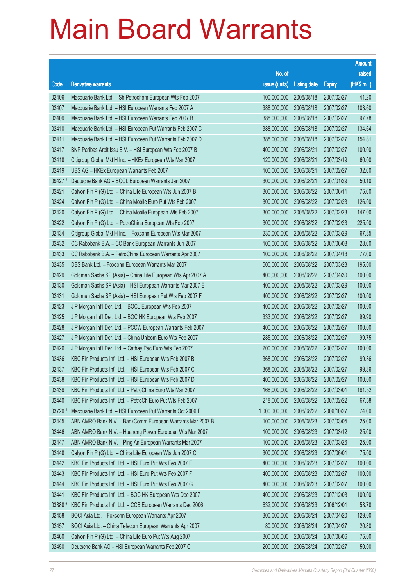|         |                                                              |                        |                     |               | <b>Amount</b> |
|---------|--------------------------------------------------------------|------------------------|---------------------|---------------|---------------|
|         |                                                              | No. of                 |                     |               | raised        |
| Code    | <b>Derivative warrants</b>                                   | issue (units)          | <b>Listing date</b> | <b>Expiry</b> | (HK\$ mil.)   |
| 02406   | Macquarie Bank Ltd. - Sh Petrochem European Wts Feb 2007     | 100,000,000            | 2006/08/18          | 2007/02/27    | 41.20         |
| 02407   | Macquarie Bank Ltd. - HSI European Warrants Feb 2007 A       | 388,000,000            | 2006/08/18          | 2007/02/27    | 103.60        |
| 02409   | Macquarie Bank Ltd. - HSI European Warrants Feb 2007 B       | 388,000,000            | 2006/08/18          | 2007/02/27    | 97.78         |
| 02410   | Macquarie Bank Ltd. - HSI European Put Warrants Feb 2007 C   | 388,000,000            | 2006/08/18          | 2007/02/27    | 134.64        |
| 02411   | Macquarie Bank Ltd. - HSI European Put Warrants Feb 2007 D   | 388,000,000            | 2006/08/18          | 2007/02/27    | 154.81        |
| 02417   | BNP Paribas Arbit Issu B.V. - HSI European Wts Feb 2007 B    | 400,000,000            | 2006/08/21          | 2007/02/27    | 100.00        |
| 02418   | Citigroup Global Mkt H Inc. - HKEx European Wts Mar 2007     | 120,000,000            | 2006/08/21          | 2007/03/19    | 60.00         |
| 02419   | UBS AG - HKEx European Warrants Feb 2007                     | 100,000,000            | 2006/08/21          | 2007/02/27    | 32.00         |
| 09427 # | Deutsche Bank AG - BOCL European Warrants Jan 2007           | 300,000,000            | 2006/08/21          | 2007/01/29    | 50.10         |
| 02421   | Calyon Fin P (G) Ltd. - China Life European Wts Jun 2007 B   | 300,000,000            | 2006/08/22          | 2007/06/11    | 75.00         |
| 02424   | Calyon Fin P (G) Ltd. - China Mobile Euro Put Wts Feb 2007   | 300,000,000            | 2006/08/22          | 2007/02/23    | 126.00        |
| 02420   | Calyon Fin P (G) Ltd. - China Mobile European Wts Feb 2007   | 300,000,000            | 2006/08/22          | 2007/02/23    | 147.00        |
| 02422   | Calyon Fin P (G) Ltd. - PetroChina European Wts Feb 2007     | 300,000,000            | 2006/08/22          | 2007/02/23    | 225.00        |
| 02434   | Citigroup Global Mkt H Inc. - Foxconn European Wts Mar 2007  | 230,000,000            | 2006/08/22          | 2007/03/29    | 67.85         |
| 02432   | CC Rabobank B.A. - CC Bank European Warrants Jun 2007        | 100,000,000            | 2006/08/22          | 2007/06/08    | 28.00         |
| 02433   | CC Rabobank B.A. - PetroChina European Warrants Apr 2007     | 100,000,000            | 2006/08/22          | 2007/04/18    | 77.00         |
| 02435   | DBS Bank Ltd. - Foxconn European Warrants Mar 2007           | 500,000,000            | 2006/08/22          | 2007/03/23    | 195.00        |
| 02429   | Goldman Sachs SP (Asia) - China Life European Wts Apr 2007 A | 400,000,000            | 2006/08/22          | 2007/04/30    | 100.00        |
| 02430   | Goldman Sachs SP (Asia) - HSI European Warrants Mar 2007 E   | 400,000,000            | 2006/08/22          | 2007/03/29    | 100.00        |
| 02431   | Goldman Sachs SP (Asia) - HSI European Put Wts Feb 2007 F    | 400,000,000            | 2006/08/22          | 2007/02/27    | 100.00        |
| 02423   | J P Morgan Int'l Der. Ltd. - BOCL European Wts Feb 2007      | 400,000,000            | 2006/08/22          | 2007/02/27    | 100.00        |
| 02425   | J P Morgan Int'l Der. Ltd. - BOC HK European Wts Feb 2007    | 333,000,000            | 2006/08/22          | 2007/02/27    | 99.90         |
| 02428   | J P Morgan Int'l Der. Ltd. - PCCW European Warrants Feb 2007 | 400,000,000            | 2006/08/22          | 2007/02/27    | 100.00        |
| 02427   | J P Morgan Int'l Der. Ltd. - China Unicom Euro Wts Feb 2007  | 285,000,000            | 2006/08/22          | 2007/02/27    | 99.75         |
| 02426   | J P Morgan Int'l Der. Ltd. - Cathay Pac Euro Wts Feb 2007    | 200,000,000            | 2006/08/22          | 2007/02/27    | 100.00        |
| 02436   | KBC Fin Products Int'l Ltd. - HSI European Wts Feb 2007 B    | 368,000,000            | 2006/08/22          | 2007/02/27    | 99.36         |
| 02437   | KBC Fin Products Int'l Ltd. - HSI European Wts Feb 2007 C    | 368,000,000 2006/08/22 |                     | 2007/02/27    | 99.36         |
| 02438   | KBC Fin Products Int'l Ltd. - HSI European Wts Feb 2007 D    | 400,000,000            | 2006/08/22          | 2007/02/27    | 100.00        |
| 02439   | KBC Fin Products Int'l Ltd. - PetroChina Euro Wts Mar 2007   | 168,000,000            | 2006/08/22          | 2007/03/01    | 191.52        |
| 02440   | KBC Fin Products Int'l Ltd. - PetroCh Euro Put Wts Feb 2007  | 218,000,000            | 2006/08/22          | 2007/02/22    | 67.58         |
| 03720 # | Macquarie Bank Ltd. - HSI European Put Warrants Oct 2006 F   | 1,000,000,000          | 2006/08/22          | 2006/10/27    | 74.00         |
| 02445   | ABN AMRO Bank N.V. - BankComm European Warrants Mar 2007 B   | 100,000,000            | 2006/08/23          | 2007/03/05    | 25.00         |
| 02446   | ABN AMRO Bank N.V. - Huaneng Power European Wts Mar 2007     | 100,000,000            | 2006/08/23          | 2007/03/12    | 25.00         |
| 02447   | ABN AMRO Bank N.V. - Ping An European Warrants Mar 2007      | 100,000,000            | 2006/08/23          | 2007/03/26    | 25.00         |
| 02448   | Calyon Fin P (G) Ltd. - China Life European Wts Jun 2007 C   | 300,000,000            | 2006/08/23          | 2007/06/01    | 75.00         |
| 02442   | KBC Fin Products Int'l Ltd. - HSI Euro Put Wts Feb 2007 E    | 400,000,000            | 2006/08/23          | 2007/02/27    | 100.00        |
| 02443   | KBC Fin Products Int'l Ltd. - HSI Euro Put Wts Feb 2007 F    | 400,000,000            | 2006/08/23          | 2007/02/27    | 100.00        |
| 02444   | KBC Fin Products Int'l Ltd. - HSI Euro Put Wts Feb 2007 G    | 400,000,000            | 2006/08/23          | 2007/02/27    | 100.00        |
| 02441   | KBC Fin Products Int'l Ltd. - BOC HK European Wts Dec 2007   | 400,000,000            | 2006/08/23          | 2007/12/03    | 100.00        |
| 03888#  | KBC Fin Products Int'l Ltd. - CCB European Warrants Dec 2006 | 632,000,000            | 2006/08/23          | 2006/12/01    | 58.78         |
| 02458   | BOCI Asia Ltd. - Foxconn European Warrants Apr 2007          | 300,000,000            | 2006/08/24          | 2007/04/20    | 129.00        |
| 02457   | BOCI Asia Ltd. - China Telecom European Warrants Apr 2007    | 80,000,000             | 2006/08/24          | 2007/04/27    | 20.80         |
| 02460   | Calyon Fin P (G) Ltd. - China Life Euro Put Wts Aug 2007     | 300,000,000            | 2006/08/24          | 2007/08/06    | 75.00         |
| 02450   | Deutsche Bank AG - HSI European Warrants Feb 2007 C          | 200,000,000            | 2006/08/24          | 2007/02/27    | 50.00         |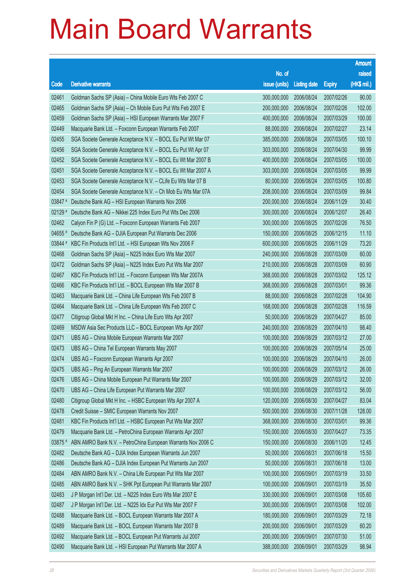|           |                                                              |               |                     |               | <b>Amount</b> |
|-----------|--------------------------------------------------------------|---------------|---------------------|---------------|---------------|
|           |                                                              | No. of        |                     |               | raised        |
| Code      | <b>Derivative warrants</b>                                   | issue (units) | <b>Listing date</b> | <b>Expiry</b> | (HK\$ mil.)   |
| 02461     | Goldman Sachs SP (Asia) - China Mobile Euro Wts Feb 2007 C   | 300,000,000   | 2006/08/24          | 2007/02/26    | 90.00         |
| 02465     | Goldman Sachs SP (Asia) - Ch Mobile Euro Put Wts Feb 2007 E  | 200,000,000   | 2006/08/24          | 2007/02/26    | 102.00        |
| 02459     | Goldman Sachs SP (Asia) - HSI European Warrants Mar 2007 F   | 400,000,000   | 2006/08/24          | 2007/03/29    | 100.00        |
| 02449     | Macquarie Bank Ltd. - Foxconn European Warrants Feb 2007     | 88,000,000    | 2006/08/24          | 2007/02/27    | 23.14         |
| 02455     | SGA Societe Generale Acceptance N.V. - BOCL Eu Put Wt Mar 07 | 385,000,000   | 2006/08/24          | 2007/03/05    | 100.10        |
| 02456     | SGA Societe Generale Acceptance N.V. - BOCL Eu Put Wt Apr 07 | 303,000,000   | 2006/08/24          | 2007/04/30    | 99.99         |
| 02452     | SGA Societe Generale Acceptance N.V. - BOCL Eu Wt Mar 2007 B | 400,000,000   | 2006/08/24          | 2007/03/05    | 100.00        |
| 02451     | SGA Societe Generale Acceptance N.V. - BOCL Eu Wt Mar 2007 A | 303,000,000   | 2006/08/24          | 2007/03/05    | 99.99         |
| 02453     | SGA Societe Generale Acceptance N.V. - CLife Eu Wts Mar 07 B | 80,000,000    | 2006/08/24          | 2007/03/05    | 100.80        |
| 02454     | SGA Societe Generale Acceptance N.V. - Ch Mob Eu Wts Mar 07A | 208,000,000   | 2006/08/24          | 2007/03/09    | 99.84         |
| 03847 #   | Deutsche Bank AG - HSI European Warrants Nov 2006            | 200,000,000   | 2006/08/24          | 2006/11/29    | 30.40         |
| $02129$ # | Deutsche Bank AG - Nikkei 225 Index Euro Put Wts Dec 2006    | 300,000,000   | 2006/08/24          | 2006/12/07    | 26.40         |
| 02462     | Calyon Fin P (G) Ltd. - Foxconn European Warrants Feb 2007   | 300,000,000   | 2006/08/25          | 2007/02/26    | 76.50         |
| 04655     | Deutsche Bank AG - DJIA European Put Warrants Dec 2006       | 150,000,000   | 2006/08/25          | 2006/12/15    | 11.10         |
| 03844 #   | KBC Fin Products Int'l Ltd. - HSI European Wts Nov 2006 F    | 600,000,000   | 2006/08/25          | 2006/11/29    | 73.20         |
| 02468     | Goldman Sachs SP (Asia) - N225 Index Euro Wts Mar 2007       | 240,000,000   | 2006/08/28          | 2007/03/09    | 60.00         |
| 02472     | Goldman Sachs SP (Asia) - N225 Index Euro Put Wts Mar 2007   | 210,000,000   | 2006/08/28          | 2007/03/09    | 60.90         |
| 02467     | KBC Fin Products Int'l Ltd. - Foxconn European Wts Mar 2007A | 368,000,000   | 2006/08/28          | 2007/03/02    | 125.12        |
| 02466     | KBC Fin Products Int'l Ltd. - BOCL European Wts Mar 2007 B   | 368,000,000   | 2006/08/28          | 2007/03/01    | 99.36         |
| 02463     | Macquarie Bank Ltd. - China Life European Wts Feb 2007 B     | 88,000,000    | 2006/08/28          | 2007/02/28    | 104.90        |
| 02464     | Macquarie Bank Ltd. - China Life European Wts Feb 2007 C     | 168,000,000   | 2006/08/28          | 2007/02/28    | 116.59        |
| 02477     | Citigroup Global Mkt H Inc. - China Life Euro Wts Apr 2007   | 50,000,000    | 2006/08/29          | 2007/04/27    | 85.00         |
| 02469     | MSDW Asia Sec Products LLC - BOCL European Wts Apr 2007      | 240,000,000   | 2006/08/29          | 2007/04/10    | 98.40         |
| 02471     | UBS AG - China Mobile European Warrants Mar 2007             | 100,000,000   | 2006/08/29          | 2007/03/12    | 27.00         |
| 02473     | UBS AG - China Tel European Warrants May 2007                | 100,000,000   | 2006/08/29          | 2007/05/14    | 25.00         |
| 02474     | UBS AG - Foxconn European Warrants Apr 2007                  | 100,000,000   | 2006/08/29          | 2007/04/10    | 26.00         |
| 02475     | UBS AG - Ping An European Warrants Mar 2007                  | 100,000,000   | 2006/08/29          | 2007/03/12    | 26.00         |
| 02476     | UBS AG - China Mobile European Put Warrants Mar 2007         | 100,000,000   | 2006/08/29          | 2007/03/12    | 32.00         |
| 02470     | UBS AG - China Life European Put Warrants Mar 2007           | 100,000,000   | 2006/08/29          | 2007/03/12    | 56.00         |
| 02480     | Citigroup Global Mkt H Inc. - HSBC European Wts Apr 2007 A   | 120,000,000   | 2006/08/30          | 2007/04/27    | 83.04         |
| 02478     | Credit Suisse - SMIC European Warrants Nov 2007              | 500,000,000   | 2006/08/30          | 2007/11/28    | 128.00        |
| 02481     | KBC Fin Products Int'l Ltd. - HSBC European Put Wts Mar 2007 | 368,000,000   | 2006/08/30          | 2007/03/01    | 99.36         |
| 02479     | Macquarie Bank Ltd. - PetroChina European Warrants Apr 2007  | 150,000,000   | 2006/08/30          | 2007/04/27    | 73.35         |
| 03875 #   | ABN AMRO Bank N.V. - PetroChina European Warrants Nov 2006 C | 150,000,000   | 2006/08/30          | 2006/11/20    | 12.45         |
| 02482     | Deutsche Bank AG - DJIA Index European Warrants Jun 2007     | 50,000,000    | 2006/08/31          | 2007/06/18    | 15.50         |
| 02486     | Deutsche Bank AG - DJIA Index European Put Warrants Jun 2007 | 50,000,000    | 2006/08/31          | 2007/06/18    | 13.00         |
| 02484     | ABN AMRO Bank N.V. - China Life European Put Wts Mar 2007    | 100,000,000   | 2006/09/01          | 2007/03/19    | 33.50         |
| 02485     | ABN AMRO Bank N.V. - SHK Ppt European Put Warrants Mar 2007  | 100,000,000   | 2006/09/01          | 2007/03/19    | 35.50         |
| 02483     | J P Morgan Int'l Der. Ltd. - N225 Index Euro Wts Mar 2007 E  | 330,000,000   | 2006/09/01          | 2007/03/08    | 105.60        |
| 02487     | J P Morgan Int'l Der. Ltd. - N225 Idx Eur Put Wts Mar 2007 F | 300,000,000   | 2006/09/01          | 2007/03/08    | 102.00        |
| 02488     | Macquarie Bank Ltd. - BOCL European Warrants Mar 2007 A      | 180,000,000   | 2006/09/01          | 2007/03/29    | 72.18         |
| 02489     | Macquarie Bank Ltd. - BOCL European Warrants Mar 2007 B      | 200,000,000   | 2006/09/01          | 2007/03/29    | 60.20         |
| 02492     | Macquarie Bank Ltd. - BOCL European Put Warrants Jul 2007    | 200,000,000   | 2006/09/01          | 2007/07/30    | 51.00         |
| 02490     | Macquarie Bank Ltd. - HSI European Put Warrants Mar 2007 A   | 388,000,000   | 2006/09/01          | 2007/03/29    | 98.94         |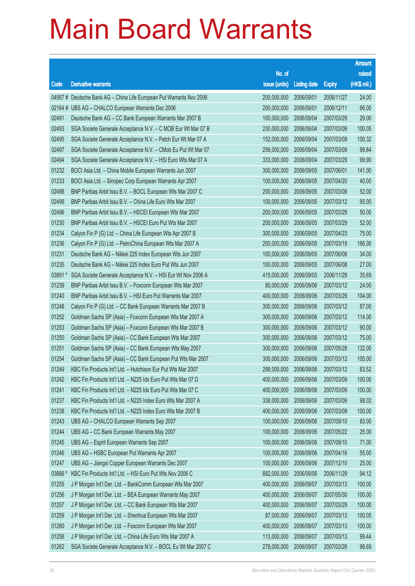|         |                                                                      |                        |                     |               | <b>Amount</b> |
|---------|----------------------------------------------------------------------|------------------------|---------------------|---------------|---------------|
|         |                                                                      | No. of                 |                     |               | raised        |
| Code    | <b>Derivative warrants</b>                                           | issue (units)          | <b>Listing date</b> | <b>Expiry</b> | (HK\$ mil.)   |
|         | 04567 # Deutsche Bank AG - China Life European Put Warrants Nov 2006 | 200,000,000            | 2006/09/01          | 2006/11/27    | 24.00         |
|         | 02164 # UBS AG - CHALCO European Warrants Dec 2006                   | 200,000,000            | 2006/09/01          | 2006/12/11    | 66.00         |
| 02491   | Deutsche Bank AG - CC Bank European Warrants Mar 2007 B              | 100,000,000            | 2006/09/04          | 2007/03/29    | 29.00         |
| 02493   | SGA Societe Generale Acceptance N.V. - C MOB Eur Wt Mar 07 B         | 230,000,000            | 2006/09/04          | 2007/03/09    | 100.05        |
| 02495   | SGA Societe Generale Acceptance N.V. - Petch Eur Wt Mar 07 A         | 152,000,000            | 2006/09/04          | 2007/03/09    | 100.32        |
| 02497   | SGA Societe Generale Acceptance N.V. - CMob Eu Put Wt Mar 07         | 256,000,000            | 2006/09/04          | 2007/03/09    | 99.84         |
| 02494   | SGA Societe Generale Acceptance N.V. - HSI Euro Wts Mar 07 A         | 333,000,000            | 2006/09/04          | 2007/03/29    | 99.90         |
| 01232   | BOCI Asia Ltd. - China Mobile European Warrants Jun 2007             | 300,000,000            | 2006/09/05          | 2007/06/01    | 141.00        |
| 01233   | BOCI Asia Ltd. - Sinopec Corp European Warrants Apr 2007             | 100,000,000            | 2006/09/05          | 2007/04/20    | 40.00         |
| 02498   | BNP Paribas Arbit Issu B.V. - BOCL European Wts Mar 2007 C           | 200,000,000            | 2006/09/05          | 2007/03/08    | 52.00         |
| 02499   | BNP Paribas Arbit Issu B.V. - China Life Euro Wts Mar 2007           | 100,000,000            | 2006/09/05          | 2007/03/12    | 95.00         |
| 02496   | BNP Paribas Arbit Issu B.V. - HSCEI European Wts Mar 2007            | 200,000,000            | 2006/09/05          | 2007/03/29    | 50.00         |
| 01230   | BNP Paribas Arbit Issu B.V. - HSCEI Euro Put Wts Mar 2007            | 200,000,000            | 2006/09/05          | 2007/03/29    | 52.00         |
| 01234   | Calyon Fin P (G) Ltd. - China Life European Wts Apr 2007 B           | 300,000,000            | 2006/09/05          | 2007/04/23    | 75.00         |
| 01236   | Calyon Fin P (G) Ltd. - PetroChina European Wts Mar 2007 A           | 200,000,000            | 2006/09/05          | 2007/03/19    | 166.00        |
| 01231   | Deutsche Bank AG - Nikkei 225 Index European Wts Jun 2007            | 100,000,000            | 2006/09/05          | 2007/06/08    | 34.00         |
| 01235   | Deutsche Bank AG - Nikkei 225 Index Euro Put Wts Jun 2007            | 100,000,000            | 2006/09/05          | 2007/06/08    | 27.00         |
| 03891#  | SGA Societe Generale Acceptance N.V. - HSI Eur Wt Nov 2006 A         | 415,000,000            | 2006/09/05          | 2006/11/29    | 35.69         |
| 01239   | BNP Paribas Arbit Issu B.V. - Foxconn European Wts Mar 2007          | 80,000,000             | 2006/09/06          | 2007/03/12    | 24.00         |
| 01240   | BNP Paribas Arbit Issu B.V. - HSI Euro Put Warrants Mar 2007         | 400,000,000            | 2006/09/06          | 2007/03/29    | 104.00        |
| 01248   | Calyon Fin P (G) Ltd. - CC Bank European Warrants Mar 2007 B         | 300,000,000            | 2006/09/06          | 2007/03/12    | 87.00         |
| 01252   | Goldman Sachs SP (Asia) - Foxconn European Wts Mar 2007 A            | 300,000,000            | 2006/09/06          | 2007/03/12    | 114.00        |
| 01253   | Goldman Sachs SP (Asia) - Foxconn European Wts Mar 2007 B            | 300,000,000            | 2006/09/06          | 2007/03/12    | 90.00         |
| 01250   | Goldman Sachs SP (Asia) - CC Bank European Wts Mar 2007              | 300,000,000            | 2006/09/06          | 2007/03/12    | 75.00         |
| 01251   | Goldman Sachs SP (Asia) - CC Bank European Wts May 2007              | 300,000,000            | 2006/09/06          | 2007/05/28    | 132.00        |
| 01254   | Goldman Sachs SP (Asia) - CC Bank European Put Wts Mar 2007          | 300,000,000            | 2006/09/06          | 2007/03/12    | 105.00        |
| 01249   | KBC Fin Products Int'l Ltd. - Hutchison Eur Put Wts Mar 2007         | 288,000,000 2006/09/06 |                     | 2007/03/12    | 83.52         |
| 01242   | KBC Fin Products Int'l Ltd. - N225 Idx Euro Put Wts Mar 07 D         | 400,000,000            | 2006/09/06          | 2007/03/09    | 100.00        |
| 01241   | KBC Fin Products Int'l Ltd. - N225 Idx Euro Put Wts Mar 07 C         | 400,000,000            | 2006/09/06          | 2007/03/09    | 100.00        |
| 01237   | KBC Fin Products Int'l Ltd. - N225 Index Euro Wts Mar 2007 A         | 338,000,000            | 2006/09/06          | 2007/03/09    | 98.02         |
| 01238   | KBC Fin Products Int'l Ltd. - N225 Index Euro Wts Mar 2007 B         | 400,000,000            | 2006/09/06          | 2007/03/09    | 100.00        |
| 01243   | UBS AG - CHALCO European Warrants Sep 2007                           | 100,000,000            | 2006/09/06          | 2007/09/10    | 83.00         |
| 01244   | UBS AG - CC Bank European Warrants May 2007                          | 100,000,000            | 2006/09/06          | 2007/05/22    | 25.00         |
| 01245   | UBS AG - Esprit European Warrants Sep 2007                           | 100,000,000            | 2006/09/06          | 2007/09/10    | 71.00         |
| 01246   | UBS AG - HSBC European Put Warrants Apr 2007                         | 100,000,000            | 2006/09/06          | 2007/04/16    | 55.00         |
| 01247   | UBS AG - Jiangxi Copper European Warrants Dec 2007                   | 100,000,000            | 2006/09/06          | 2007/12/10    | 25.00         |
| 03866 # | KBC Fin Products Int'l Ltd. - HSI Euro Put Wts Nov 2006 C            | 682,000,000            | 2006/09/06          | 2006/11/29    | 94.12         |
| 01255   | J P Morgan Int'l Der. Ltd. - BankComm European Wts Mar 2007          | 400,000,000            | 2006/09/07          | 2007/03/13    | 100.00        |
| 01256   | J P Morgan Int'l Der. Ltd. - BEA European Warrants May 2007          | 400,000,000            | 2006/09/07          | 2007/05/30    | 100.00        |
| 01257   | J P Morgan Int'l Der. Ltd. - CC Bank European Wts Mar 2007           | 400,000,000            | 2006/09/07          | 2007/03/29    | 100.00        |
| 01259   | J P Morgan Int'l Der. Ltd. - Shenhua European Wts Mar 2007           | 87,000,000             | 2006/09/07          | 2007/03/13    | 100.05        |
| 01260   | J P Morgan Int'l Der. Ltd. - Foxconn European Wts Mar 2007           | 400,000,000            | 2006/09/07          | 2007/03/13    | 100.00        |
| 01258   | J P Morgan Int'l Der. Ltd. - China Life Euro Wts Mar 2007 A          | 113,000,000            | 2006/09/07          | 2007/03/13    | 99.44         |
| 01262   | SGA Societe Generale Acceptance N.V. - BOCL Eu Wt Mar 2007 C         | 278,000,000            | 2006/09/07          | 2007/03/26    | 98.69         |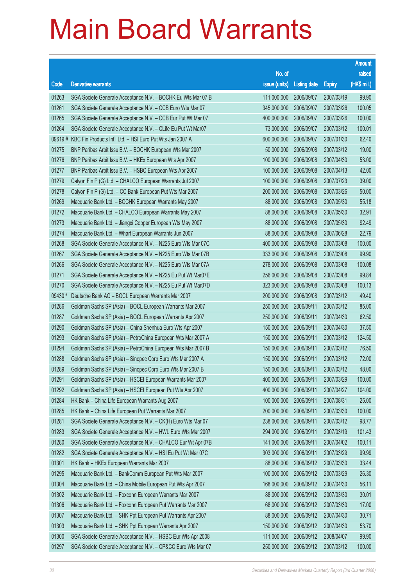|         |                                                              |                        |                     |               | <b>Amount</b> |
|---------|--------------------------------------------------------------|------------------------|---------------------|---------------|---------------|
|         |                                                              | No. of                 |                     |               | raised        |
| Code    | <b>Derivative warrants</b>                                   | issue (units)          | <b>Listing date</b> | <b>Expiry</b> | (HK\$ mil.)   |
| 01263   | SGA Societe Generale Acceptance N.V. - BOCHK Eu Wts Mar 07 B | 111,000,000            | 2006/09/07          | 2007/03/19    | 99.90         |
| 01261   | SGA Societe Generale Acceptance N.V. - CCB Euro Wts Mar 07   | 345,000,000            | 2006/09/07          | 2007/03/26    | 100.05        |
| 01265   | SGA Societe Generale Acceptance N.V. - CCB Eur Put Wt Mar 07 | 400,000,000            | 2006/09/07          | 2007/03/26    | 100.00        |
| 01264   | SGA Societe Generale Acceptance N.V. - CLife Eu Put Wt Mar07 | 73,000,000             | 2006/09/07          | 2007/03/12    | 100.01        |
| 09619#  | KBC Fin Products Int'l Ltd. - HSI Euro Put Wts Jan 2007 A    | 600,000,000            | 2006/09/07          | 2007/01/30    | 62.40         |
| 01275   | BNP Paribas Arbit Issu B.V. - BOCHK European Wts Mar 2007    | 50,000,000             | 2006/09/08          | 2007/03/12    | 19.00         |
| 01276   | BNP Paribas Arbit Issu B.V. - HKEx European Wts Apr 2007     | 100,000,000            | 2006/09/08          | 2007/04/30    | 53.00         |
| 01277   | BNP Paribas Arbit Issu B.V. - HSBC European Wts Apr 2007     | 100,000,000            | 2006/09/08          | 2007/04/13    | 42.00         |
| 01279   | Calyon Fin P (G) Ltd. - CHALCO European Warrants Jul 2007    | 100,000,000            | 2006/09/08          | 2007/07/23    | 39.00         |
| 01278   | Calyon Fin P (G) Ltd. - CC Bank European Put Wts Mar 2007    | 200,000,000            | 2006/09/08          | 2007/03/26    | 50.00         |
| 01269   | Macquarie Bank Ltd. - BOCHK European Warrants May 2007       | 88,000,000             | 2006/09/08          | 2007/05/30    | 55.18         |
| 01272   | Macquarie Bank Ltd. - CHALCO European Warrants May 2007      | 88,000,000             | 2006/09/08          | 2007/05/30    | 32.91         |
| 01273   | Macquarie Bank Ltd. - Jiangxi Copper European Wts May 2007   | 88,000,000             | 2006/09/08          | 2007/05/30    | 92.49         |
| 01274   | Macquarie Bank Ltd. - Wharf European Warrants Jun 2007       | 88,000,000             | 2006/09/08          | 2007/06/28    | 22.79         |
| 01268   | SGA Societe Generale Acceptance N.V. - N225 Euro Wts Mar 07C | 400,000,000            | 2006/09/08          | 2007/03/08    | 100.00        |
| 01267   | SGA Societe Generale Acceptance N.V. - N225 Euro Wts Mar 07B | 333,000,000            | 2006/09/08          | 2007/03/08    | 99.90         |
| 01266   | SGA Societe Generale Acceptance N.V. - N225 Euro Wts Mar 07A | 278,000,000            | 2006/09/08          | 2007/03/08    | 100.08        |
| 01271   | SGA Societe Generale Acceptance N.V. - N225 Eu Put Wt Mar07E | 256,000,000            | 2006/09/08          | 2007/03/08    | 99.84         |
| 01270   | SGA Societe Generale Acceptance N.V. - N225 Eu Put Wt Mar07D | 323,000,000            | 2006/09/08          | 2007/03/08    | 100.13        |
| 09430 # | Deutsche Bank AG - BOCL European Warrants Mar 2007           | 200,000,000            | 2006/09/08          | 2007/03/12    | 49.40         |
| 01286   | Goldman Sachs SP (Asia) - BOCL European Warrants Mar 2007    | 250,000,000            | 2006/09/11          | 2007/03/12    | 85.00         |
| 01287   | Goldman Sachs SP (Asia) - BOCL European Warrants Apr 2007    | 250,000,000            | 2006/09/11          | 2007/04/30    | 62.50         |
| 01290   | Goldman Sachs SP (Asia) - China Shenhua Euro Wts Apr 2007    | 150,000,000            | 2006/09/11          | 2007/04/30    | 37.50         |
| 01293   | Goldman Sachs SP (Asia) - PetroChina European Wts Mar 2007 A | 150,000,000            | 2006/09/11          | 2007/03/12    | 124.50        |
| 01294   | Goldman Sachs SP (Asia) - PetroChina European Wts Mar 2007 B | 150,000,000            | 2006/09/11          | 2007/03/12    | 76.50         |
| 01288   | Goldman Sachs SP (Asia) - Sinopec Corp Euro Wts Mar 2007 A   | 150,000,000            | 2006/09/11          | 2007/03/12    | 72.00         |
| 01289   | Goldman Sachs SP (Asia) - Sinopec Corp Euro Wts Mar 2007 B   | 150,000,000 2006/09/11 |                     | 2007/03/12    | 48.00         |
| 01291   | Goldman Sachs SP (Asia) - HSCEI European Warrants Mar 2007   | 400,000,000            | 2006/09/11          | 2007/03/29    | 100.00        |
| 01292   | Goldman Sachs SP (Asia) - HSCEI European Put Wts Apr 2007    | 400,000,000            | 2006/09/11          | 2007/04/27    | 104.00        |
| 01284   | HK Bank - China Life European Warrants Aug 2007              | 100,000,000            | 2006/09/11          | 2007/08/31    | 25.00         |
| 01285   | HK Bank - China Life European Put Warrants Mar 2007          | 200,000,000            | 2006/09/11          | 2007/03/30    | 100.00        |
| 01281   | SGA Societe Generale Acceptance N.V. - CK(H) Euro Wts Mar 07 | 238,000,000            | 2006/09/11          | 2007/03/12    | 98.77         |
| 01283   | SGA Societe Generale Acceptance N.V. - HWL Euro Wts Mar 2007 | 294,000,000            | 2006/09/11          | 2007/03/19    | 101.43        |
| 01280   | SGA Societe Generale Acceptance N.V. - CHALCO Eur Wt Apr 07B | 141,000,000            | 2006/09/11          | 2007/04/02    | 100.11        |
| 01282   | SGA Societe Generale Acceptance N.V. - HSI Eu Put Wt Mar 07C | 303,000,000            | 2006/09/11          | 2007/03/29    | 99.99         |
| 01301   | HK Bank - HKEx European Warrants Mar 2007                    | 88,000,000             | 2006/09/12          | 2007/03/30    | 33.44         |
| 01295   | Macquarie Bank Ltd. - BankComm European Put Wts Mar 2007     | 100,000,000            | 2006/09/12          | 2007/03/29    | 26.30         |
| 01304   | Macquarie Bank Ltd. - China Mobile European Put Wts Apr 2007 | 168,000,000            | 2006/09/12          | 2007/04/30    | 56.11         |
| 01302   | Macquarie Bank Ltd. - Foxconn European Warrants Mar 2007     | 88,000,000             | 2006/09/12          | 2007/03/30    | 30.01         |
| 01306   | Macquarie Bank Ltd. - Foxconn European Put Warrants Mar 2007 | 68,000,000             | 2006/09/12          | 2007/03/30    | 17.00         |
| 01307   | Macquarie Bank Ltd. - SHK Ppt European Put Warrants Apr 2007 | 88,000,000             | 2006/09/12          | 2007/04/30    | 30.71         |
| 01303   | Macquarie Bank Ltd. - SHK Ppt European Warrants Apr 2007     | 150,000,000            | 2006/09/12          | 2007/04/30    | 53.70         |
| 01300   | SGA Societe Generale Acceptance N.V. - HSBC Eur Wts Apr 2008 | 111,000,000            | 2006/09/12          | 2008/04/07    | 99.90         |
| 01297   | SGA Societe Generale Acceptance N.V. - CP&CC Euro Wts Mar 07 | 250,000,000            | 2006/09/12          | 2007/03/12    | 100.00        |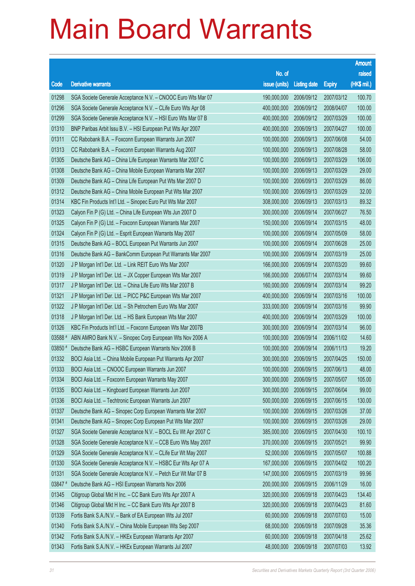|         |                                                              |                        |                     |               | <b>Amount</b> |
|---------|--------------------------------------------------------------|------------------------|---------------------|---------------|---------------|
|         |                                                              | No. of                 |                     |               | raised        |
| Code    | <b>Derivative warrants</b>                                   | issue (units)          | <b>Listing date</b> | <b>Expiry</b> | (HK\$ mil.)   |
| 01298   | SGA Societe Generale Acceptance N.V. - CNOOC Euro Wts Mar 07 | 190,000,000            | 2006/09/12          | 2007/03/12    | 100.70        |
| 01296   | SGA Societe Generale Acceptance N.V. - CLife Euro Wts Apr 08 | 400,000,000            | 2006/09/12          | 2008/04/07    | 100.00        |
| 01299   | SGA Societe Generale Acceptance N.V. - HSI Euro Wts Mar 07 B | 400,000,000            | 2006/09/12          | 2007/03/29    | 100.00        |
| 01310   | BNP Paribas Arbit Issu B.V. - HSI European Put Wts Apr 2007  | 400,000,000            | 2006/09/13          | 2007/04/27    | 100.00        |
| 01311   | CC Rabobank B.A. - Foxconn European Warrants Jun 2007        | 100,000,000            | 2006/09/13          | 2007/06/08    | 54.00         |
| 01313   | CC Rabobank B.A. - Foxconn European Warrants Aug 2007        | 100,000,000            | 2006/09/13          | 2007/08/28    | 58.00         |
| 01305   | Deutsche Bank AG - China Life European Warrants Mar 2007 C   | 100,000,000            | 2006/09/13          | 2007/03/29    | 106.00        |
| 01308   | Deutsche Bank AG - China Mobile European Warrants Mar 2007   | 100,000,000            | 2006/09/13          | 2007/03/29    | 29.00         |
| 01309   | Deutsche Bank AG - China Life European Put Wts Mar 2007 D    | 100,000,000            | 2006/09/13          | 2007/03/29    | 86.00         |
| 01312   | Deutsche Bank AG - China Mobile European Put Wts Mar 2007    | 100,000,000            | 2006/09/13          | 2007/03/29    | 32.00         |
| 01314   | KBC Fin Products Int'l Ltd. - Sinopec Euro Put Wts Mar 2007  | 308,000,000            | 2006/09/13          | 2007/03/13    | 89.32         |
| 01323   | Calyon Fin P (G) Ltd. - China Life European Wts Jun 2007 D   | 300,000,000            | 2006/09/14          | 2007/06/27    | 76.50         |
| 01325   | Calyon Fin P (G) Ltd. - Foxconn European Warrants Mar 2007   | 150,000,000            | 2006/09/14          | 2007/03/15    | 48.00         |
| 01324   | Calyon Fin P (G) Ltd. - Esprit European Warrants May 2007    | 100,000,000            | 2006/09/14          | 2007/05/09    | 58.00         |
| 01315   | Deutsche Bank AG - BOCL European Put Warrants Jun 2007       | 100,000,000            | 2006/09/14          | 2007/06/28    | 25.00         |
| 01316   | Deutsche Bank AG - BankComm European Put Warrants Mar 2007   | 100,000,000            | 2006/09/14          | 2007/03/19    | 25.00         |
| 01320   | J P Morgan Int'l Der. Ltd. - Link REIT Euro Wts Mar 2007     | 166,000,000            | 2006/09/14          | 2007/03/20    | 99.60         |
| 01319   | J P Morgan Int'l Der. Ltd. - JX Copper European Wts Mar 2007 | 166,000,000            | 2006/07/14          | 2007/03/14    | 99.60         |
| 01317   | J P Morgan Int'l Der. Ltd. - China Life Euro Wts Mar 2007 B  | 160,000,000            | 2006/09/14          | 2007/03/14    | 99.20         |
| 01321   | J P Morgan Int'l Der. Ltd. - PICC P&C European Wts Mar 2007  | 400,000,000            | 2006/09/14          | 2007/03/16    | 100.00        |
| 01322   | J P Morgan Int'l Der. Ltd. - Sh Petrochem Euro Wts Mar 2007  | 333,000,000            | 2006/09/14          | 2007/03/16    | 99.90         |
| 01318   | J P Morgan Int'l Der. Ltd. - HS Bank European Wts Mar 2007   | 400,000,000            | 2006/09/14          | 2007/03/29    | 100.00        |
| 01326   | KBC Fin Products Int'l Ltd. - Foxconn European Wts Mar 2007B | 300,000,000            | 2006/09/14          | 2007/03/14    | 96.00         |
| 03588 # | ABN AMRO Bank N.V. - Sinopec Corp European Wts Nov 2006 A    | 100,000,000            | 2006/09/14          | 2006/11/02    | 14.60         |
| 03850 # | Deutsche Bank AG - HSBC European Warrants Nov 2006 B         | 100,000,000            | 2006/09/14          | 2006/11/13    | 19.20         |
| 01332   | BOCI Asia Ltd. - China Mobile European Put Warrants Apr 2007 | 300,000,000            | 2006/09/15          | 2007/04/25    | 150.00        |
| 01333   | BOCI Asia Ltd. - CNOOC European Warrants Jun 2007            | 100,000,000 2006/09/15 |                     | 2007/06/13    | 48.00         |
| 01334   | BOCI Asia Ltd. - Foxconn European Warrants May 2007          | 300,000,000            | 2006/09/15          | 2007/05/07    | 105.00        |
| 01335   | BOCI Asia Ltd. - Kingboard European Warrants Jun 2007        | 300,000,000            | 2006/09/15          | 2007/06/04    | 99.00         |
| 01336   | BOCI Asia Ltd. - Techtronic European Warrants Jun 2007       | 500,000,000            | 2006/09/15          | 2007/06/15    | 130.00        |
| 01337   | Deutsche Bank AG - Sinopec Corp European Warrants Mar 2007   | 100,000,000            | 2006/09/15          | 2007/03/26    | 37.00         |
| 01341   | Deutsche Bank AG - Sinopec Corp European Put Wts Mar 2007    | 100,000,000            | 2006/09/15          | 2007/03/26    | 29.00         |
| 01327   | SGA Societe Generale Acceptance N.V. - BOCL Eu Wt Apr 2007 C | 385,000,000            | 2006/09/15          | 2007/04/30    | 100.10        |
| 01328   | SGA Societe Generale Acceptance N.V. - CCB Euro Wts May 2007 | 370,000,000            | 2006/09/15          | 2007/05/21    | 99.90         |
| 01329   | SGA Societe Generale Acceptance N.V. - CLife Eur Wt May 2007 | 52,000,000             | 2006/09/15          | 2007/05/07    | 100.88        |
| 01330   | SGA Societe Generale Acceptance N.V. - HSBC Eur Wts Apr 07 A | 167,000,000            | 2006/09/15          | 2007/04/02    | 100.20        |
| 01331   | SGA Societe Generale Acceptance N.V. - Petch Eur Wt Mar 07 B | 147,000,000            | 2006/09/15          | 2007/03/19    | 99.96         |
| 03847#  | Deutsche Bank AG - HSI European Warrants Nov 2006            | 200,000,000            | 2006/09/15          | 2006/11/29    | 16.00         |
| 01345   | Citigroup Global Mkt H Inc. - CC Bank Euro Wts Apr 2007 A    | 320,000,000            | 2006/09/18          | 2007/04/23    | 134.40        |
| 01346   | Citigroup Global Mkt H Inc. - CC Bank Euro Wts Apr 2007 B    | 320,000,000            | 2006/09/18          | 2007/04/23    | 81.60         |
| 01339   | Fortis Bank S.A./N.V. - Bank of EA European Wts Jul 2007     | 60,000,000             | 2006/09/18          | 2007/07/03    | 15.00         |
| 01340   | Fortis Bank S.A./N.V. - China Mobile European Wts Sep 2007   | 68,000,000             | 2006/09/18          | 2007/09/28    | 35.36         |
| 01342   | Fortis Bank S.A./N.V. - HKEx European Warrants Apr 2007      | 60,000,000             | 2006/09/18          | 2007/04/18    | 25.62         |
| 01343   | Fortis Bank S.A./N.V. - HKEx European Warrants Jul 2007      | 48,000,000             | 2006/09/18          | 2007/07/03    | 13.92         |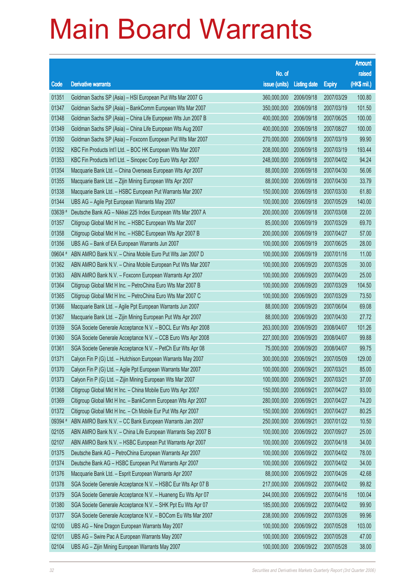|         |                                                              |                        |                     |               | <b>Amount</b> |
|---------|--------------------------------------------------------------|------------------------|---------------------|---------------|---------------|
|         |                                                              | No. of                 |                     |               | raised        |
| Code    | <b>Derivative warrants</b>                                   | issue (units)          | <b>Listing date</b> | <b>Expiry</b> | (HK\$ mil.)   |
| 01351   | Goldman Sachs SP (Asia) - HSI European Put Wts Mar 2007 G    | 360,000,000            | 2006/09/18          | 2007/03/29    | 100.80        |
| 01347   | Goldman Sachs SP (Asia) - BankComm European Wts Mar 2007     | 350,000,000            | 2006/09/18          | 2007/03/19    | 101.50        |
| 01348   | Goldman Sachs SP (Asia) - China Life European Wts Jun 2007 B | 400,000,000            | 2006/09/18          | 2007/06/25    | 100.00        |
| 01349   | Goldman Sachs SP (Asia) - China Life European Wts Aug 2007   | 400,000,000            | 2006/09/18          | 2007/08/27    | 100.00        |
| 01350   | Goldman Sachs SP (Asia) - Foxconn European Put Wts Mar 2007  | 270,000,000            | 2006/09/18          | 2007/03/19    | 99.90         |
| 01352   | KBC Fin Products Int'l Ltd. - BOC HK European Wts Mar 2007   | 208,000,000            | 2006/09/18          | 2007/03/19    | 193.44        |
| 01353   | KBC Fin Products Int'l Ltd. - Sinopec Corp Euro Wts Apr 2007 | 248,000,000            | 2006/09/18          | 2007/04/02    | 94.24         |
| 01354   | Macquarie Bank Ltd. - China Overseas European Wts Apr 2007   | 88,000,000             | 2006/09/18          | 2007/04/30    | 56.06         |
| 01355   | Macquarie Bank Ltd. - Zijin Mining European Wts Apr 2007     | 88,000,000             | 2006/09/18          | 2007/04/30    | 33.79         |
| 01338   | Macquarie Bank Ltd. - HSBC European Put Warrants Mar 2007    | 150,000,000            | 2006/09/18          | 2007/03/30    | 61.80         |
| 01344   | UBS AG - Agile Ppt European Warrants May 2007                | 100,000,000            | 2006/09/18          | 2007/05/29    | 140.00        |
| 03639 # | Deutsche Bank AG - Nikkei 225 Index European Wts Mar 2007 A  | 200,000,000            | 2006/09/18          | 2007/03/08    | 22.00         |
| 01357   | Citigroup Global Mkt H Inc. - HSBC European Wts Mar 2007     | 85,000,000             | 2006/09/19          | 2007/03/29    | 69.70         |
| 01358   | Citigroup Global Mkt H Inc. - HSBC European Wts Apr 2007 B   | 200,000,000            | 2006/09/19          | 2007/04/27    | 57.00         |
| 01356   | UBS AG - Bank of EA European Warrants Jun 2007               | 100,000,000            | 2006/09/19          | 2007/06/25    | 28.00         |
| 09604 # | ABN AMRO Bank N.V. - China Mobile Euro Put Wts Jan 2007 D    | 100,000,000            | 2006/09/19          | 2007/01/16    | 11.00         |
| 01362   | ABN AMRO Bank N.V. - China Mobile European Put Wts Mar 2007  | 100,000,000            | 2006/09/20          | 2007/03/26    | 30.00         |
| 01363   | ABN AMRO Bank N.V. - Foxconn European Warrants Apr 2007      | 100,000,000            | 2006/09/20          | 2007/04/20    | 25.00         |
| 01364   | Citigroup Global Mkt H Inc. - PetroChina Euro Wts Mar 2007 B | 100,000,000            | 2006/09/20          | 2007/03/29    | 104.50        |
| 01365   | Citigroup Global Mkt H Inc. - PetroChina Euro Wts Mar 2007 C | 100,000,000            | 2006/09/20          | 2007/03/29    | 73.50         |
| 01366   | Macquarie Bank Ltd. - Agile Ppt European Warrants Jun 2007   | 88,000,000             | 2006/09/20          | 2007/06/04    | 69.08         |
| 01367   | Macquarie Bank Ltd. - Zijin Mining European Put Wts Apr 2007 | 88,000,000             | 2006/09/20          | 2007/04/30    | 27.72         |
| 01359   | SGA Societe Generale Acceptance N.V. - BOCL Eur Wts Apr 2008 | 263,000,000            | 2006/09/20          | 2008/04/07    | 101.26        |
| 01360   | SGA Societe Generale Acceptance N.V. - CCB Euro Wts Apr 2008 | 227,000,000            | 2006/09/20          | 2008/04/07    | 99.88         |
| 01361   | SGA Societe Generale Acceptance N.V. - PetCh Eur Wts Apr 08  | 75,000,000             | 2006/09/20          | 2008/04/07    | 99.75         |
| 01371   | Calyon Fin P (G) Ltd. - Hutchison European Warrants May 2007 | 300,000,000            | 2006/09/21          | 2007/05/09    | 129.00        |
| 01370   | Calyon Fin P (G) Ltd. - Agile Ppt European Warrants Mar 2007 | 100,000,000 2006/09/21 |                     | 2007/03/21    | 85.00         |
| 01373   | Calyon Fin P (G) Ltd. - Zijin Mining European Wts Mar 2007   | 100,000,000            | 2006/09/21          | 2007/03/21    | 37.00         |
| 01368   | Citigroup Global Mkt H Inc. - China Mobile Euro Wts Apr 2007 | 150,000,000            | 2006/09/21          | 2007/04/27    | 93.00         |
| 01369   | Citigroup Global Mkt H Inc. - BankComm European Wts Apr 2007 | 280,000,000            | 2006/09/21          | 2007/04/27    | 74.20         |
| 01372   | Citigroup Global Mkt H Inc. - Ch Mobile Eur Put Wts Apr 2007 | 150,000,000            | 2006/09/21          | 2007/04/27    | 80.25         |
| 09394 # | ABN AMRO Bank N.V. - CC Bank European Warrants Jan 2007      | 250,000,000            | 2006/09/21          | 2007/01/22    | 10.50         |
| 02105   | ABN AMRO Bank N.V. - China Life European Warrants Sep 2007 B | 100,000,000            | 2006/09/22          | 2007/09/27    | 25.00         |
| 02107   | ABN AMRO Bank N.V. - HSBC European Put Warrants Apr 2007     | 100,000,000            | 2006/09/22          | 2007/04/18    | 34.00         |
| 01375   | Deutsche Bank AG - PetroChina European Warrants Apr 2007     | 100,000,000            | 2006/09/22          | 2007/04/02    | 78.00         |
| 01374   | Deutsche Bank AG - HSBC European Put Warrants Apr 2007       | 100,000,000            | 2006/09/22          | 2007/04/02    | 34.00         |
| 01376   | Macquarie Bank Ltd. - Esprit European Warrants Apr 2007      | 88,000,000             | 2006/09/22          | 2007/04/26    | 42.68         |
| 01378   | SGA Societe Generale Acceptance N.V. - HSBC Eur Wts Apr 07 B | 217,000,000            | 2006/09/22          | 2007/04/02    | 99.82         |
| 01379   | SGA Societe Generale Acceptance N.V. - Huaneng Eu Wts Apr 07 | 244,000,000            | 2006/09/22          | 2007/04/16    | 100.04        |
| 01380   | SGA Societe Generale Acceptance N.V. - SHK Ppt Eu Wts Apr 07 | 185,000,000            | 2006/09/22          | 2007/04/02    | 99.90         |
| 01377   | SGA Societe Generale Acceptance N.V. - BOCom Eu Wts Mar 2007 | 238,000,000            | 2006/09/22          | 2007/03/26    | 99.96         |
| 02100   | UBS AG - Nine Dragon European Warrants May 2007              | 100,000,000            | 2006/09/22          | 2007/05/28    | 103.00        |
| 02101   | UBS AG - Swire Pac A European Warrants May 2007              | 100,000,000            | 2006/09/22          | 2007/05/28    | 47.00         |
| 02104   | UBS AG - Zijin Mining European Warrants May 2007             | 100,000,000            | 2006/09/22          | 2007/05/28    | 38.00         |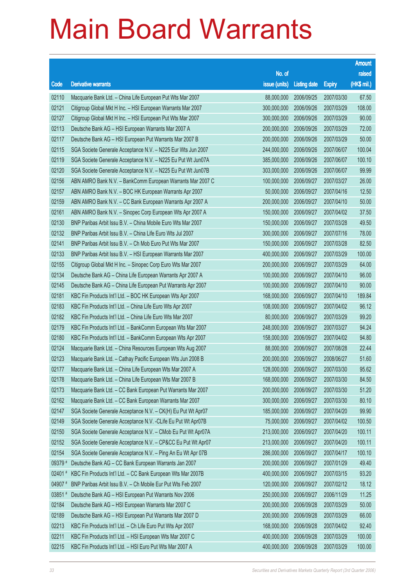|         |                                                               |                        |                     |               | <b>Amount</b> |
|---------|---------------------------------------------------------------|------------------------|---------------------|---------------|---------------|
|         |                                                               | No. of                 |                     |               | raised        |
| Code    | <b>Derivative warrants</b>                                    | issue (units)          | <b>Listing date</b> | <b>Expiry</b> | (HK\$ mil.)   |
| 02110   | Macquarie Bank Ltd. - China Life European Put Wts Mar 2007    | 88,000,000             | 2006/09/25          | 2007/03/30    | 67.50         |
| 02121   | Citigroup Global Mkt H Inc. - HSI European Warrants Mar 2007  | 300,000,000            | 2006/09/26          | 2007/03/29    | 108.00        |
| 02127   | Citigroup Global Mkt H Inc. - HSI European Put Wts Mar 2007   | 300,000,000            | 2006/09/26          | 2007/03/29    | 90.00         |
| 02113   | Deutsche Bank AG - HSI European Warrants Mar 2007 A           | 200,000,000            | 2006/09/26          | 2007/03/29    | 72.00         |
| 02117   | Deutsche Bank AG - HSI European Put Warrants Mar 2007 B       | 200,000,000            | 2006/09/26          | 2007/03/29    | 50.00         |
| 02115   | SGA Societe Generale Acceptance N.V. - N225 Eur Wts Jun 2007  | 244,000,000            | 2006/09/26          | 2007/06/07    | 100.04        |
| 02119   | SGA Societe Generale Acceptance N.V. - N225 Eu Put Wt Jun07A  | 385,000,000            | 2006/09/26          | 2007/06/07    | 100.10        |
| 02120   | SGA Societe Generale Acceptance N.V. - N225 Eu Put Wt Jun07B  | 303,000,000            | 2006/09/26          | 2007/06/07    | 99.99         |
| 02156   | ABN AMRO Bank N.V. - BankComm European Warrants Mar 2007 C    | 100,000,000            | 2006/09/27          | 2007/03/27    | 26.00         |
| 02157   | ABN AMRO Bank N.V. - BOC HK European Warrants Apr 2007        | 50,000,000             | 2006/09/27          | 2007/04/16    | 12.50         |
| 02159   | ABN AMRO Bank N.V. - CC Bank European Warrants Apr 2007 A     | 200,000,000            | 2006/09/27          | 2007/04/10    | 50.00         |
| 02161   | ABN AMRO Bank N.V. - Sinopec Corp European Wts Apr 2007 A     | 150,000,000            | 2006/09/27          | 2007/04/02    | 37.50         |
| 02130   | BNP Paribas Arbit Issu B.V. - China Mobile Euro Wts Mar 2007  | 150,000,000            | 2006/09/27          | 2007/03/28    | 49.50         |
| 02132   | BNP Paribas Arbit Issu B.V. - China Life Euro Wts Jul 2007    | 300,000,000            | 2006/09/27          | 2007/07/16    | 78.00         |
| 02141   | BNP Paribas Arbit Issu B.V. - Ch Mob Euro Put Wts Mar 2007    | 150,000,000            | 2006/09/27          | 2007/03/28    | 82.50         |
| 02133   | BNP Paribas Arbit Issu B.V. - HSI European Warrants Mar 2007  | 400,000,000            | 2006/09/27          | 2007/03/29    | 100.00        |
| 02155   | Citigroup Global Mkt H Inc. - Sinopec Corp Euro Wts Mar 2007  | 200,000,000            | 2006/09/27          | 2007/03/29    | 64.00         |
| 02134   | Deutsche Bank AG - China Life European Warrants Apr 2007 A    | 100,000,000            | 2006/09/27          | 2007/04/10    | 96.00         |
| 02145   | Deutsche Bank AG - China Life European Put Warrants Apr 2007  | 100,000,000            | 2006/09/27          | 2007/04/10    | 90.00         |
| 02181   | KBC Fin Products Int'l Ltd. - BOC HK European Wts Apr 2007    | 168,000,000            | 2006/09/27          | 2007/04/10    | 189.84        |
| 02183   | KBC Fin Products Int'l Ltd. - China Life Euro Wts Apr 2007    | 108,000,000            | 2006/09/27          | 2007/04/02    | 96.12         |
| 02182   | KBC Fin Products Int'l Ltd. - China Life Euro Wts Mar 2007    | 80,000,000             | 2006/09/27          | 2007/03/29    | 99.20         |
| 02179   | KBC Fin Products Int'l Ltd. - BankComm European Wts Mar 2007  | 248,000,000            | 2006/09/27          | 2007/03/27    | 94.24         |
| 02180   | KBC Fin Products Int'l Ltd. - BankComm European Wts Apr 2007  | 158,000,000            | 2006/09/27          | 2007/04/02    | 94.80         |
| 02124   | Macquarie Bank Ltd. - China Resources European Wts Aug 2007   | 88,000,000             | 2006/09/27          | 2007/08/28    | 22.44         |
| 02123   | Macquarie Bank Ltd. - Cathay Pacific European Wts Jun 2008 B  | 200,000,000            | 2006/09/27          | 2008/06/27    | 51.60         |
| 02177   | Macquarie Bank Ltd. - China Life European Wts Mar 2007 A      | 128,000,000 2006/09/27 |                     | 2007/03/30    | 95.62         |
| 02178   | Macquarie Bank Ltd. - China Life European Wts Mar 2007 B      | 168,000,000            | 2006/09/27          | 2007/03/30    | 84.50         |
| 02173   | Macquarie Bank Ltd. - CC Bank European Put Warrants Mar 2007  | 200,000,000            | 2006/09/27          | 2007/03/30    | 51.20         |
| 02162   | Macquarie Bank Ltd. - CC Bank European Warrants Mar 2007      | 300,000,000            | 2006/09/27          | 2007/03/30    | 80.10         |
| 02147   | SGA Societe Generale Acceptance N.V. - CK(H) Eu Put Wt Apr07  | 185,000,000            | 2006/09/27          | 2007/04/20    | 99.90         |
| 02149   | SGA Societe Generale Acceptance N.V. - CLife Eu Put Wt Apr07B | 75,000,000             | 2006/09/27          | 2007/04/02    | 100.50        |
| 02150   | SGA Societe Generale Acceptance N.V. - CMob Eu Put Wt Apr07A  | 213,000,000            | 2006/09/27          | 2007/04/20    | 100.11        |
| 02152   | SGA Societe Generale Acceptance N.V. - CP&CC Eu Put Wt Apr07  | 213,000,000            | 2006/09/27          | 2007/04/20    | 100.11        |
| 02154   | SGA Societe Generale Acceptance N.V. - Ping An Eu Wt Apr 07B  | 286,000,000            | 2006/09/27          | 2007/04/17    | 100.10        |
| 09379 # | Deutsche Bank AG - CC Bank European Warrants Jan 2007         | 200,000,000            | 2006/09/27          | 2007/01/29    | 49.40         |
| 02401#  | KBC Fin Products Int'l Ltd. - CC Bank European Wts Mar 2007B  | 400,000,000            | 2006/09/27          | 2007/03/15    | 93.20         |
| 04907#  | BNP Paribas Arbit Issu B.V. - Ch Mobile Eur Put Wts Feb 2007  | 120,000,000            | 2006/09/27          | 2007/02/12    | 18.12         |
| 03851 # | Deutsche Bank AG - HSI European Put Warrants Nov 2006         | 250,000,000            | 2006/09/27          | 2006/11/29    | 11.25         |
| 02184   | Deutsche Bank AG - HSI European Warrants Mar 2007 C           | 200,000,000            | 2006/09/28          | 2007/03/29    | 50.00         |
| 02189   | Deutsche Bank AG - HSI European Put Warrants Mar 2007 D       | 200,000,000            | 2006/09/28          | 2007/03/29    | 66.00         |
| 02213   | KBC Fin Products Int'l Ltd. - Ch Life Euro Put Wts Apr 2007   | 168,000,000            | 2006/09/28          | 2007/04/02    | 92.40         |
| 02211   | KBC Fin Products Int'l Ltd. - HSI European Wts Mar 2007 C     | 400,000,000            | 2006/09/28          | 2007/03/29    | 100.00        |
| 02215   | KBC Fin Products Int'l Ltd. - HSI Euro Put Wts Mar 2007 A     | 400,000,000            | 2006/09/28          | 2007/03/29    | 100.00        |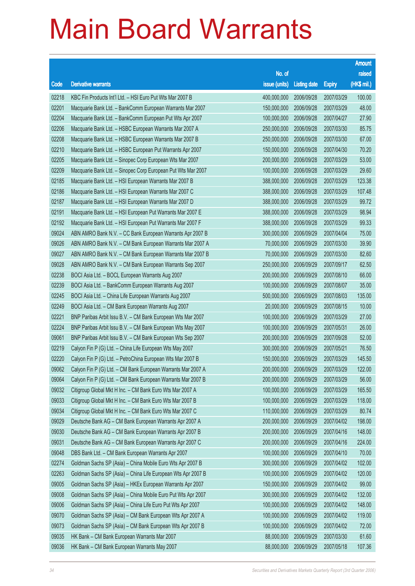|       |                                                              |                        |                     |               | <b>Amount</b> |
|-------|--------------------------------------------------------------|------------------------|---------------------|---------------|---------------|
|       |                                                              | No. of                 |                     |               | raised        |
| Code  | <b>Derivative warrants</b>                                   | issue (units)          | <b>Listing date</b> | <b>Expiry</b> | (HK\$ mil.)   |
| 02218 | KBC Fin Products Int'l Ltd. - HSI Euro Put Wts Mar 2007 B    | 400,000,000            | 2006/09/28          | 2007/03/29    | 100.00        |
| 02201 | Macquarie Bank Ltd. - BankComm European Warrants Mar 2007    | 150,000,000            | 2006/09/28          | 2007/03/29    | 48.00         |
| 02204 | Macquarie Bank Ltd. - BankComm European Put Wts Apr 2007     | 100,000,000            | 2006/09/28          | 2007/04/27    | 27.90         |
| 02206 | Macquarie Bank Ltd. - HSBC European Warrants Mar 2007 A      | 250,000,000            | 2006/09/28          | 2007/03/30    | 85.75         |
| 02208 | Macquarie Bank Ltd. - HSBC European Warrants Mar 2007 B      | 250,000,000            | 2006/09/28          | 2007/03/30    | 67.00         |
| 02210 | Macquarie Bank Ltd. - HSBC European Put Warrants Apr 2007    | 150,000,000            | 2006/09/28          | 2007/04/30    | 70.20         |
| 02205 | Macquarie Bank Ltd. - Sinopec Corp European Wts Mar 2007     | 200,000,000            | 2006/09/28          | 2007/03/29    | 53.00         |
| 02209 | Macquarie Bank Ltd. - Sinopec Corp European Put Wts Mar 2007 | 100,000,000            | 2006/09/28          | 2007/03/29    | 29.60         |
| 02185 | Macquarie Bank Ltd. - HSI European Warrants Mar 2007 B       | 388,000,000            | 2006/09/28          | 2007/03/29    | 123.38        |
| 02186 | Macquarie Bank Ltd. - HSI European Warrants Mar 2007 C       | 388,000,000            | 2006/09/28          | 2007/03/29    | 107.48        |
| 02187 | Macquarie Bank Ltd. - HSI European Warrants Mar 2007 D       | 388,000,000            | 2006/09/28          | 2007/03/29    | 99.72         |
| 02191 | Macquarie Bank Ltd. - HSI European Put Warrants Mar 2007 E   | 388,000,000            | 2006/09/28          | 2007/03/29    | 98.94         |
| 02192 | Macquarie Bank Ltd. - HSI European Put Warrants Mar 2007 F   | 388,000,000            | 2006/09/28          | 2007/03/29    | 99.33         |
| 09024 | ABN AMRO Bank N.V. - CC Bank European Warrants Apr 2007 B    | 300,000,000            | 2006/09/29          | 2007/04/04    | 75.00         |
| 09026 | ABN AMRO Bank N.V. - CM Bank European Warrants Mar 2007 A    | 70,000,000             | 2006/09/29          | 2007/03/30    | 39.90         |
| 09027 | ABN AMRO Bank N.V. - CM Bank European Warrants Mar 2007 B    | 70,000,000             | 2006/09/29          | 2007/03/30    | 82.60         |
| 09028 | ABN AMRO Bank N.V. - CM Bank European Warrants Sep 2007      | 250,000,000            | 2006/09/29          | 2007/09/17    | 62.50         |
| 02238 | BOCI Asia Ltd. - BOCL European Warrants Aug 2007             | 200,000,000            | 2006/09/29          | 2007/08/10    | 66.00         |
| 02239 | BOCI Asia Ltd. - BankComm European Warrants Aug 2007         | 100,000,000            | 2006/09/29          | 2007/08/07    | 35.00         |
| 02245 | BOCI Asia Ltd. - China Life European Warrants Aug 2007       | 500,000,000            | 2006/09/29          | 2007/08/03    | 135.00        |
| 02249 | BOCI Asia Ltd. - CM Bank European Warrants Aug 2007          | 20,000,000             | 2006/09/29          | 2007/08/15    | 10.00         |
| 02221 | BNP Paribas Arbit Issu B.V. - CM Bank European Wts Mar 2007  | 100,000,000            | 2006/09/29          | 2007/03/29    | 27.00         |
| 02224 | BNP Paribas Arbit Issu B.V. - CM Bank European Wts May 2007  | 100,000,000            | 2006/09/29          | 2007/05/31    | 26.00         |
| 09061 | BNP Paribas Arbit Issu B.V. - CM Bank European Wts Sep 2007  | 200,000,000            | 2006/09/29          | 2007/09/28    | 52.00         |
| 02219 | Calyon Fin P (G) Ltd. - China Life European Wts May 2007     | 300,000,000            | 2006/09/29          | 2007/05/21    | 76.50         |
| 02220 | Calyon Fin P (G) Ltd. - PetroChina European Wts Mar 2007 B   | 150,000,000            | 2006/09/29          | 2007/03/29    | 145.50        |
| 09062 | Calyon Fin P (G) Ltd. - CM Bank European Warrants Mar 2007 A | 200,000,000 2006/09/29 |                     | 2007/03/29    | 122.00        |
| 09064 | Calyon Fin P (G) Ltd. - CM Bank European Warrants Mar 2007 B | 200,000,000            | 2006/09/29          | 2007/03/29    | 56.00         |
| 09032 | Citigroup Global Mkt H Inc. - CM Bank Euro Wts Mar 2007 A    | 100,000,000            | 2006/09/29          | 2007/03/29    | 165.50        |
| 09033 | Citigroup Global Mkt H Inc. - CM Bank Euro Wts Mar 2007 B    | 100,000,000            | 2006/09/29          | 2007/03/29    | 118.00        |
| 09034 | Citigroup Global Mkt H Inc. - CM Bank Euro Wts Mar 2007 C    | 110,000,000            | 2006/09/29          | 2007/03/29    | 80.74         |
| 09029 | Deutsche Bank AG - CM Bank European Warrants Apr 2007 A      | 200,000,000            | 2006/09/29          | 2007/04/02    | 198.00        |
| 09030 | Deutsche Bank AG - CM Bank European Warrants Apr 2007 B      | 200,000,000            | 2006/09/29          | 2007/04/16    | 148.00        |
| 09031 | Deutsche Bank AG - CM Bank European Warrants Apr 2007 C      | 200,000,000            | 2006/09/29          | 2007/04/16    | 224.00        |
| 09048 | DBS Bank Ltd. - CM Bank European Warrants Apr 2007           | 100,000,000            | 2006/09/29          | 2007/04/10    | 70.00         |
| 02274 | Goldman Sachs SP (Asia) - China Mobile Euro Wts Apr 2007 B   | 300,000,000            | 2006/09/29          | 2007/04/02    | 102.00        |
| 02263 | Goldman Sachs SP (Asia) - China Life European Wts Apr 2007 B | 100,000,000            | 2006/09/29          | 2007/04/02    | 120.00        |
| 09005 | Goldman Sachs SP (Asia) - HKEx European Warrants Apr 2007    | 150,000,000            | 2006/09/29          | 2007/04/02    | 99.00         |
| 09008 | Goldman Sachs SP (Asia) - China Mobile Euro Put Wts Apr 2007 | 300,000,000            | 2006/09/29          | 2007/04/02    | 132.00        |
| 09006 | Goldman Sachs SP (Asia) - China Life Euro Put Wts Apr 2007   | 100,000,000            | 2006/09/29          | 2007/04/02    | 148.00        |
| 09070 | Goldman Sachs SP (Asia) - CM Bank European Wts Apr 2007 A    | 100,000,000            | 2006/09/29          | 2007/04/02    | 119.00        |
| 09073 | Goldman Sachs SP (Asia) - CM Bank European Wts Apr 2007 B    | 100,000,000            | 2006/09/29          | 2007/04/02    | 72.00         |
| 09035 | HK Bank - CM Bank European Warrants Mar 2007                 | 88,000,000             | 2006/09/29          | 2007/03/30    | 61.60         |
| 09036 | HK Bank - CM Bank European Warrants May 2007                 | 88,000,000             | 2006/09/29          | 2007/05/18    | 107.36        |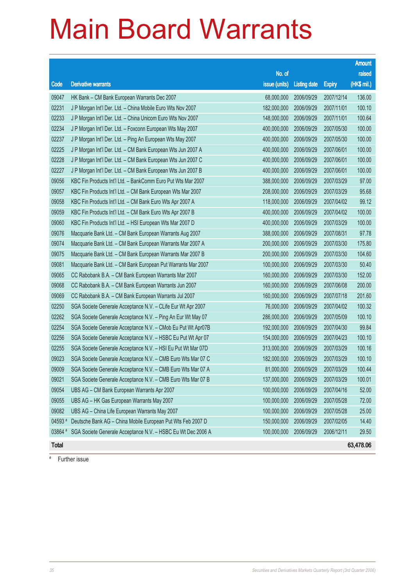|              |                                                              |               |                     |               | <b>Amount</b> |
|--------------|--------------------------------------------------------------|---------------|---------------------|---------------|---------------|
|              |                                                              | No. of        |                     |               | raised        |
| Code         | <b>Derivative warrants</b>                                   | issue (units) | <b>Listing date</b> | <b>Expiry</b> | (HK\$ mil.)   |
| 09047        | HK Bank - CM Bank European Warrants Dec 2007                 | 68,000,000    | 2006/09/29          | 2007/12/14    | 136.00        |
| 02231        | J P Morgan Int'l Der. Ltd. - China Mobile Euro Wts Nov 2007  | 182,000,000   | 2006/09/29          | 2007/11/01    | 100.10        |
| 02233        | J P Morgan Int'l Der. Ltd. - China Unicom Euro Wts Nov 2007  | 148,000,000   | 2006/09/29          | 2007/11/01    | 100.64        |
| 02234        | J P Morgan Int'l Der. Ltd. - Foxconn European Wts May 2007   | 400,000,000   | 2006/09/29          | 2007/05/30    | 100.00        |
| 02237        | J P Morgan Int'l Der. Ltd. - Ping An European Wts May 2007   | 400,000,000   | 2006/09/29          | 2007/05/30    | 100.00        |
| 02225        | J P Morgan Int'l Der. Ltd. - CM Bank European Wts Jun 2007 A | 400,000,000   | 2006/09/29          | 2007/06/01    | 100.00        |
| 02228        | J P Morgan Int'l Der. Ltd. - CM Bank European Wts Jun 2007 C | 400,000,000   | 2006/09/29          | 2007/06/01    | 100.00        |
| 02227        | J P Morgan Int'l Der. Ltd. - CM Bank European Wts Jun 2007 B | 400,000,000   | 2006/09/29          | 2007/06/01    | 100.00        |
| 09056        | KBC Fin Products Int'l Ltd. - BankComm Euro Put Wts Mar 2007 | 388,000,000   | 2006/09/29          | 2007/03/29    | 97.00         |
| 09057        | KBC Fin Products Int'l Ltd. - CM Bank European Wts Mar 2007  | 208,000,000   | 2006/09/29          | 2007/03/29    | 95.68         |
| 09058        | KBC Fin Products Int'l Ltd. - CM Bank Euro Wts Apr 2007 A    | 118,000,000   | 2006/09/29          | 2007/04/02    | 99.12         |
| 09059        | KBC Fin Products Int'l Ltd. - CM Bank Euro Wts Apr 2007 B    | 400,000,000   | 2006/09/29          | 2007/04/02    | 100.00        |
| 09060        | KBC Fin Products Int'l Ltd. - HSI European Wts Mar 2007 D    | 400,000,000   | 2006/09/29          | 2007/03/29    | 100.00        |
| 09076        | Macquarie Bank Ltd. - CM Bank European Warrants Aug 2007     | 388,000,000   | 2006/09/29          | 2007/08/31    | 97.78         |
| 09074        | Macquarie Bank Ltd. - CM Bank European Warrants Mar 2007 A   | 200,000,000   | 2006/09/29          | 2007/03/30    | 175.80        |
| 09075        | Macquarie Bank Ltd. - CM Bank European Warrants Mar 2007 B   | 200,000,000   | 2006/09/29          | 2007/03/30    | 104.60        |
| 09081        | Macquarie Bank Ltd. - CM Bank European Put Warrants Mar 2007 | 100,000,000   | 2006/09/29          | 2007/03/30    | 50.40         |
| 09065        | CC Rabobank B.A. - CM Bank European Warrants Mar 2007        | 160,000,000   | 2006/09/29          | 2007/03/30    | 152.00        |
| 09068        | CC Rabobank B.A. - CM Bank European Warrants Jun 2007        | 160,000,000   | 2006/09/29          | 2007/06/08    | 200.00        |
| 09069        | CC Rabobank B.A. - CM Bank European Warrants Jul 2007        | 160,000,000   | 2006/09/29          | 2007/07/18    | 201.60        |
| 02250        | SGA Societe Generale Acceptance N.V. - CLife Eur Wt Apr 2007 | 76,000,000    | 2006/09/29          | 2007/04/02    | 100.32        |
| 02262        | SGA Societe Generale Acceptance N.V. - Ping An Eur Wt May 07 | 286,000,000   | 2006/09/29          | 2007/05/09    | 100.10        |
| 02254        | SGA Societe Generale Acceptance N.V. - CMob Eu Put Wt Apr07B | 192,000,000   | 2006/09/29          | 2007/04/30    | 99.84         |
| 02256        | SGA Societe Generale Acceptance N.V. - HSBC Eu Put Wt Apr 07 | 154,000,000   | 2006/09/29          | 2007/04/23    | 100.10        |
| 02255        | SGA Societe Generale Acceptance N.V. - HSI Eu Put Wt Mar 07D | 313,000,000   | 2006/09/29          | 2007/03/29    | 100.16        |
| 09023        | SGA Societe Generale Acceptance N.V. - CMB Euro Wts Mar 07 C | 182,000,000   | 2006/09/29          | 2007/03/29    | 100.10        |
| 09009        | SGA Societe Generale Acceptance N.V. - CMB Euro Wts Mar 07 A | 81,000,000    | 2006/09/29          | 2007/03/29    | 100.44        |
| 09021        | SGA Societe Generale Acceptance N.V. - CMB Euro Wts Mar 07 B | 137,000,000   | 2006/09/29          | 2007/03/29    | 100.01        |
| 09054        | UBS AG - CM Bank European Warrants Apr 2007                  | 100,000,000   | 2006/09/29          | 2007/04/16    | 52.00         |
| 09055        | UBS AG - HK Gas European Warrants May 2007                   | 100,000,000   | 2006/09/29          | 2007/05/28    | 72.00         |
| 09082        | UBS AG - China Life European Warrants May 2007               | 100,000,000   | 2006/09/29          | 2007/05/28    | 25.00         |
| 04593 #      | Deutsche Bank AG - China Mobile European Put Wts Feb 2007 D  | 150,000,000   | 2006/09/29          | 2007/02/05    | 14.40         |
| 03864 #      | SGA Societe Generale Acceptance N.V. - HSBC Eu Wt Dec 2006 A | 100,000,000   | 2006/09/29          | 2006/12/11    | 29.50         |
| <b>Total</b> |                                                              |               |                     |               | 63,478.06     |

# Further issue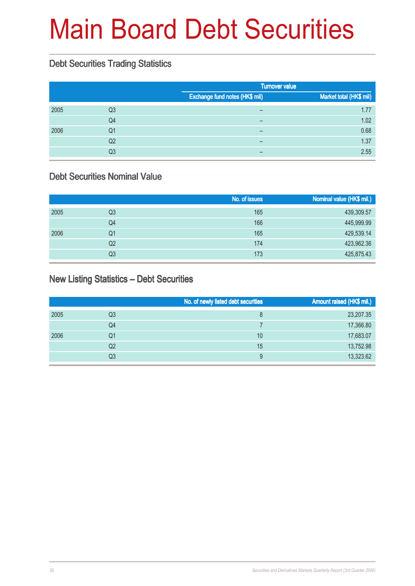# Main Board Debt Securities

#### Debt Securities Trading Statistics

|      |    |                                | <b>Turnover value</b>   |  |  |
|------|----|--------------------------------|-------------------------|--|--|
|      |    | Exchange fund notes (HK\$ mil) | Market total (HK\$ mil) |  |  |
| 2005 | Q3 | -                              | 1.77                    |  |  |
|      | Q4 | $\overline{\phantom{0}}$       | 1.02                    |  |  |
| 2006 | Q1 |                                | 0.68                    |  |  |
|      | Q2 | $\overline{\phantom{0}}$       | 1.37                    |  |  |
|      | Q3 |                                | 2.55                    |  |  |

#### Debt Securities Nominal Value

|      |    | No. of issues | Nominal value (HK\$ mil.) |
|------|----|---------------|---------------------------|
| 2005 | Q3 | 165           | 439,309.57                |
|      | Q4 | 166           | 445,999.99                |
| 2006 | Q1 | 165           | 429,539.14                |
|      | Q2 | 174           | 423,962.36                |
|      | Q3 | 173           | 425,875.43                |

#### New Listing Statistics – Debt Securities

|      |    | No. of newly listed debt securities | Amount raised (HK\$ mil.) |
|------|----|-------------------------------------|---------------------------|
| 2005 | Q3 | 8                                   | 23,207.35                 |
|      | Q4 |                                     | 17,366.80                 |
| 2006 | Q1 | 10                                  | 17,683.07                 |
|      | Q2 | 15                                  | 13,752.98                 |
|      | Q3 | 9                                   | 13,323.62                 |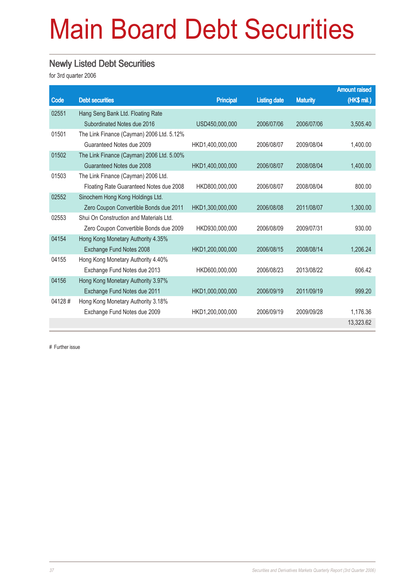# Main Board Debt Securities

#### Newly Listed Debt Securities

for 3rd quarter 2006

|        |                                           |                  |                     |                 | <b>Amount raised</b> |
|--------|-------------------------------------------|------------------|---------------------|-----------------|----------------------|
| Code   | <b>Debt securities</b>                    | <b>Principal</b> | <b>Listing date</b> | <b>Maturity</b> | (HK\$ mil.)          |
| 02551  | Hang Seng Bank Ltd. Floating Rate         |                  |                     |                 |                      |
|        | Subordinated Notes due 2016               | USD450,000,000   | 2006/07/06          | 2006/07/06      | 3,505.40             |
| 01501  | The Link Finance (Cayman) 2006 Ltd. 5.12% |                  |                     |                 |                      |
|        | Guaranteed Notes due 2009                 | HKD1.400.000.000 | 2006/08/07          | 2009/08/04      | 1.400.00             |
| 01502  | The Link Finance (Cayman) 2006 Ltd. 5.00% |                  |                     |                 |                      |
|        | Guaranteed Notes due 2008                 | HKD1,400,000,000 | 2006/08/07          | 2008/08/04      | 1,400.00             |
| 01503  | The Link Finance (Cayman) 2006 Ltd.       |                  |                     |                 |                      |
|        | Floating Rate Guaranteed Notes due 2008   | HKD800,000,000   | 2006/08/07          | 2008/08/04      | 800.00               |
| 02552  | Sinochem Hong Kong Holdings Ltd.          |                  |                     |                 |                      |
|        | Zero Coupon Convertible Bonds due 2011    | HKD1,300,000,000 | 2006/08/08          | 2011/08/07      | 1,300.00             |
| 02553  | Shui On Construction and Materials Ltd.   |                  |                     |                 |                      |
|        | Zero Coupon Convertible Bonds due 2009    | HKD930,000,000   | 2006/08/09          | 2009/07/31      | 930.00               |
| 04154  | Hong Kong Monetary Authority 4.35%        |                  |                     |                 |                      |
|        | Exchange Fund Notes 2008                  | HKD1,200,000,000 | 2006/08/15          | 2008/08/14      | 1,206.24             |
| 04155  | Hong Kong Monetary Authority 4.40%        |                  |                     |                 |                      |
|        | Exchange Fund Notes due 2013              | HKD600,000,000   | 2006/08/23          | 2013/08/22      | 606.42               |
| 04156  | Hong Kong Monetary Authority 3.97%        |                  |                     |                 |                      |
|        | Exchange Fund Notes due 2011              | HKD1,000,000,000 | 2006/09/19          | 2011/09/19      | 999.20               |
| 04128# | Hong Kong Monetary Authority 3.18%        |                  |                     |                 |                      |
|        | Exchange Fund Notes due 2009              | HKD1,200,000,000 | 2006/09/19          | 2009/09/28      | 1,176.36             |
|        |                                           |                  |                     |                 | 13,323.62            |

# Further issue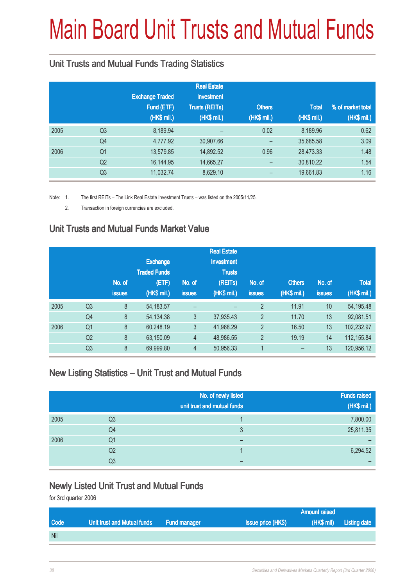# Main Board Unit Trusts and Mutual Funds

### Unit Trusts and Mutual Funds Trading Statistics

|      |                |                        | <b>Real Estate</b>       |                          |              |                   |
|------|----------------|------------------------|--------------------------|--------------------------|--------------|-------------------|
|      |                | <b>Exchange Traded</b> | <b>Investment</b>        |                          |              |                   |
|      |                | Fund (ETF)             | <b>Trusts (REITs)</b>    | <b>Others</b>            | <b>Total</b> | % of market total |
|      |                | (HK\$ mil.)            | (HK\$ mil.)              | (HK\$ mil.)              | (HK\$ mil.)  | (HK\$ mil.)       |
| 2005 | Q <sub>3</sub> | 8,189.94               | $\overline{\phantom{0}}$ | 0.02                     | 8,189.96     | 0.62              |
|      | Q <sub>4</sub> | 4,777.92               | 30,907.66                |                          | 35,685.58    | 3.09              |
| 2006 | Q <sub>1</sub> | 13,579.85              | 14,892.52                | 0.96                     | 28,473.33    | 1.48              |
|      | Q <sub>2</sub> | 16,144.95              | 14,665.27                |                          | 30,810.22    | 1.54              |
|      | Q <sub>3</sub> | 11,032.74              | 8,629.10                 | $\overline{\phantom{0}}$ | 19,661.83    | 1.16              |

Note: 1. The first REITs – The Link Real Estate Investment Trusts – was listed on the 2005/11/25.

2. Transaction in foreign currencies are excluded.

### Unit Trusts and Mutual Funds Market Value

|                |               |                 |                     | <b>Real Estate</b> |                |               |               |              |
|----------------|---------------|-----------------|---------------------|--------------------|----------------|---------------|---------------|--------------|
|                |               | <b>Exchange</b> |                     | <b>Investment</b>  |                |               |               |              |
|                |               |                 |                     | <b>Trusts</b>      |                |               |               |              |
|                | No. of        | (ETF)           | No. of              | (REITs)            | No. of         | <b>Others</b> | No. of        | <b>Total</b> |
|                | <b>issues</b> | (HK\$ mil.)     | <b>issues</b>       | (HK\$ mil.)        | <b>issues</b>  | (HK\$ mil.)   | <b>issues</b> | (HK\$ mil.)  |
| Q <sub>3</sub> | 8             | 54, 183. 57     | -                   |                    | $\overline{2}$ | 11.91         | 10            | 54, 195. 48  |
| Q4             | 8             | 54, 134. 38     | 3                   | 37,935.43          | $\overline{2}$ | 11.70         | 13            | 92,081.51    |
| Q <sub>1</sub> | 8             | 60,248.19       | 3                   | 41,968.29          | $\overline{2}$ | 16.50         | 13            | 102,232.97   |
| Q <sub>2</sub> | 8             | 63,150.09       | $\overline{4}$      | 48,986.55          | $\overline{2}$ | 19.19         | 14            | 112,155.84   |
| Q <sub>3</sub> | 8             | 69,999.80       | $\overline{4}$      | 50,956.33          |                |               | 13            | 120,956.12   |
|                |               |                 | <b>Traded Funds</b> |                    |                |               |               |              |

#### New Listing Statistics – Unit Trust and Mutual Funds

|      |                | No. of newly listed         | <b>Funds raised</b> |
|------|----------------|-----------------------------|---------------------|
|      |                | unit trust and mutual funds | (HK\$ mil.)         |
| 2005 | Q <sub>3</sub> |                             | 7,800.00            |
|      | Q4             | 3                           | 25,811.35           |
| 2006 | Q <sub>1</sub> |                             |                     |
|      | Q <sub>2</sub> |                             | 6,294.52            |
|      | Q3             |                             |                     |

#### Newly Listed Unit Trust and Mutual Funds

for 3rd quarter 2006

|            |                             |                     |                           | <b>Amount raised</b> |                         |
|------------|-----------------------------|---------------------|---------------------------|----------------------|-------------------------|
| Code       | Unit trust and Mutual funds | <b>Fund manager</b> | <b>Issue price (HK\$)</b> |                      | (HK\$ mil) Listing date |
| <b>Nil</b> |                             |                     |                           |                      |                         |
|            |                             |                     |                           |                      |                         |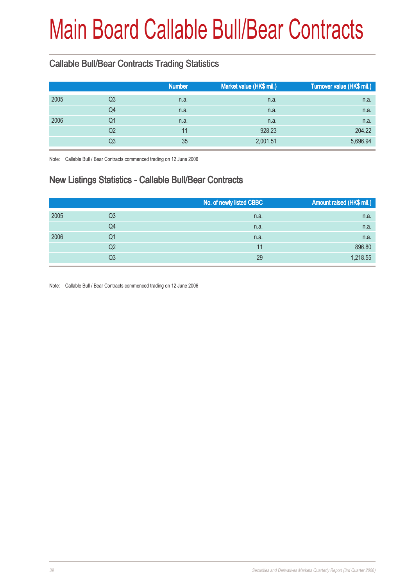# Main Board Callable Bull/Bear Contracts

### Callable Bull/Bear Contracts Trading Statistics

|      | Market value (HK\$ mil.)                           | Turnover value (HK\$ mil.) |
|------|----------------------------------------------------|----------------------------|
| n.a. | n.a.                                               | n.a.                       |
| n.a. | n.a.                                               | n.a.                       |
| n.a. | n.a.                                               | n.a.                       |
| 11   | 928.23                                             | 204.22                     |
| 35   | 2,001.51                                           | 5,696.94                   |
|      | Q <sub>3</sub><br>Q4<br>Q1<br>Q <sub>2</sub><br>Q3 | <b>Number</b>              |

Note: Callable Bull / Bear Contracts commenced trading on 12 June 2006

### New Listings Statistics - Callable Bull/Bear Contracts

|    | No. of newly listed CBBC | Amount raised (HK\$ mil.) |
|----|--------------------------|---------------------------|
| Q3 | n.a.                     | n.a.                      |
| Q4 | n.a.                     | n.a.                      |
| Q1 | n.a.                     | n.a.                      |
| Q2 | 11                       | 896.80                    |
| Q3 | 29                       | 1,218.55                  |
|    |                          |                           |

Note: Callable Bull / Bear Contracts commenced trading on 12 June 2006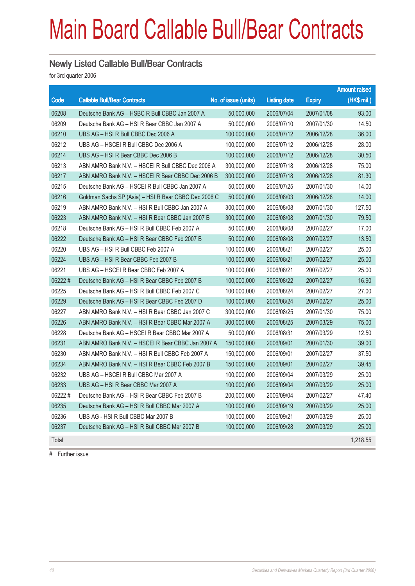## Main Board Callable Bull/Bear Contracts

#### Newly Listed Callable Bull/Bear Contracts

for 3rd quarter 2006

|        |                                                      |                      |                     |               | <b>Amount raised</b> |
|--------|------------------------------------------------------|----------------------|---------------------|---------------|----------------------|
| Code   | <b>Callable Bull/Bear Contracts</b>                  | No. of issue (units) | <b>Listing date</b> | <b>Expiry</b> | (HK\$ mil.)          |
| 06208  | Deutsche Bank AG - HSBC R Bull CBBC Jan 2007 A       | 50,000,000           | 2006/07/04          | 2007/01/08    | 93.00                |
| 06209  | Deutsche Bank AG - HSI R Bear CBBC Jan 2007 A        | 50,000,000           | 2006/07/10          | 2007/01/30    | 14.50                |
| 06210  | UBS AG - HSI R Bull CBBC Dec 2006 A                  | 100,000,000          | 2006/07/12          | 2006/12/28    | 36.00                |
| 06212  | UBS AG - HSCEI R Bull CBBC Dec 2006 A                | 100.000.000          | 2006/07/12          | 2006/12/28    | 28.00                |
| 06214  | UBS AG - HSI R Bear CBBC Dec 2006 B                  | 100,000,000          | 2006/07/12          | 2006/12/28    | 30.50                |
| 06213  | ABN AMRO Bank N.V. - HSCEI R Bull CBBC Dec 2006 A    | 300,000,000          | 2006/07/18          | 2006/12/28    | 75.00                |
| 06217  | ABN AMRO Bank N.V. - HSCEI R Bear CBBC Dec 2006 B    | 300,000,000          | 2006/07/18          | 2006/12/28    | 81.30                |
| 06215  | Deutsche Bank AG - HSCEI R Bull CBBC Jan 2007 A      | 50,000,000           | 2006/07/25          | 2007/01/30    | 14.00                |
| 06216  | Goldman Sachs SP (Asia) - HSI R Bear CBBC Dec 2006 C | 50,000,000           | 2006/08/03          | 2006/12/28    | 14.00                |
| 06219  | ABN AMRO Bank N.V. - HSI R Bull CBBC Jan 2007 A      | 300,000,000          | 2006/08/08          | 2007/01/30    | 127.50               |
| 06223  | ABN AMRO Bank N.V. - HSI R Bear CBBC Jan 2007 B      | 300,000,000          | 2006/08/08          | 2007/01/30    | 79.50                |
| 06218  | Deutsche Bank AG - HSI R Bull CBBC Feb 2007 A        | 50,000,000           | 2006/08/08          | 2007/02/27    | 17.00                |
| 06222  | Deutsche Bank AG - HSI R Bear CBBC Feb 2007 B        | 50,000,000           | 2006/08/08          | 2007/02/27    | 13.50                |
| 06220  | UBS AG - HSI R Bull CBBC Feb 2007 A                  | 100,000,000          | 2006/08/21          | 2007/02/27    | 25.00                |
| 06224  | UBS AG - HSI R Bear CBBC Feb 2007 B                  | 100,000,000          | 2006/08/21          | 2007/02/27    | 25.00                |
| 06221  | UBS AG - HSCEI R Bear CBBC Feb 2007 A                | 100,000,000          | 2006/08/21          | 2007/02/27    | 25.00                |
| 06222# | Deutsche Bank AG - HSI R Bear CBBC Feb 2007 B        | 100,000,000          | 2006/08/22          | 2007/02/27    | 16.90                |
| 06225  | Deutsche Bank AG - HSI R Bull CBBC Feb 2007 C        | 100,000,000          | 2006/08/24          | 2007/02/27    | 27.00                |
| 06229  | Deutsche Bank AG - HSI R Bear CBBC Feb 2007 D        | 100,000,000          | 2006/08/24          | 2007/02/27    | 25.00                |
| 06227  | ABN AMRO Bank N.V. - HSI R Bear CBBC Jan 2007 C      | 300,000,000          | 2006/08/25          | 2007/01/30    | 75.00                |
| 06226  | ABN AMRO Bank N.V. - HSI R Bear CBBC Mar 2007 A      | 300,000,000          | 2006/08/25          | 2007/03/29    | 75.00                |
| 06228  | Deutsche Bank AG - HSCEI R Bear CBBC Mar 2007 A      | 50,000,000           | 2006/08/31          | 2007/03/29    | 12.50                |
| 06231  | ABN AMRO Bank N.V. - HSCEI R Bear CBBC Jan 2007 A    | 150,000,000          | 2006/09/01          | 2007/01/30    | 39.00                |
| 06230  | ABN AMRO Bank N.V. - HSI R Bull CBBC Feb 2007 A      | 150,000,000          | 2006/09/01          | 2007/02/27    | 37.50                |
| 06234  | ABN AMRO Bank N.V. - HSI R Bear CBBC Feb 2007 B      | 150,000,000          | 2006/09/01          | 2007/02/27    | 39.45                |
| 06232  | UBS AG - HSCEI R Bull CBBC Mar 2007 A                | 100,000,000          | 2006/09/04          | 2007/03/29    | 25.00                |
| 06233  | UBS AG - HSI R Bear CBBC Mar 2007 A                  | 100,000,000          | 2006/09/04          | 2007/03/29    | 25.00                |
| 06222# | Deutsche Bank AG – HSI R Bear CBBC Feb 2007 B        | 200,000,000          | 2006/09/04          | 2007/02/27    | 47.40                |
| 06235  | Deutsche Bank AG - HSI R Bull CBBC Mar 2007 A        | 100,000,000          | 2006/09/19          | 2007/03/29    | 25.00                |
| 06236  | UBS AG - HSI R Bull CBBC Mar 2007 B                  | 100.000.000          | 2006/09/21          | 2007/03/29    | 25.00                |
| 06237  | Deutsche Bank AG - HSI R Bull CBBC Mar 2007 B        | 100,000,000          | 2006/09/28          | 2007/03/29    | 25.00                |
| Total  |                                                      |                      |                     |               | 1,218.55             |
|        |                                                      |                      |                     |               |                      |

# Further issue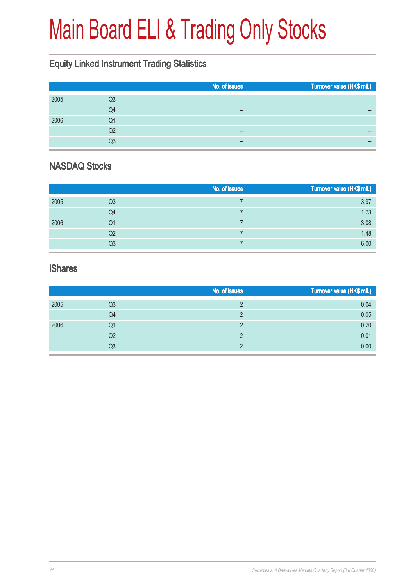# Main Board ELI & Trading Only Stocks

### Equity Linked Instrument Trading Statistics

|      |    | No. of issues | Turnover value (HK\$ mil.) |
|------|----|---------------|----------------------------|
| 2005 | Q3 | –             |                            |
|      | Q4 |               | -                          |
| 2006 | Q1 |               |                            |
|      | Q2 | –             |                            |
|      | Q3 | –             | -                          |
|      |    |               |                            |

### NASDAQ Stocks

|      |    | No. of issues | Turnover value (HK\$ mil.) |
|------|----|---------------|----------------------------|
| 2005 | Q3 |               | 3.97                       |
|      | Q4 |               | 1.73                       |
| 2006 | Q1 |               | 3.08                       |
|      | Q2 |               | 1.48                       |
|      | Q3 |               | 6.00                       |

#### iShares

|      |    | No. of issues | Turnover value (HK\$ mil.) |
|------|----|---------------|----------------------------|
| 2005 | Q3 |               | 0.04                       |
|      | Q4 |               | 0.05                       |
| 2006 | Q1 |               | 0.20                       |
|      | Q2 |               | 0.01                       |
|      | Q3 |               | 0.00                       |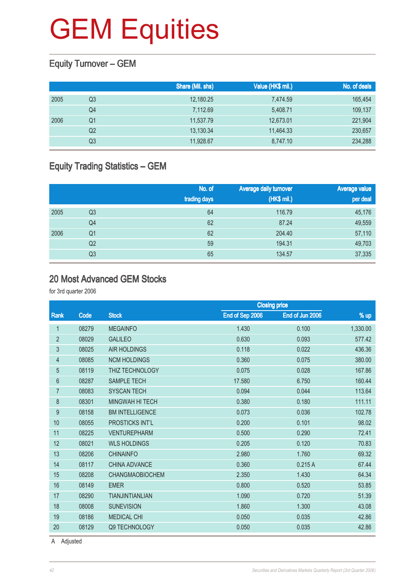### Equity Turnover – GEM

|      |                | Share (Mil. shs) | Value (HK\$ mil.) | No. of deals |
|------|----------------|------------------|-------------------|--------------|
| 2005 | Q3             | 12,180.25        | 7,474.59          | 165,454      |
|      | Q4             | 7,112.69         | 5,408.71          | 109,137      |
| 2006 | Q1             | 11,537.79        | 12,673.01         | 221,904      |
|      | Q <sub>2</sub> | 13,130.34        | 11,464.33         | 230,657      |
|      | Q3             | 11,928.67        | 8,747.10          | 234,288      |

### Equity Trading Statistics – GEM

|      |                | No. of<br>trading days | Average daily turnover<br>(HK\$ mil.) | <b>Average value</b><br>per deal |
|------|----------------|------------------------|---------------------------------------|----------------------------------|
| 2005 | Q <sub>3</sub> | 64                     | 116.79                                | 45,176                           |
|      | Q <sub>4</sub> | 62                     | 87.24                                 | 49,559                           |
| 2006 | Q <sub>1</sub> | 62                     | 204.40                                | 57,110                           |
|      | Q <sub>2</sub> | 59                     | 194.31                                | 49,703                           |
|      | Q3             | 65                     | 134.57                                | 37,335                           |

#### 20 Most Advanced GEM Stocks

for 3rd quarter 2006

|                |       | <b>Closing price</b>   |                 |                 |          |
|----------------|-------|------------------------|-----------------|-----------------|----------|
| Rank           | Code  | <b>Stock</b>           | End of Sep 2006 | End of Jun 2006 | % up     |
| 1              | 08279 | <b>MEGAINFO</b>        | 1.430           | 0.100           | 1,330.00 |
| $\overline{2}$ | 08029 | <b>GALILEO</b>         | 0.630           | 0.093           | 577.42   |
| 3              | 08025 | <b>AIR HOLDINGS</b>    | 0.118           | 0.022           | 436.36   |
| 4              | 08085 | <b>NCM HOLDINGS</b>    | 0.360           | 0.075           | 380.00   |
| 5              | 08119 | <b>THIZ TECHNOLOGY</b> | 0.075           | 0.028           | 167.86   |
| $6\phantom{a}$ | 08287 | <b>SAMPLE TECH</b>     | 17.580          | 6.750           | 160.44   |
| 7              | 08083 | <b>SYSCAN TECH</b>     | 0.094           | 0.044           | 113.64   |
| 8              | 08301 | <b>MINGWAH HI TECH</b> | 0.380           | 0.180           | 111.11   |
| 9              | 08158 | <b>BM INTELLIGENCE</b> | 0.073           | 0.036           | 102.78   |
| 10             | 08055 | PROSTICKS INT'L        | 0.200           | 0.101           | 98.02    |
| 11             | 08225 | <b>VENTUREPHARM</b>    | 0.500           | 0.290           | 72.41    |
| 12             | 08021 | <b>WLS HOLDINGS</b>    | 0.205           | 0.120           | 70.83    |
| 13             | 08206 | <b>CHINAINFO</b>       | 2.980           | 1.760           | 69.32    |
| 14             | 08117 | <b>CHINA ADVANCE</b>   | 0.360           | 0.215A          | 67.44    |
| 15             | 08208 | <b>CHANGMAOBIOCHEM</b> | 2.350           | 1.430           | 64.34    |
| 16             | 08149 | <b>EMER</b>            | 0.800           | 0.520           | 53.85    |
| 17             | 08290 | <b>TIANJINTIANLIAN</b> | 1.090           | 0.720           | 51.39    |
| 18             | 08008 | <b>SUNEVISION</b>      | 1.860           | 1.300           | 43.08    |
| 19             | 08186 | <b>MEDICAL CHI</b>     | 0.050           | 0.035           | 42.86    |
| 20             | 08129 | Q9 TECHNOLOGY          | 0.050           | 0.035           | 42.86    |

A Adjusted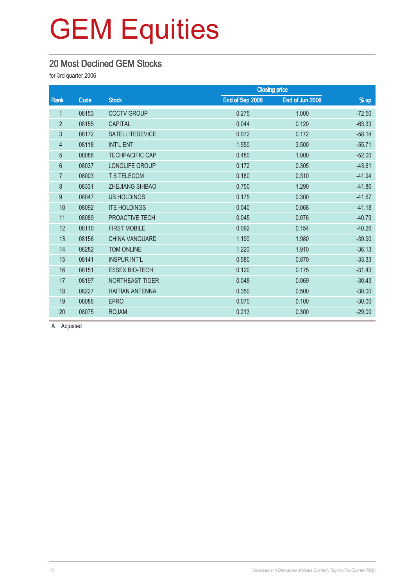### 20 Most Declined GEM Stocks

for 3rd quarter 2006

|                |       |                        |                 | <b>Closing price</b> |          |
|----------------|-------|------------------------|-----------------|----------------------|----------|
| Rank           | Code  | <b>Stock</b>           | End of Sep 2006 | End of Jun 2006      | % up     |
| $\mathbf 1$    | 08153 | <b>CCCTV GROUP</b>     | 0.275           | 1.000                | $-72.50$ |
| $\overline{2}$ | 08155 | <b>CAPITAL</b>         | 0.044           | 0.120                | $-63.33$ |
| 3              | 08172 | <b>SATELLITEDEVICE</b> | 0.072           | 0.172                | $-58.14$ |
| $\overline{4}$ | 08118 | <b>INT'L ENT</b>       | 1.550           | 3.500                | $-55.71$ |
| 5              | 08088 | <b>TECHPACIFIC CAP</b> | 0.480           | 1.000                | $-52.00$ |
| 6              | 08037 | LONGLIFE GROUP         | 0.172           | 0.305                | $-43.61$ |
| $\overline{7}$ | 08003 | <b>T S TELECOM</b>     | 0.180           | 0.310                | $-41.94$ |
| 8              | 08331 | <b>ZHEJIANG SHIBAO</b> | 0.750           | 1.290                | $-41.86$ |
| 9              | 08047 | <b>UB HOLDINGS</b>     | 0.175           | 0.300                | $-41.67$ |
| 10             | 08092 | <b>ITE HOLDINGS</b>    | 0.040           | 0.068                | $-41.18$ |
| 11             | 08089 | PROACTIVE TECH         | 0.045           | 0.076                | $-40.79$ |
| 12             | 08110 | <b>FIRST MOBILE</b>    | 0.092           | 0.154                | $-40.26$ |
| 13             | 08156 | <b>CHINA VANGUARD</b>  | 1.190           | 1.980                | $-39.90$ |
| 14             | 08282 | <b>TOM ONLINE</b>      | 1.220           | 1.910                | $-36.13$ |
| 15             | 08141 | <b>INSPUR INT'L</b>    | 0.580           | 0.870                | $-33.33$ |
| 16             | 08151 | <b>ESSEX BIO-TECH</b>  | 0.120           | 0.175                | $-31.43$ |
| 17             | 08197 | NORTHEAST TIGER        | 0.048           | 0.069                | $-30.43$ |
| 18             | 08227 | <b>HAITIAN ANTENNA</b> | 0.350           | 0.500                | $-30.00$ |
| 19             | 08086 | <b>EPRO</b>            | 0.070           | 0.100                | $-30.00$ |
| 20             | 08075 | <b>ROJAM</b>           | 0.213           | 0.300                | $-29.00$ |

A Adjusted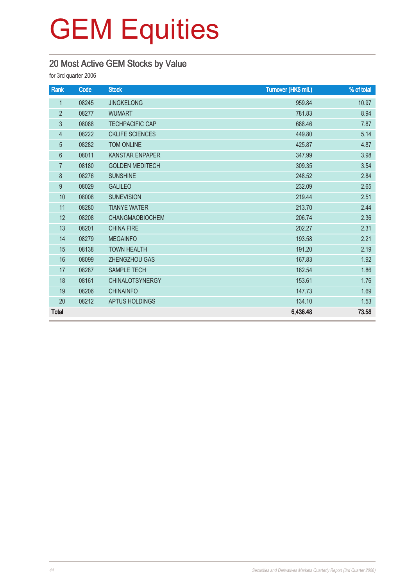### 20 Most Active GEM Stocks by Value

for 3rd quarter 2006

| Rank            | Code  | <b>Stock</b>           | Turnover (HK\$ mil.) | % of total |
|-----------------|-------|------------------------|----------------------|------------|
| $\mathbf{1}$    | 08245 | <b>JINGKELONG</b>      | 959.84               | 10.97      |
| $\overline{2}$  | 08277 | <b>WUMART</b>          | 781.83               | 8.94       |
| $\mathfrak{Z}$  | 08088 | <b>TECHPACIFIC CAP</b> | 688.46               | 7.87       |
| $\overline{4}$  | 08222 | <b>CKLIFE SCIENCES</b> | 449.80               | 5.14       |
| 5               | 08282 | <b>TOM ONLINE</b>      | 425.87               | 4.87       |
| $6\phantom{1}6$ | 08011 | <b>KANSTAR ENPAPER</b> | 347.99               | 3.98       |
| $\overline{7}$  | 08180 | <b>GOLDEN MEDITECH</b> | 309.35               | 3.54       |
| 8               | 08276 | <b>SUNSHINE</b>        | 248.52               | 2.84       |
| 9               | 08029 | <b>GALILEO</b>         | 232.09               | 2.65       |
| 10              | 08008 | <b>SUNEVISION</b>      | 219.44               | 2.51       |
| 11              | 08280 | <b>TIANYE WATER</b>    | 213.70               | 2.44       |
| 12              | 08208 | <b>CHANGMAOBIOCHEM</b> | 206.74               | 2.36       |
| 13              | 08201 | <b>CHINA FIRE</b>      | 202.27               | 2.31       |
| 14              | 08279 | <b>MEGAINFO</b>        | 193.58               | 2.21       |
| 15              | 08138 | <b>TOWN HEALTH</b>     | 191.20               | 2.19       |
| 16              | 08099 | ZHENGZHOU GAS          | 167.83               | 1.92       |
| 17              | 08287 | <b>SAMPLE TECH</b>     | 162.54               | 1.86       |
| 18              | 08161 | <b>CHINALOTSYNERGY</b> | 153.61               | 1.76       |
| 19              | 08206 | <b>CHINAINFO</b>       | 147.73               | 1.69       |
| 20              | 08212 | APTUS HOLDINGS         | 134.10               | 1.53       |
| <b>Total</b>    |       |                        | 6,436.48             | 73.58      |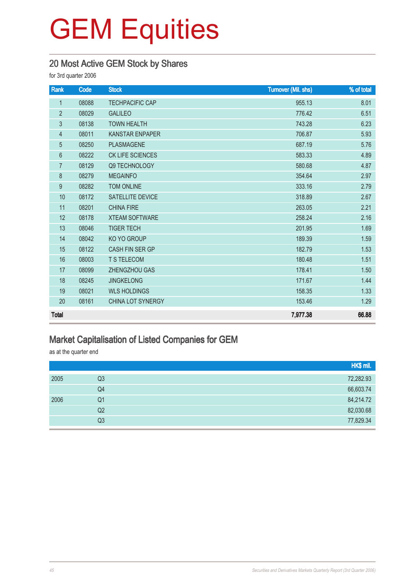### 20 Most Active GEM Stock by Shares

for 3rd quarter 2006

| Rank             | Code  | <b>Stock</b>             | <b>Turnover (Mil. shs)</b> | % of total |
|------------------|-------|--------------------------|----------------------------|------------|
| $\mathbf{1}$     | 08088 | <b>TECHPACIFIC CAP</b>   | 955.13                     | 8.01       |
| $\overline{2}$   | 08029 | <b>GALILEO</b>           | 776.42                     | 6.51       |
| $\mathfrak{Z}$   | 08138 | <b>TOWN HEALTH</b>       | 743.28                     | 6.23       |
| $\overline{4}$   | 08011 | <b>KANSTAR ENPAPER</b>   | 706.87                     | 5.93       |
| $\overline{5}$   | 08250 | <b>PLASMAGENE</b>        | 687.19                     | 5.76       |
| $6\,$            | 08222 | CK LIFE SCIENCES         | 583.33                     | 4.89       |
| $\overline{7}$   | 08129 | Q9 TECHNOLOGY            | 580.68                     | 4.87       |
| $\,8\,$          | 08279 | <b>MEGAINFO</b>          | 354.64                     | 2.97       |
| $\boldsymbol{9}$ | 08282 | <b>TOM ONLINE</b>        | 333.16                     | 2.79       |
| 10               | 08172 | SATELLITE DEVICE         | 318.89                     | 2.67       |
| 11               | 08201 | <b>CHINA FIRE</b>        | 263.05                     | 2.21       |
| 12               | 08178 | <b>XTEAM SOFTWARE</b>    | 258.24                     | 2.16       |
| 13               | 08046 | <b>TIGER TECH</b>        | 201.95                     | 1.69       |
| 14               | 08042 | KO YO GROUP              | 189.39                     | 1.59       |
| 15               | 08122 | CASH FIN SER GP          | 182.79                     | 1.53       |
| 16               | 08003 | T S TELECOM              | 180.48                     | 1.51       |
| 17               | 08099 | ZHENGZHOU GAS            | 178.41                     | 1.50       |
| 18               | 08245 | <b>JINGKELONG</b>        | 171.67                     | 1.44       |
| 19               | 08021 | <b>WLS HOLDINGS</b>      | 158.35                     | 1.33       |
| 20               | 08161 | <b>CHINA LOT SYNERGY</b> | 153.46                     | 1.29       |
| <b>Total</b>     |       |                          | 7,977.38                   | 66.88      |

### Market Capitalisation of Listed Companies for GEM

as at the quarter end

|      |    | HK\$ mil. |
|------|----|-----------|
| 2005 | Q3 | 72,282.93 |
|      | Q4 | 66,603.74 |
| 2006 | Q1 | 84,214.72 |
|      | Q2 | 82,030.68 |
|      | Q3 | 77,829.34 |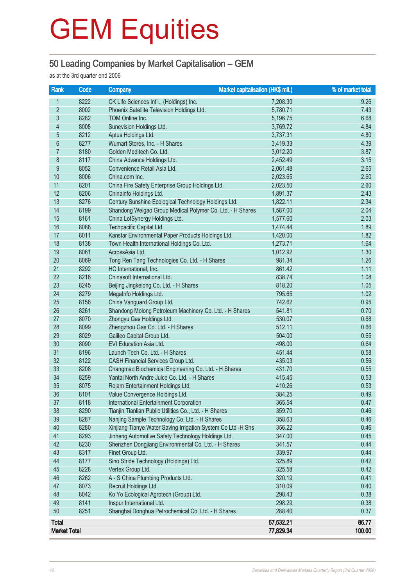### 50 Leading Companies by Market Capitalisation – GEM

as at the 3rd quarter end 2006

| Rank                | Code | Market capitalisation (HK\$ mil.)<br><b>Company</b>          |           | % of market total |
|---------------------|------|--------------------------------------------------------------|-----------|-------------------|
| 1                   | 8222 | CK Life Sciences Int'l., (Holdings) Inc.                     | 7,208.30  | 9.26              |
| $\overline{2}$      | 8002 | Phoenix Satellite Television Holdings Ltd.                   | 5,780.71  | 7.43              |
| $\overline{3}$      | 8282 | TOM Online Inc.                                              | 5,196.75  | 6.68              |
| 4                   | 8008 | Sunevision Holdings Ltd.                                     | 3,769.72  | 4.84              |
| 5                   | 8212 | Aptus Holdings Ltd.                                          | 3,737.31  | 4.80              |
| $\boldsymbol{6}$    | 8277 | Wumart Stores, Inc. - H Shares                               | 3,419.33  | 4.39              |
| 7                   | 8180 | Golden Meditech Co. Ltd.                                     | 3,012.20  | 3.87              |
| $\bf 8$             | 8117 | China Advance Holdings Ltd.                                  | 2,452.49  | 3.15              |
| $\boldsymbol{9}$    | 8052 | Convenience Retail Asia Ltd.                                 | 2,061.48  | 2.65              |
| 10                  | 8006 | China.com Inc.                                               | 2,023.65  | 2.60              |
| 11                  | 8201 | China Fire Safety Enterprise Group Holdings Ltd.             | 2,023.50  | 2.60              |
| 12                  | 8206 | Chinainfo Holdings Ltd.                                      | 1,891.37  | 2.43              |
| 13                  | 8276 | Century Sunshine Ecological Technology Holdings Ltd.         | 1,822.11  | 2.34              |
| 14                  | 8199 | Shandong Weigao Group Medical Polymer Co. Ltd. - H Shares    | 1,587.00  | 2.04              |
| 15                  | 8161 | China LotSynergy Holdings Ltd.                               | 1,577.60  | 2.03              |
| 16                  | 8088 | Techpacific Capital Ltd.                                     | 1,474.44  | 1.89              |
| 17                  | 8011 | Kanstar Environmental Paper Products Holdings Ltd.           | 1,420.00  | 1.82              |
| 18                  | 8138 | Town Health International Holdings Co. Ltd.                  | 1,273.71  | 1.64              |
| 19                  | 8061 | AcrossAsia Ltd.                                              | 1,012.92  | 1.30              |
| 20                  | 8069 | Tong Ren Tang Technologies Co. Ltd. - H Shares               | 981.34    | 1.26              |
| 21                  | 8292 | HC International, Inc.                                       | 861.42    | 1.11              |
| 22                  | 8216 | Chinasoft International Ltd.                                 | 838.74    | 1.08              |
| 23                  | 8245 | Beijing Jingkelong Co. Ltd. - H Shares                       | 818.20    | 1.05              |
| 24                  | 8279 | Megalnfo Holdings Ltd.                                       | 795.65    | 1.02              |
| 25                  | 8156 | China Vanguard Group Ltd.                                    | 742.62    | 0.95              |
| 26                  | 8261 | Shandong Molong Petroleum Machinery Co. Ltd. - H Shares      | 541.81    | 0.70              |
| 27                  | 8070 | Zhongyu Gas Holdings Ltd.                                    | 530.07    | 0.68              |
| 28                  | 8099 | Zhengzhou Gas Co. Ltd. - H Shares                            | 512.11    | 0.66              |
| 29                  | 8029 | Galileo Capital Group Ltd.                                   | 504.00    | 0.65              |
| 30                  | 8090 | EVI Education Asia Ltd.                                      | 498.00    | 0.64              |
| 31                  | 8196 | Launch Tech Co. Ltd. - H Shares                              | 451.44    | 0.58              |
| 32                  | 8122 | <b>CASH Financial Services Group Ltd.</b>                    | 435.03    | 0.56              |
| 33                  | 8208 | Changmao Biochemical Engineering Co. Ltd. - H Shares         | 431.70    | 0.55              |
| 34                  | 8259 | Yantai North Andre Juice Co. Ltd. - H Shares                 | 415.45    | 0.53              |
| 35                  | 8075 | Rojam Entertainment Holdings Ltd.                            | 410.26    | 0.53              |
| 36                  | 8101 | Value Convergence Holdings Ltd.                              | 384.25    | 0.49              |
| 37                  | 8118 | International Entertainment Corporation                      | 365.54    | 0.47              |
| 38                  | 8290 | Tianjin Tianlian Public Utilities Co., Ltd. - H Shares       | 359.70    | 0.46              |
| 39                  | 8287 | Nanjing Sample Technology Co. Ltd. - H Shares                | 358.63    | 0.46              |
| 40                  | 8280 | Xinjiang Tianye Water Saving Irrigation System Co Ltd -H Shs | 356.22    | 0.46              |
| 41                  | 8293 | Jinheng Automotive Safety Technology Holdings Ltd.           | 347.00    | 0.45              |
| 42                  | 8230 | Shenzhen Dongjiang Environmental Co. Ltd. - H Shares         | 341.57    | 0.44              |
| 43                  | 8317 | Finet Group Ltd.                                             | 339.97    | 0.44              |
| 44                  | 8177 | Sino Stride Technology (Holdings) Ltd.                       | 325.89    | 0.42              |
| 45                  | 8228 | Vertex Group Ltd.                                            | 325.58    | 0.42              |
| 46                  | 8262 | A - S China Plumbing Products Ltd.                           | 320.19    | 0.41              |
| 47                  | 8073 | Recruit Holdings Ltd.                                        | 310.09    | 0.40              |
| 48                  | 8042 | Ko Yo Ecological Agrotech (Group) Ltd.                       | 298.43    | 0.38              |
| 49                  | 8141 | Inspur International Ltd.                                    | 298.29    | 0.38              |
| 50                  | 8251 | Shanghai Donghua Petrochemical Co. Ltd. - H Shares           | 288.40    | 0.37              |
| <b>Total</b>        |      |                                                              | 67,532.21 | 86.77             |
| <b>Market Total</b> |      |                                                              | 77,829.34 | 100.00            |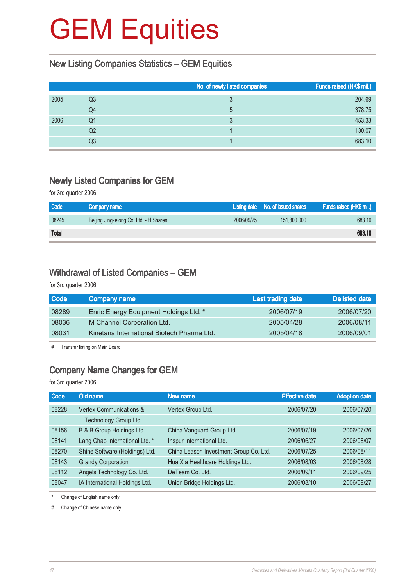#### New Listing Companies Statistics – GEM Equities

|      |    | No. of newly listed companies | Funds raised (HK\$ mil.) |
|------|----|-------------------------------|--------------------------|
| 2005 | Q3 |                               | 204.69                   |
|      | Q4 | 5                             | 378.75                   |
| 2006 | Q1 | 3                             | 453.33                   |
|      | Q2 |                               | 130.07                   |
|      | Q3 |                               | 683.10                   |

#### Newly Listed Companies for GEM

for 3rd quarter 2006

| <b>Code</b> | Company name                           |            | Listing date No. of issued shares | Funds raised (HK\$ mil.) |
|-------------|----------------------------------------|------------|-----------------------------------|--------------------------|
| 08245       | Beijing Jingkelong Co. Ltd. - H Shares | 2006/09/25 | 151,800,000                       | 683.10                   |
| Total       |                                        |            |                                   | 683.10                   |

#### Withdrawal of Listed Companies – GEM

for 3rd quarter 2006

| <b>Code</b> | <b>Company name</b>                        | Last trading date | <b>Delisted date</b> |
|-------------|--------------------------------------------|-------------------|----------------------|
| 08289       | Enric Energy Equipment Holdings Ltd. #     | 2006/07/19        | 2006/07/20           |
| 08036       | M Channel Corporation Ltd.                 | 2005/04/28        | 2006/08/11           |
| 08031       | Kinetana International Biotech Pharma Ltd. | 2005/04/18        | 2006/09/01           |

# Transfer listing on Main Board

### Company Name Changes for GEM

for 3rd quarter 2006

| Old name                       | New name                               | <b>Effective date</b> | Adoption date |
|--------------------------------|----------------------------------------|-----------------------|---------------|
| Vertex Communications &        | Vertex Group Ltd.                      | 2006/07/20            | 2006/07/20    |
| Technology Group Ltd.          |                                        |                       |               |
| B & B Group Holdings Ltd.      | China Vanguard Group Ltd.              | 2006/07/19            | 2006/07/26    |
| Lang Chao International Ltd. * | Inspur International Ltd.              | 2006/06/27            | 2006/08/07    |
| Shine Software (Holdings) Ltd. | China Leason Investment Group Co. Ltd. | 2006/07/25            | 2006/08/11    |
| <b>Grandy Corporation</b>      | Hua Xia Healthcare Holdings Ltd.       | 2006/08/03            | 2006/08/28    |
| Angels Technology Co. Ltd.     | DeTeam Co. Ltd.                        | 2006/09/11            | 2006/09/25    |
| IA International Holdings Ltd. | Union Bridge Holdings Ltd.             | 2006/08/10            | 2006/09/27    |
|                                |                                        |                       |               |

Change of English name only

# Change of Chinese name only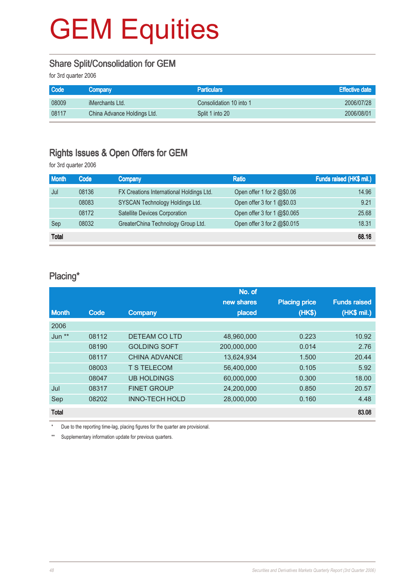#### Share Split/Consolidation for GEM

for 3rd quarter 2006

| <b>Code</b> | <b>Company</b>              | <b>Particulars</b>      | <b>Effective date</b> |
|-------------|-----------------------------|-------------------------|-----------------------|
| 08009       | iMerchants Ltd.             | Consolidation 10 into 1 | 2006/07/28            |
| 08117       | China Advance Holdings Ltd. | Split 1 into 20         | 2006/08/01            |

#### Rights Issues & Open Offers for GEM

for 3rd quarter 2006

| <b>Month</b> | Code  | Company                                  | <b>Ratio</b>                        | Funds raised (HK\$ mil.) |
|--------------|-------|------------------------------------------|-------------------------------------|--------------------------|
| Jul          | 08136 | FX Creations International Holdings Ltd. | Open offer 1 for $2 \text{ }@$0.06$ | 14.96                    |
|              | 08083 | SYSCAN Technology Holdings Ltd.          | Open offer 3 for 1 @\$0.03          | 9.21                     |
|              | 08172 | Satellite Devices Corporation            | Open offer 3 for 1 @\$0.065         | 25.68                    |
| Sep          | 08032 | GreaterChina Technology Group Ltd.       | Open offer 3 for 2 @\$0.015         | 18.31                    |
| <b>Total</b> |       |                                          |                                     | 68.16                    |

#### Placing\*

|                   |       |                       | No. of      |                      |                     |
|-------------------|-------|-----------------------|-------------|----------------------|---------------------|
|                   |       |                       | new shares  | <b>Placing price</b> | <b>Funds raised</b> |
| <b>Month</b>      | Code  | Company               | placed      | (HK\$)               | (HK\$ mil.)         |
| 2006              |       |                       |             |                      |                     |
| Jun <sup>**</sup> | 08112 | DETEAM CO LTD         | 48,960,000  | 0.223                | 10.92               |
|                   | 08190 | <b>GOLDING SOFT</b>   | 200,000,000 | 0.014                | 2.76                |
|                   | 08117 | <b>CHINA ADVANCE</b>  | 13,624,934  | 1.500                | 20.44               |
|                   | 08003 | <b>T S TELECOM</b>    | 56,400,000  | 0.105                | 5.92                |
|                   | 08047 | <b>UB HOLDINGS</b>    | 60,000,000  | 0.300                | 18.00               |
| Jul               | 08317 | <b>FINET GROUP</b>    | 24,200,000  | 0.850                | 20.57               |
| Sep               | 08202 | <b>INNO-TECH HOLD</b> | 28,000,000  | 0.160                | 4.48                |
| <b>Total</b>      |       |                       |             |                      | 83.08               |

Due to the reporting time-lag, placing figures for the quarter are provisional.

\*\* Supplementary information update for previous quarters.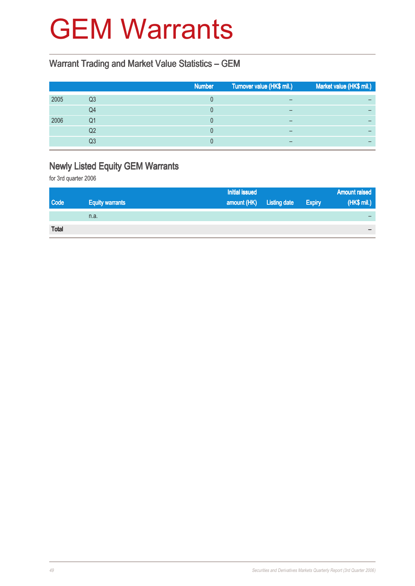## GEM Warrants

### Warrant Trading and Market Value Statistics – GEM

|    | <b>Number</b> | Turnover value (HK\$ mil.) | Market value (HK\$ mil.) |
|----|---------------|----------------------------|--------------------------|
| Q3 |               | –                          |                          |
| Q4 |               | –                          |                          |
| Q1 |               |                            |                          |
| Q2 |               |                            |                          |
| Q3 |               | –                          |                          |
|    |               |                            |                          |

### Newly Listed Equity GEM Warrants

for 3rd quarter 2006

|              |                        | Initial issued           |               | <b>Amount raised</b> |
|--------------|------------------------|--------------------------|---------------|----------------------|
| Code         | <b>Equity warrants</b> | amount (HK) Listing date | <b>Expiry</b> | (HK\$ mil.)          |
|              | n.a.                   |                          |               |                      |
| <b>Total</b> |                        |                          |               |                      |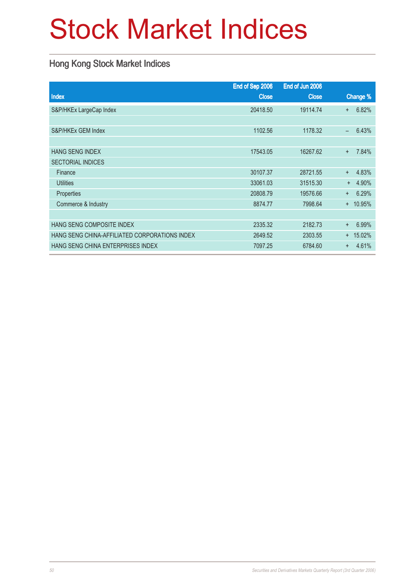# Stock Market Indices

### Hong Kong Stock Market Indices

|                                               | End of Sep 2006 | End of Jun 2006 |                                   |
|-----------------------------------------------|-----------------|-----------------|-----------------------------------|
| <b>Index</b>                                  | <b>Close</b>    | <b>Close</b>    | Change %                          |
| S&P/HKEx LargeCap Index                       | 20418.50        | 19114.74        | 6.82%<br>$+$                      |
|                                               |                 |                 |                                   |
| S&P/HKEx GEM Index                            | 1102.56         | 1178.32         | 6.43%<br>$\overline{\phantom{0}}$ |
|                                               |                 |                 |                                   |
| <b>HANG SENG INDEX</b>                        | 17543.05        | 16267.62        | 7.84%<br>$\ddot{}$                |
| <b>SECTORIAL INDICES</b>                      |                 |                 |                                   |
| Finance                                       | 30107.37        | 28721.55        | 4.83%<br>$+$                      |
| <b>Utilities</b>                              | 33061.03        | 31515.30        | 4.90%<br>$+$                      |
| Properties                                    | 20808.79        | 19576.66        | 6.29%<br>$+$                      |
| Commerce & Industry                           | 8874.77         | 7998.64         | $+ 10.95%$                        |
|                                               |                 |                 |                                   |
| HANG SENG COMPOSITE INDEX                     | 2335.32         | 2182.73         | 6.99%<br>$\ddot{}$                |
| HANG SENG CHINA-AFFILIATED CORPORATIONS INDEX | 2649.52         | 2303.55         | 15.02%<br>$+$                     |
| HANG SENG CHINA ENTERPRISES INDEX             | 7097.25         | 6784.60         | 4.61%<br>$\ddot{}$                |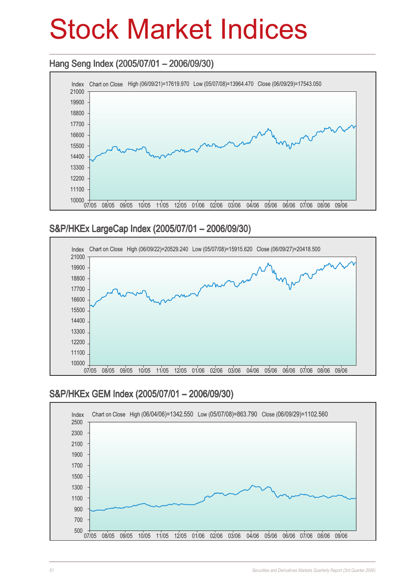## Stock Market Indices

### Hang Seng Index (2005/07/01 – 2006/09/30) Hang Seng 2006/09/30)



### S&P/HKEx LargeCap Index (2005/07/01 – 2006/09/30)



### S&P/HKEx GEM Index (2005/07/01 – 2006/09/30)

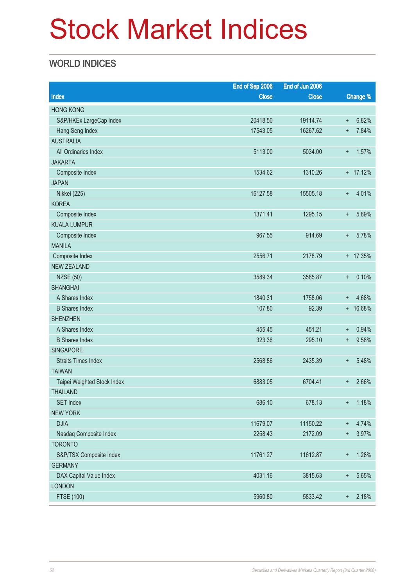# Stock Market Indices

### WORLD INDICES

|                             | End of Sep 2006 | End of Jun 2006 |                 |            |
|-----------------------------|-----------------|-----------------|-----------------|------------|
| <b>Index</b>                | <b>Close</b>    | <b>Close</b>    |                 | Change %   |
| <b>HONG KONG</b>            |                 |                 |                 |            |
| S&P/HKEx LargeCap Index     | 20418.50        | 19114.74        | $\ddot{}$       | 6.82%      |
| Hang Seng Index             | 17543.05        | 16267.62        | $\ddot{}$       | 7.84%      |
| <b>AUSTRALIA</b>            |                 |                 |                 |            |
| All Ordinaries Index        | 5113.00         | 5034.00         | $+$             | 1.57%      |
| <b>JAKARTA</b>              |                 |                 |                 |            |
| Composite Index             | 1534.62         | 1310.26         |                 | $+ 17.12%$ |
| <b>JAPAN</b>                |                 |                 |                 |            |
| Nikkei (225)                | 16127.58        | 15505.18        | $\ddot{}$       | 4.01%      |
| <b>KOREA</b>                |                 |                 |                 |            |
| Composite Index             | 1371.41         | 1295.15         | $\ddot{}$       | 5.89%      |
| <b>KUALA LUMPUR</b>         |                 |                 |                 |            |
| Composite Index             | 967.55          | 914.69          | $+$             | 5.78%      |
| <b>MANILA</b>               |                 |                 |                 |            |
| Composite Index             | 2556.71         | 2178.79         |                 | + 17.35%   |
| <b>NEW ZEALAND</b>          |                 |                 |                 |            |
| <b>NZSE (50)</b>            | 3589.34         | 3585.87         | $+$             | 0.10%      |
| <b>SHANGHAI</b>             |                 |                 |                 |            |
| A Shares Index              | 1840.31         | 1758.06         | $\ddot{}$       | 4.68%      |
| <b>B</b> Shares Index       | 107.80          | 92.39           |                 | + 16.68%   |
| <b>SHENZHEN</b>             |                 |                 |                 |            |
| A Shares Index              | 455.45          | 451.21          | $\ddot{}$       | 0.94%      |
| <b>B</b> Shares Index       | 323.36          | 295.10          | $\ddot{}$       | 9.58%      |
| <b>SINGAPORE</b>            |                 |                 |                 |            |
| <b>Straits Times Index</b>  | 2568.86         | 2435.39         | $\ddot{}$       | 5.48%      |
| <b>TAIWAN</b>               |                 |                 |                 |            |
| Taipei Weighted Stock Index | 6883.05         | 6704.41         | $\ddot{}$       | 2.66%      |
| <b>THAILAND</b>             |                 |                 |                 |            |
| <b>SET Index</b>            | 686.10          | 678.13          | $\ddot{}$       | 1.18%      |
| <b>NEW YORK</b>             |                 |                 |                 |            |
| <b>DJIA</b>                 | 11679.07        | 11150.22        | $^{+}$          | 4.74%      |
| Nasdaq Composite Index      | 2258.43         | 2172.09         | $\ddot{}$       | 3.97%      |
| <b>TORONTO</b>              |                 |                 |                 |            |
| S&P/TSX Composite Index     | 11761.27        | 11612.87        | $^{\mathrm{+}}$ | 1.28%      |
| <b>GERMANY</b>              |                 |                 |                 |            |
| DAX Capital Value Index     | 4031.16         | 3815.63         | $\ddot{}$       | 5.65%      |
| <b>LONDON</b>               |                 |                 |                 |            |
| <b>FTSE (100)</b>           | 5960.80         | 5833.42         | $\pm$           | 2.18%      |
|                             |                 |                 |                 |            |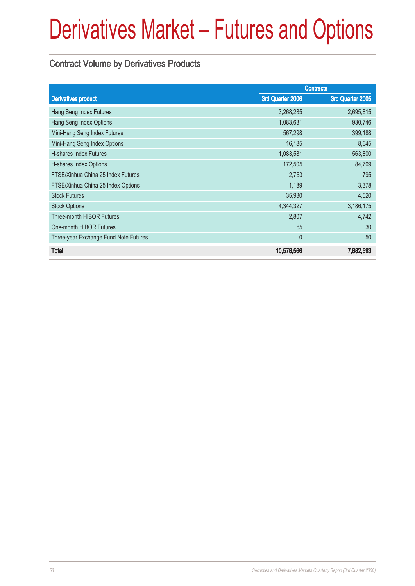### Contract Volume by Derivatives Products

|                                       | <b>Contracts</b> |                  |
|---------------------------------------|------------------|------------------|
| <b>Derivatives product</b>            | 3rd Quarter 2006 | 3rd Quarter 2005 |
| Hang Seng Index Futures               | 3,268,285        | 2,695,815        |
| Hang Seng Index Options               | 1,083,631        | 930,746          |
| Mini-Hang Seng Index Futures          | 567,298          | 399,188          |
| Mini-Hang Seng Index Options          | 16,185           | 8,645            |
| <b>H-shares Index Futures</b>         | 1,083,581        | 563,800          |
| H-shares Index Options                | 172,505          | 84,709           |
| FTSE/Xinhua China 25 Index Futures    | 2,763            | 795              |
| FTSE/Xinhua China 25 Index Options    | 1,189            | 3,378            |
| <b>Stock Futures</b>                  | 35,930           | 4,520            |
| <b>Stock Options</b>                  | 4,344,327        | 3,186,175        |
| Three-month HIBOR Futures             | 2,807            | 4,742            |
| One-month HIBOR Futures               | 65               | 30               |
| Three-year Exchange Fund Note Futures | $\mathbf{0}$     | 50               |
| <b>Total</b>                          | 10,578,566       | 7,882,593        |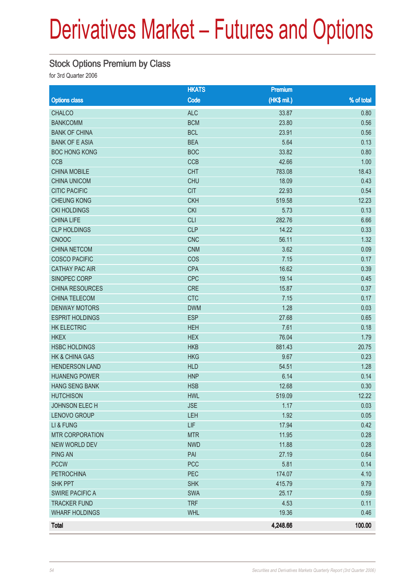### Stock Options Premium by Class

for 3rd Quarter 2006

|                           | <b>HKATS</b> | Premium     |              |
|---------------------------|--------------|-------------|--------------|
| <b>Options class</b>      | Code         | (HK\$ mil.) | $%$ of total |
| <b>CHALCO</b>             | <b>ALC</b>   | 33.87       | 0.80         |
| <b>BANKCOMM</b>           | <b>BCM</b>   | 23.80       | 0.56         |
| <b>BANK OF CHINA</b>      | <b>BCL</b>   | 23.91       | 0.56         |
| <b>BANK OF E ASIA</b>     | <b>BEA</b>   | 5.64        | 0.13         |
| <b>BOC HONG KONG</b>      | <b>BOC</b>   | 33.82       | 0.80         |
| <b>CCB</b>                | CCB          | 42.66       | 1.00         |
| <b>CHINA MOBILE</b>       | <b>CHT</b>   | 783.08      | 18.43        |
| <b>CHINA UNICOM</b>       | <b>CHU</b>   | 18.09       | 0.43         |
| <b>CITIC PACIFIC</b>      | <b>CIT</b>   | 22.93       | 0.54         |
| <b>CHEUNG KONG</b>        | <b>CKH</b>   | 519.58      | 12.23        |
| <b>CKI HOLDINGS</b>       | <b>CKI</b>   | 5.73        | 0.13         |
| <b>CHINA LIFE</b>         | <b>CLI</b>   | 282.76      | 6.66         |
| <b>CLP HOLDINGS</b>       | <b>CLP</b>   | 14.22       | 0.33         |
| <b>CNOOC</b>              | <b>CNC</b>   | 56.11       | 1.32         |
| <b>CHINA NETCOM</b>       | <b>CNM</b>   | 3.62        | 0.09         |
| <b>COSCO PACIFIC</b>      | COS          | 7.15        | 0.17         |
| <b>CATHAY PAC AIR</b>     | <b>CPA</b>   | 16.62       | 0.39         |
| SINOPEC CORP              | <b>CPC</b>   | 19.14       | 0.45         |
| CHINA RESOURCES           | <b>CRE</b>   | 15.87       | 0.37         |
| CHINA TELECOM             | <b>CTC</b>   | 7.15        | 0.17         |
| <b>DENWAY MOTORS</b>      | <b>DWM</b>   | 1.28        | 0.03         |
| <b>ESPRIT HOLDINGS</b>    | <b>ESP</b>   | 27.68       | 0.65         |
| <b>HK ELECTRIC</b>        | <b>HEH</b>   | 7.61        | 0.18         |
| <b>HKEX</b>               | <b>HEX</b>   | 76.04       | 1.79         |
| <b>HSBC HOLDINGS</b>      | <b>HKB</b>   | 881.43      | 20.75        |
| <b>HK &amp; CHINA GAS</b> | <b>HKG</b>   | 9.67        | 0.23         |
| <b>HENDERSON LAND</b>     | <b>HLD</b>   | 54.51       | 1.28         |
| <b>HUANENG POWER</b>      | <b>HNP</b>   | 6.14        | 0.14         |
| <b>HANG SENG BANK</b>     | <b>HSB</b>   | 12.68       | 0.30         |
| <b>HUTCHISON</b>          | <b>HWL</b>   | 519.09      | 12.22        |
| JOHNSON ELECH             | <b>JSE</b>   | 1.17        | 0.03         |
| LENOVO GROUP              | LEH          | 1.92        | 0.05         |
| LI & FUNG                 | LIF          | 17.94       | 0.42         |
| <b>MTR CORPORATION</b>    | <b>MTR</b>   | 11.95       | 0.28         |
| <b>NEW WORLD DEV</b>      | <b>NWD</b>   | 11.88       | 0.28         |
| <b>PING AN</b>            | PAI          | 27.19       | 0.64         |
| <b>PCCW</b>               | <b>PCC</b>   | 5.81        | 0.14         |
| <b>PETROCHINA</b>         | PEC          | 174.07      | 4.10         |
| <b>SHK PPT</b>            | <b>SHK</b>   | 415.79      | 9.79         |
| <b>SWIRE PACIFIC A</b>    | <b>SWA</b>   | 25.17       | 0.59         |
| <b>TRACKER FUND</b>       | <b>TRF</b>   | 4.53        | 0.11         |
| <b>WHARF HOLDINGS</b>     | <b>WHL</b>   | 19.36       | 0.46         |
| <b>Total</b>              |              | 4,248.66    | 100.00       |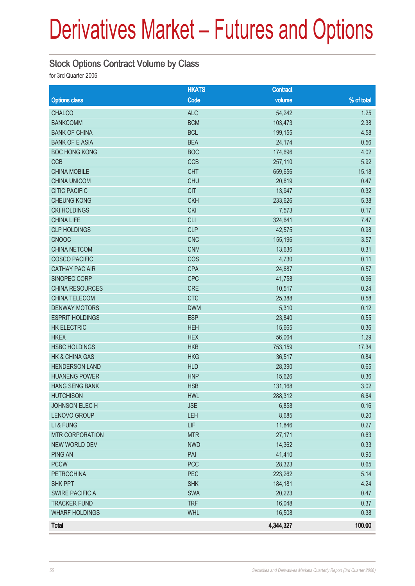#### Stock Options Contract Volume by Class

for 3rd Quarter 2006

|                           | <b>HKATS</b> | <b>Contract</b> |            |
|---------------------------|--------------|-----------------|------------|
| <b>Options class</b>      | Code         | volume          | % of total |
| <b>CHALCO</b>             | <b>ALC</b>   | 54,242          | 1.25       |
| <b>BANKCOMM</b>           | <b>BCM</b>   | 103,473         | 2.38       |
| <b>BANK OF CHINA</b>      | <b>BCL</b>   | 199,155         | 4.58       |
| <b>BANK OF E ASIA</b>     | <b>BEA</b>   | 24,174          | 0.56       |
| <b>BOC HONG KONG</b>      | <b>BOC</b>   | 174,696         | 4.02       |
| CCB                       | CCB          | 257,110         | 5.92       |
| <b>CHINA MOBILE</b>       | <b>CHT</b>   | 659,656         | 15.18      |
| <b>CHINA UNICOM</b>       | <b>CHU</b>   | 20,619          | 0.47       |
| <b>CITIC PACIFIC</b>      | <b>CIT</b>   | 13,947          | 0.32       |
| <b>CHEUNG KONG</b>        | <b>CKH</b>   | 233,626         | 5.38       |
| <b>CKI HOLDINGS</b>       | <b>CKI</b>   | 7,573           | 0.17       |
| <b>CHINA LIFE</b>         | <b>CLI</b>   | 324,641         | 7.47       |
| <b>CLP HOLDINGS</b>       | <b>CLP</b>   | 42,575          | 0.98       |
| <b>CNOOC</b>              | <b>CNC</b>   | 155,196         | 3.57       |
| <b>CHINA NETCOM</b>       | <b>CNM</b>   | 13,636          | 0.31       |
| <b>COSCO PACIFIC</b>      | COS          | 4,730           | 0.11       |
| <b>CATHAY PAC AIR</b>     | <b>CPA</b>   | 24,687          | 0.57       |
| SINOPEC CORP              | <b>CPC</b>   | 41,758          | 0.96       |
| CHINA RESOURCES           | CRE          | 10,517          | 0.24       |
| CHINA TELECOM             | <b>CTC</b>   | 25,388          | 0.58       |
| <b>DENWAY MOTORS</b>      | <b>DWM</b>   | 5,310           | 0.12       |
| <b>ESPRIT HOLDINGS</b>    | <b>ESP</b>   | 23,840          | 0.55       |
| <b>HK ELECTRIC</b>        | <b>HEH</b>   | 15,665          | 0.36       |
| <b>HKEX</b>               | <b>HEX</b>   | 56,064          | 1.29       |
| <b>HSBC HOLDINGS</b>      | <b>HKB</b>   | 753,159         | 17.34      |
| <b>HK &amp; CHINA GAS</b> | <b>HKG</b>   | 36,517          | 0.84       |
| <b>HENDERSON LAND</b>     | <b>HLD</b>   | 28,390          | 0.65       |
| <b>HUANENG POWER</b>      | <b>HNP</b>   | 15,626          | 0.36       |
| <b>HANG SENG BANK</b>     | <b>HSB</b>   | 131,168         | 3.02       |
| <b>HUTCHISON</b>          | <b>HWL</b>   | 288,312         | 6.64       |
| JOHNSON ELECH             | <b>JSE</b>   | 6,858           | 0.16       |
| LENOVO GROUP              | LEH          | 8,685           | 0.20       |
| LI & FUNG                 | LIF          | 11,846          | 0.27       |
| <b>MTR CORPORATION</b>    | <b>MTR</b>   | 27,171          | 0.63       |
| <b>NEW WORLD DEV</b>      | <b>NWD</b>   | 14,362          | 0.33       |
| <b>PING AN</b>            | PAI          | 41,410          | 0.95       |
| <b>PCCW</b>               | <b>PCC</b>   | 28,323          | 0.65       |
| <b>PETROCHINA</b>         | PEC          | 223,262         | 5.14       |
| SHK PPT                   | <b>SHK</b>   | 184,181         | 4.24       |
| <b>SWIRE PACIFIC A</b>    | <b>SWA</b>   | 20,223          | 0.47       |
| <b>TRACKER FUND</b>       | <b>TRF</b>   | 16,048          | 0.37       |
| <b>WHARF HOLDINGS</b>     | <b>WHL</b>   | 16,508          | 0.38       |
| <b>Total</b>              |              | 4,344,327       | 100.00     |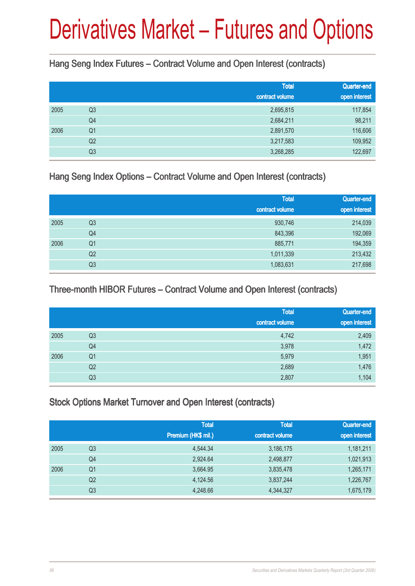Hang Seng Index Futures – Contract Volume and Open Interest (contracts)

|      |                | <b>Total</b><br>contract volume | Quarter-end<br>open interest |
|------|----------------|---------------------------------|------------------------------|
| 2005 | Q <sub>3</sub> | 2,695,815                       | 117,854                      |
|      | Q4             | 2,684,211                       | 98,211                       |
| 2006 | Q <sub>1</sub> | 2,891,570                       | 116,606                      |
|      | Q <sub>2</sub> | 3,217,583                       | 109,952                      |
|      | Q <sub>3</sub> | 3,268,285                       | 122,697                      |

Hang Seng Index Options – Contract Volume and Open Interest (contracts)

|      |                | <b>Total</b><br>contract volume | Quarter-end<br>open interest |
|------|----------------|---------------------------------|------------------------------|
| 2005 | Q <sub>3</sub> | 930,746                         | 214,039                      |
|      | Q4             | 843,396                         | 192,069                      |
| 2006 | Q <sub>1</sub> | 885,771                         | 194,359                      |
|      | Q2             | 1,011,339                       | 213,432                      |
|      | Q <sub>3</sub> | 1,083,631                       | 217,698                      |

### Three-month HIBOR Futures – Contract Volume and Open Interest (contracts)

|      |                | Total<br>contract volume | Quarter-end<br>open interest |
|------|----------------|--------------------------|------------------------------|
|      |                |                          |                              |
| 2005 | Q <sub>3</sub> | 4,742                    | 2,409                        |
|      | Q4             | 3,978                    | 1,472                        |
| 2006 | Q <sub>1</sub> | 5,979                    | 1,951                        |
|      | Q <sub>2</sub> | 2,689                    | 1,476                        |
|      | Q <sub>3</sub> | 2,807                    | 1,104                        |

### Stock Options Market Turnover and Open Interest (contracts)

|      |                | <b>Total</b><br>Premium (HK\$ mil.) | <b>Total</b><br>contract volume | Quarter-end<br>open interest |
|------|----------------|-------------------------------------|---------------------------------|------------------------------|
| 2005 | Q3             | 4,544.34                            | 3,186,175                       | 1,181,211                    |
|      | Q <sub>4</sub> | 2,924.64                            | 2,498,877                       | 1,021,913                    |
| 2006 | Q1             | 3,664.95                            | 3,835,478                       | 1,265,171                    |
|      | Q2             | 4,124.56                            | 3,837,244                       | 1,226,767                    |
|      | Q <sub>3</sub> | 4,248.66                            | 4,344,327                       | 1,675,179                    |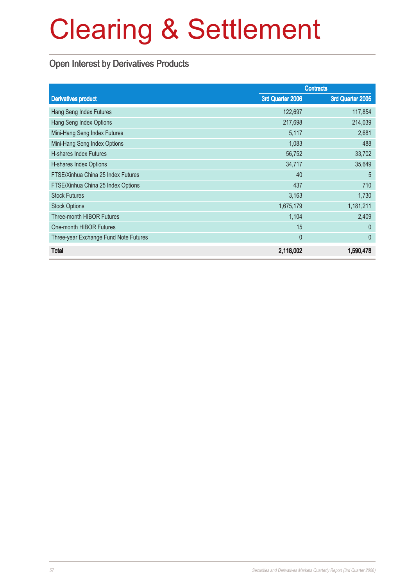### Open Interest by Derivatives Products

|                                       |                  | <b>Contracts</b> |
|---------------------------------------|------------------|------------------|
| <b>Derivatives product</b>            | 3rd Quarter 2006 | 3rd Quarter 2005 |
| Hang Seng Index Futures               | 122,697          | 117,854          |
| Hang Seng Index Options               | 217,698          | 214,039          |
| Mini-Hang Seng Index Futures          | 5,117            | 2,681            |
| Mini-Hang Seng Index Options          | 1,083            | 488              |
| H-shares Index Futures                | 56,752           | 33,702           |
| H-shares Index Options                | 34,717           | 35,649           |
| FTSE/Xinhua China 25 Index Futures    | 40               | 5                |
| FTSE/Xinhua China 25 Index Options    | 437              | 710              |
| <b>Stock Futures</b>                  | 3,163            | 1,730            |
| <b>Stock Options</b>                  | 1,675,179        | 1,181,211        |
| <b>Three-month HIBOR Futures</b>      | 1,104            | 2,409            |
| One-month HIBOR Futures               | 15               | $\theta$         |
| Three-year Exchange Fund Note Futures | $\mathbf{0}$     | $\theta$         |
| <b>Total</b>                          | 2,118,002        | 1,590,478        |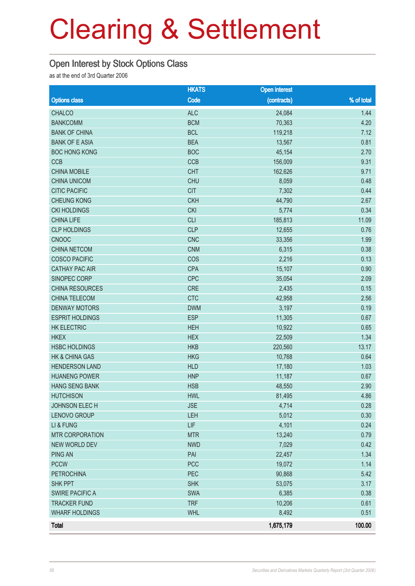#### Open Interest by Stock Options Class

as at the end of 3rd Quarter 2006

|                           | <b>HKATS</b> | <b>Open interest</b> |            |
|---------------------------|--------------|----------------------|------------|
| <b>Options class</b>      | Code         | (contracts)          | % of total |
| <b>CHALCO</b>             | <b>ALC</b>   | 24,084               | 1.44       |
| <b>BANKCOMM</b>           | <b>BCM</b>   | 70,363               | 4.20       |
| <b>BANK OF CHINA</b>      | <b>BCL</b>   | 119,218              | 7.12       |
| <b>BANK OF E ASIA</b>     | <b>BEA</b>   | 13,567               | 0.81       |
| <b>BOC HONG KONG</b>      | <b>BOC</b>   | 45,154               | 2.70       |
| <b>CCB</b>                | CCB          | 156,009              | 9.31       |
| <b>CHINA MOBILE</b>       | <b>CHT</b>   | 162,626              | 9.71       |
| <b>CHINA UNICOM</b>       | <b>CHU</b>   | 8,059                | 0.48       |
| <b>CITIC PACIFIC</b>      | <b>CIT</b>   | 7,302                | 0.44       |
| <b>CHEUNG KONG</b>        | <b>CKH</b>   | 44,790               | 2.67       |
| <b>CKI HOLDINGS</b>       | <b>CKI</b>   | 5,774                | 0.34       |
| <b>CHINA LIFE</b>         | <b>CLI</b>   | 185,813              | 11.09      |
| <b>CLP HOLDINGS</b>       | <b>CLP</b>   | 12,655               | 0.76       |
| <b>CNOOC</b>              | <b>CNC</b>   | 33,356               | 1.99       |
| <b>CHINA NETCOM</b>       | <b>CNM</b>   | 6,315                | 0.38       |
| <b>COSCO PACIFIC</b>      | COS          | 2,216                | 0.13       |
| <b>CATHAY PAC AIR</b>     | <b>CPA</b>   | 15,107               | 0.90       |
| SINOPEC CORP              | CPC          | 35,054               | 2.09       |
| CHINA RESOURCES           | <b>CRE</b>   | 2,435                | 0.15       |
| CHINA TELECOM             | <b>CTC</b>   | 42,958               | 2.56       |
| <b>DENWAY MOTORS</b>      | <b>DWM</b>   | 3,197                | 0.19       |
| <b>ESPRIT HOLDINGS</b>    | <b>ESP</b>   | 11,305               | 0.67       |
| <b>HK ELECTRIC</b>        | <b>HEH</b>   | 10,922               | 0.65       |
| <b>HKEX</b>               | <b>HEX</b>   | 22,509               | 1.34       |
| <b>HSBC HOLDINGS</b>      | <b>HKB</b>   | 220,560              | 13.17      |
| <b>HK &amp; CHINA GAS</b> | <b>HKG</b>   | 10,768               | 0.64       |
| <b>HENDERSON LAND</b>     | <b>HLD</b>   | 17,180               | 1.03       |
| <b>HUANENG POWER</b>      | <b>HNP</b>   | 11,187               | 0.67       |
| <b>HANG SENG BANK</b>     | <b>HSB</b>   | 48,550               | 2.90       |
| <b>HUTCHISON</b>          | <b>HWL</b>   | 81,495               | 4.86       |
| JOHNSON ELECH             | <b>JSE</b>   | 4,714                | 0.28       |
| LENOVO GROUP              | LEH          | 5,012                | 0.30       |
| LI & FUNG                 | <b>LIF</b>   | 4,101                | 0.24       |
| <b>MTR CORPORATION</b>    | <b>MTR</b>   | 13,240               | 0.79       |
| <b>NEW WORLD DEV</b>      | <b>NWD</b>   | 7,029                | 0.42       |
| <b>PING AN</b>            | PAI          | 22,457               | 1.34       |
| <b>PCCW</b>               | <b>PCC</b>   | 19,072               | 1.14       |
| <b>PETROCHINA</b>         | PEC          | 90,868               | 5.42       |
| <b>SHK PPT</b>            | <b>SHK</b>   | 53,075               | 3.17       |
| <b>SWIRE PACIFIC A</b>    | SWA          | 6,385                | 0.38       |
| <b>TRACKER FUND</b>       | <b>TRF</b>   | 10,206               | 0.61       |
| <b>WHARF HOLDINGS</b>     | <b>WHL</b>   | 8,492                | 0.51       |
| <b>Total</b>              |              | 1,675,179            | 100.00     |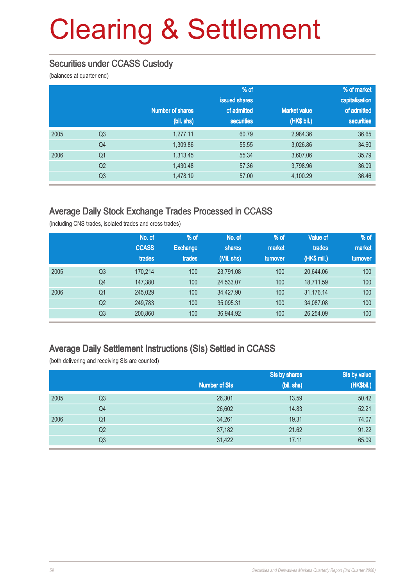### Securities under CCASS Custody

(balances at quarter end)

|      |                |                         | % of              |                     | % of market       |
|------|----------------|-------------------------|-------------------|---------------------|-------------------|
|      |                |                         | issued shares     |                     | capitalisation    |
|      |                | <b>Number of shares</b> | of admitted       | <b>Market value</b> | of admitted       |
|      |                | (bil. shs)              | <b>securities</b> | (HK\$ bil.)         | <b>securities</b> |
| 2005 | Q <sub>3</sub> | 1,277.11                | 60.79             | 2,984.36            | 36.65             |
|      | Q <sub>4</sub> | 1,309.86                | 55.55             | 3,026.86            | 34.60             |
| 2006 | Q <sub>1</sub> | 1,313.45                | 55.34             | 3,607.06            | 35.79             |
|      | Q <sub>2</sub> | 1,430.48                | 57.36             | 3,798.96            | 36.09             |
|      | Q <sub>3</sub> | 1,478.19                | 57.00             | 4,100.29            | 36.46             |

#### Average Daily Stock Exchange Trades Processed in CCASS

(including CNS trades, isolated trades and cross trades)

|      |                | No. of<br><b>CCASS</b><br>trades | % of<br><b>Exchange</b><br>trades | No. of<br>shares<br>(Mil. shs) | % of<br>market<br>turnover | <b>Value of</b><br>trades<br>(HK\$ mil.) | $%$ of<br>market<br>turnover |
|------|----------------|----------------------------------|-----------------------------------|--------------------------------|----------------------------|------------------------------------------|------------------------------|
| 2005 | Q <sub>3</sub> | 170.214                          | 100                               | 23.791.08                      | 100                        | 20.644.06                                | 100                          |
|      | Q4             | 147,380                          | 100                               | 24,533.07                      | 100                        | 18.711.59                                | 100                          |
| 2006 | Q <sub>1</sub> | 245,029                          | 100                               | 34.427.90                      | 100                        | 31.176.14                                | 100                          |
|      | Q <sub>2</sub> | 249,783                          | 100                               | 35,095.31                      | 100                        | 34,087.08                                | 100                          |
|      | Q <sub>3</sub> | 200,860                          | 100                               | 36,944.92                      | 100                        | 26,254.09                                | 100                          |

#### Average Daily Settlement Instructions (SIs) Settled in CCASS

(both delivering and receiving SIs are counted)

|                |        | Sis by shares        | Sis by value<br>(HK\$bil.) |
|----------------|--------|----------------------|----------------------------|
|                |        |                      |                            |
| Q <sub>3</sub> | 26,301 | 13.59                | 50.42                      |
| Q4             | 26,602 | 14.83                | 52.21                      |
| Q <sub>1</sub> | 34,261 | 19.31                | 74.07                      |
| Q <sub>2</sub> | 37,182 | 21.62                | 91.22                      |
| Q <sub>3</sub> | 31,422 | 17.11                | 65.09                      |
|                |        | <b>Number of SIs</b> | (bil. shs)                 |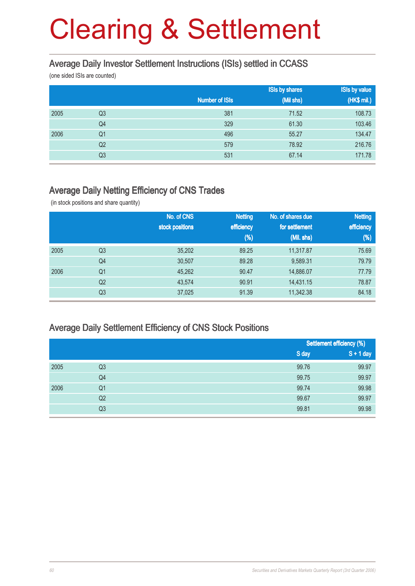#### Average Daily Investor Settlement Instructions (ISIs) settled in CCASS

(one sided ISIs are counted)

|      |                |                       | <b>ISIs by shares</b> | <b>ISIs by value</b> |
|------|----------------|-----------------------|-----------------------|----------------------|
|      |                | <b>Number of ISIs</b> | (Mil shs)             | (HK\$ mil.)          |
| 2005 | Q <sub>3</sub> | 381                   | 71.52                 | 108.73               |
|      | Q4             | 329                   | 61.30                 | 103.46               |
| 2006 | Q <sub>1</sub> | 496                   | 55.27                 | 134.47               |
|      | Q <sub>2</sub> | 579                   | 78.92                 | 216.76               |
|      | Q3             | 531                   | 67.14                 | 171.78               |

#### Average Daily Netting Efficiency of CNS Trades

(in stock positions and share quantity)

|      |                | No. of CNS      | <b>Netting</b> | No. of shares due | <b>Netting</b> |
|------|----------------|-----------------|----------------|-------------------|----------------|
|      |                | stock positions | efficiency     | for settlement    | efficiency     |
|      |                |                 | $(\%)$         | (Mil. shs)        | $(\%)$         |
| 2005 | Q <sub>3</sub> | 35,202          | 89.25          | 11,317.87         | 75.69          |
|      | Q4             | 30,507          | 89.28          | 9,589.31          | 79.79          |
| 2006 | Q <sub>1</sub> | 45,262          | 90.47          | 14,886.07         | 77.79          |
|      | Q <sub>2</sub> | 43,574          | 90.91          | 14,431.15         | 78.87          |
|      | Q <sub>3</sub> | 37,025          | 91.39          | 11,342.38         | 84.18          |

#### Average Daily Settlement Efficiency of CNS Stock Positions

|      |                |       | Settlement efficiency (%) |
|------|----------------|-------|---------------------------|
|      |                | S day | $S + 1$ day               |
| 2005 | Q <sub>3</sub> | 99.76 | 99.97                     |
|      | Q4             | 99.75 | 99.97                     |
| 2006 | Q <sub>1</sub> | 99.74 | 99.98                     |
|      | Q2             | 99.67 | 99.97                     |
|      | Q <sub>3</sub> | 99.81 | 99.98                     |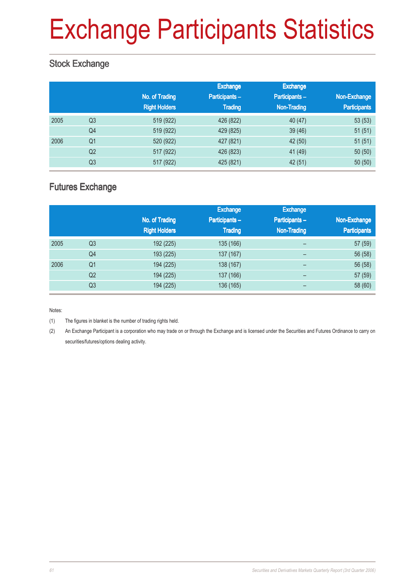# Exchange Participants Statistics

### Stock Exchange

|      |                | No. of Trading<br><b>Right Holders</b> | Exchange<br>Participants-<br><b>Trading</b> | <b>Exchange</b><br>Participants-<br><b>Non-Trading</b> | Non-Exchange<br><b>Participants</b> |
|------|----------------|----------------------------------------|---------------------------------------------|--------------------------------------------------------|-------------------------------------|
| 2005 | Q <sub>3</sub> | 519 (922)                              | 426 (822)                                   | 40(47)                                                 | 53(53)                              |
|      | Q4             | 519 (922)                              | 429 (825)                                   | 39(46)                                                 | 51(51)                              |
| 2006 | Q <sub>1</sub> | 520 (922)                              | 427 (821)                                   | 42 (50)                                                | 51(51)                              |
|      | Q2             | 517 (922)                              | 426 (823)                                   | 41 (49)                                                | 50(50)                              |
|      | Q <sub>3</sub> | 517 (922)                              | 425 (821)                                   | 42 (51)                                                | 50(50)                              |

### Futures Exchange

|      |                |                      | <b>Exchange</b> | <b>Exchange</b>          |                     |
|------|----------------|----------------------|-----------------|--------------------------|---------------------|
|      |                | No. of Trading       | Participants-   | <b>Participants-</b>     | Non-Exchange        |
|      |                | <b>Right Holders</b> | <b>Trading</b>  | Non-Trading              | <b>Participants</b> |
| 2005 | Q <sub>3</sub> | 192 (225)            | 135 (166)       | $\overline{\phantom{0}}$ | 57 (59)             |
|      | Q4             | 193 (225)            | 137 (167)       | $\overline{\phantom{0}}$ | 56 (58)             |
| 2006 | Q <sub>1</sub> | 194 (225)            | 138 (167)       | -                        | 56 (58)             |
|      | Q2             | 194 (225)            | 137 (166)       | -                        | 57 (59)             |
|      | Q3             | 194 (225)            | 136 (165)       |                          | 58 (60)             |

Notes:

(1) The figures in blanket is the number of trading rights held.

(2) An Exchange Participant is a corporation who may trade on or through the Exchange and is licensed under the Securities and Futures Ordinance to carry on securities/futures/options dealing activity.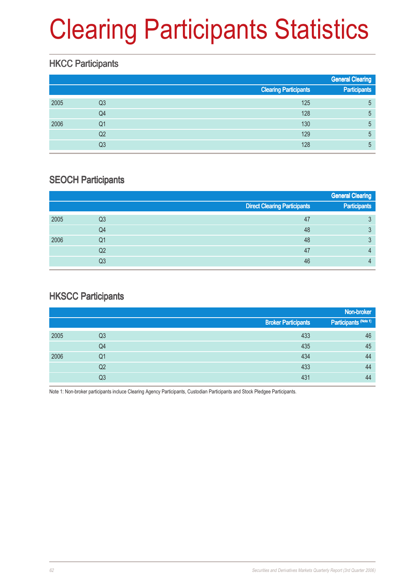# Clearing Participants Statistics

### **HKCC Participants**

|      |    |                              | <b>General Clearing</b> |
|------|----|------------------------------|-------------------------|
|      |    | <b>Clearing Participants</b> | <b>Participants</b>     |
| 2005 | Q3 | 125                          | 5                       |
|      | Q4 | 128                          | 5                       |
| 2006 | Q1 | 130                          | 5                       |
|      | Q2 | 129                          | 5                       |
|      | Q3 | 128                          | 5                       |

#### SEOCH Participants

|      |    |                                     | <b>General Clearing</b> |
|------|----|-------------------------------------|-------------------------|
|      |    | <b>Direct Clearing Participants</b> | Participants            |
| 2005 | Q3 | 47                                  | 3                       |
|      | Q4 | 48                                  | 3                       |
| 2006 | Q1 | 48                                  | 2<br>ю                  |
|      | Q2 | 47                                  | Д                       |
|      | Q3 | 46                                  |                         |

#### **HKSCC Participants**

|      |                |                            | Non-broker            |
|------|----------------|----------------------------|-----------------------|
|      |                | <b>Broker Participants</b> | Participants (Note 1) |
| 2005 | Q <sub>3</sub> | 433                        | 46                    |
|      | Q4             | 435                        | 45                    |
| 2006 | Q <sub>1</sub> | 434                        | 44                    |
|      | Q <sub>2</sub> | 433                        | 44                    |
|      | Q3             | 431                        | 44                    |

Note 1: Non-broker participants incluce Clearing Agency Participants, Custodian Participants and Stock Pledgee Participants.